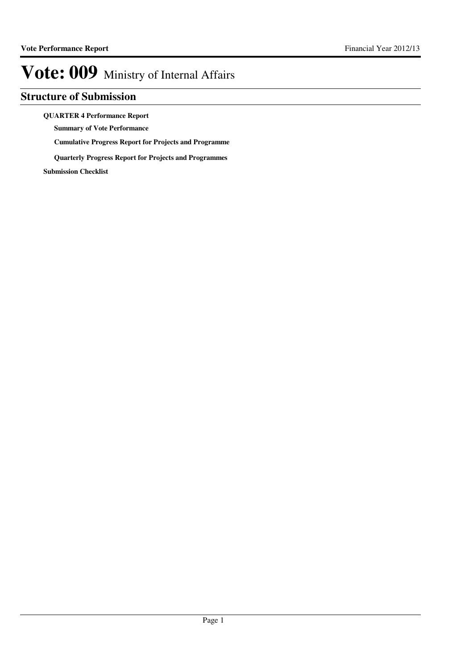## **Structure of Submission**

### **QUARTER 4 Performance Report**

**Summary of Vote Performance**

**Cumulative Progress Report for Projects and Programme**

**Quarterly Progress Report for Projects and Programmes**

**Submission Checklist**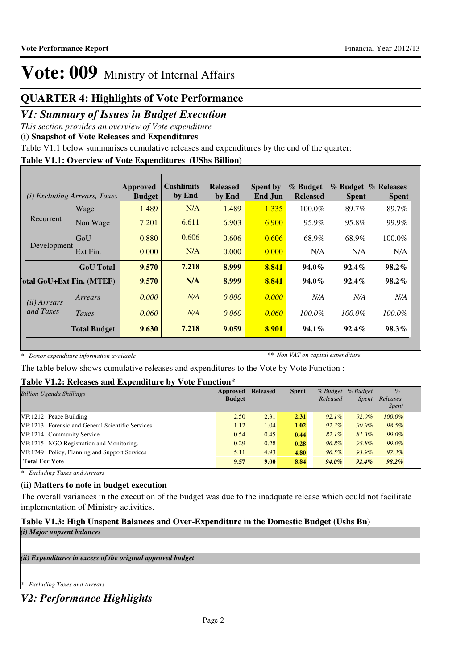## **QUARTER 4: Highlights of Vote Performance**

## *V1: Summary of Issues in Budget Execution*

*This section provides an overview of Vote expenditure*

**(i) Snapshot of Vote Releases and Expenditures**

Table V1.1 below summarises cumulative releases and expenditures by the end of the quarter:

### **Table V1.1: Overview of Vote Expenditures (UShs Billion)**

|                       | ( <i>i</i> ) Excluding Arrears, Taxes | Approved<br><b>Budget</b> | Cashlimits<br>by End | <b>Released</b><br>by End | <b>Spent by</b><br>End Jun | % Budget<br><b>Released</b> | <b>Spent</b> | % Budget % Releases<br><b>Spent</b> |
|-----------------------|---------------------------------------|---------------------------|----------------------|---------------------------|----------------------------|-----------------------------|--------------|-------------------------------------|
|                       | Wage                                  | 1.489                     | N/A                  | 1.489                     | 1.335                      | $100.0\%$                   | 89.7%        | 89.7%                               |
| Recurrent             | Non Wage                              | 7.201                     | 6.611                | 6.903                     | 6.900                      | 95.9%                       | 95.8%        | 99.9%                               |
| Development           | GoU                                   | 0.880                     | 0.606                | 0.606                     | 0.606                      | 68.9%                       | 68.9%        | 100.0%                              |
|                       | Ext Fin.                              | 0.000                     | N/A                  | 0.000                     | 0.000                      | N/A                         | N/A          | N/A                                 |
|                       | <b>GoU</b> Total                      | 9.570                     | 7.218                | 8.999                     | 8.841                      | $94.0\%$                    | $92.4\%$     | $98.2\%$                            |
|                       | <b>Total GoU+Ext Fin. (MTEF)</b>      | 9.570                     | N/A                  | 8.999                     | 8.841                      | 94.0%                       | $92.4\%$     | $98.2\%$                            |
| ( <i>ii</i> ) Arrears | Arrears                               | 0.000                     | N/A                  | 0.000                     | 0.000                      | N/A                         | N/A          | N/A                                 |
| and Taxes             | Taxes                                 | 0.060                     | N/A                  | 0.060                     | 0.060                      | $100.0\%$                   | $100.0\%$    | $100.0\%$                           |
|                       | <b>Total Budget</b>                   | 9.630                     | 7.218                | 9.059                     | 8.901                      | $94.1\%$                    | $92.4\%$     | 98.3%                               |

*\* Donor expenditure information available*

*\*\* Non VAT on capital expenditure*

The table below shows cumulative releases and expenditures to the Vote by Vote Function :

## **Table V1.2: Releases and Expenditure by Vote Function\***

| <b>Billion Uganda Shillings</b>                   | Approved<br><b>Budget</b> | <b>Released</b> | <b>Spent</b> | % Budget<br>Released | $%$ Budget<br><i>Spent</i> | $\%$<br>Releases<br><i>Spent</i> |
|---------------------------------------------------|---------------------------|-----------------|--------------|----------------------|----------------------------|----------------------------------|
| $VF: 1212$ Peace Building                         | 2.50                      | 2.31            | 2.31         | $92.1\%$             | 92.0%                      | $100.0\%$                        |
| VF:1213 Forensic and General Scientific Services. | 1.12                      | 1.04            | 1.02         | $92.3\%$             | 90.9%                      | 98.5%                            |
| VF:1214 Community Service                         | 0.54                      | 0.45            | 0.44         | $82.1\%$             | 81.3%                      | 99.0%                            |
| VF:1215 NGO Registration and Monitoring.          | 0.29                      | 0.28            | 0.28         | 96.8%                | 95.8%                      | 99.0%                            |
| VF:1249 Policy, Planning and Support Services     | 5.11                      | 4.93            | 4.80         | $96.5\%$             | 93.9%                      | $97.3\%$                         |
| <b>Total For Vote</b>                             | 9.57                      | 9.00            | 8.84         | 94.0%                | $92.4\%$                   | $98.2\%$                         |

*\* Excluding Taxes and Arrears*

## **(ii) Matters to note in budget execution**

The overall variances in the execution of the budget was due to the inadquate release which could not facilitate implementation of Ministry activities.

## **Table V1.3: High Unspent Balances and Over-Expenditure in the Domestic Budget (Ushs Bn)**

```
(i) Major unpsent balances
```
*(ii) Expenditures in excess of the original approved budget*

```
* Excluding Taxes and Arrears
```
*V2: Performance Highlights*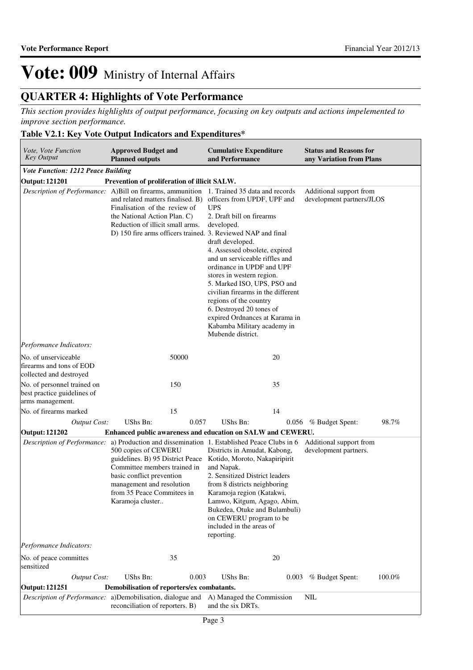## **QUARTER 4: Highlights of Vote Performance**

*This section provides highlights of output performance, focusing on key outputs and actions impelemented to improve section performance.*

## **Table V2.1: Key Vote Output Indicators and Expenditures\***

| Vote, Vote Function<br><b>Key Output</b>                                       | <b>Approved Budget and</b><br><b>Planned outputs</b>                                                                                                                                                                                                                                                       | <b>Cumulative Expenditure</b><br>and Performance                                                                                                                                                                                                                                                                                                                                                                                                       | <b>Status and Reasons for</b><br>any Variation from Plans |
|--------------------------------------------------------------------------------|------------------------------------------------------------------------------------------------------------------------------------------------------------------------------------------------------------------------------------------------------------------------------------------------------------|--------------------------------------------------------------------------------------------------------------------------------------------------------------------------------------------------------------------------------------------------------------------------------------------------------------------------------------------------------------------------------------------------------------------------------------------------------|-----------------------------------------------------------|
| <b>Vote Function: 1212 Peace Building</b>                                      |                                                                                                                                                                                                                                                                                                            |                                                                                                                                                                                                                                                                                                                                                                                                                                                        |                                                           |
| <b>Output: 121201</b>                                                          | Prevention of proliferation of illicit SALW.                                                                                                                                                                                                                                                               |                                                                                                                                                                                                                                                                                                                                                                                                                                                        |                                                           |
|                                                                                | Description of Performance: A)Bill on firearms, ammunition 1. Trained 35 data and records<br>and related matters finalised. B)<br>Finalisation of the review of<br>the National Action Plan. C)<br>Reduction of illicit small arms.<br>D) 150 fire arms officers trained. 3. Reviewed NAP and final        | officers from UPDF, UPF and<br><b>UPS</b><br>2. Draft bill on firearms<br>developed.<br>draft developed.<br>4. Assessed obsolete, expired<br>and un serviceable riffles and<br>ordinance in UPDF and UPF<br>stores in western region.<br>5. Marked ISO, UPS, PSO and<br>civilian firearms in the different<br>regions of the country<br>6. Destroyed 20 tones of<br>expired Ordnances at Karama in<br>Kabamba Military academy in<br>Mubende district. | Additional support from<br>development partners/JLOS      |
| Performance Indicators:                                                        |                                                                                                                                                                                                                                                                                                            |                                                                                                                                                                                                                                                                                                                                                                                                                                                        |                                                           |
| No. of unserviceable<br>firearms and tons of EOD<br>collected and destroyed    | 50000                                                                                                                                                                                                                                                                                                      | 20                                                                                                                                                                                                                                                                                                                                                                                                                                                     |                                                           |
| No. of personnel trained on<br>best practice guidelines of<br>arms management. | 150                                                                                                                                                                                                                                                                                                        | 35                                                                                                                                                                                                                                                                                                                                                                                                                                                     |                                                           |
| No. of firearms marked                                                         | 15                                                                                                                                                                                                                                                                                                         | 14                                                                                                                                                                                                                                                                                                                                                                                                                                                     |                                                           |
| <b>Output Cost:</b>                                                            | UShs Bn:<br>0.057                                                                                                                                                                                                                                                                                          | UShs Bn:                                                                                                                                                                                                                                                                                                                                                                                                                                               | 98.7%<br>0.056 % Budget Spent:                            |
| <b>Output: 121202</b>                                                          | Enhanced public awareness and education on SALW and CEWERU.                                                                                                                                                                                                                                                |                                                                                                                                                                                                                                                                                                                                                                                                                                                        |                                                           |
|                                                                                | <i>Description of Performance:</i> a) Production and dissemination 1. Established Peace Clubs in 6<br>500 copies of CEWERU<br>guidelines. B) 95 District Peace<br>Committee members trained in<br>basic conflict prevention<br>management and resolution<br>from 35 Peace Commitees in<br>Karamoja cluster | Districts in Amudat, Kabong,<br>Kotido, Moroto, Nakapiripirit<br>and Napak.<br>2. Sensitized District leaders<br>from 8 districts neighboring<br>Karamoja region (Katakwi,<br>Lamwo, Kitgum, Agago, Abim,<br>Bukedea, Otuke and Bulambuli)<br>on CEWERU program to be<br>included in the areas of<br>reporting.                                                                                                                                        | Additional support from<br>development partners.          |
| Performance Indicators:                                                        |                                                                                                                                                                                                                                                                                                            |                                                                                                                                                                                                                                                                                                                                                                                                                                                        |                                                           |
| No. of peace committes<br>sensitized                                           | 35                                                                                                                                                                                                                                                                                                         | 20                                                                                                                                                                                                                                                                                                                                                                                                                                                     |                                                           |
| <b>Output Cost:</b>                                                            | UShs Bn:<br>0.003                                                                                                                                                                                                                                                                                          | UShs Bn:<br>0.003                                                                                                                                                                                                                                                                                                                                                                                                                                      | 100.0%<br>% Budget Spent:                                 |
| <b>Output: 121251</b>                                                          | Demobilisation of reporters/ex combatants.                                                                                                                                                                                                                                                                 |                                                                                                                                                                                                                                                                                                                                                                                                                                                        |                                                           |
|                                                                                | Description of Performance: a)Demobilisation, dialogue and<br>reconciliation of reporters. B)                                                                                                                                                                                                              | A) Managed the Commission<br>and the six DRTs.                                                                                                                                                                                                                                                                                                                                                                                                         | <b>NIL</b>                                                |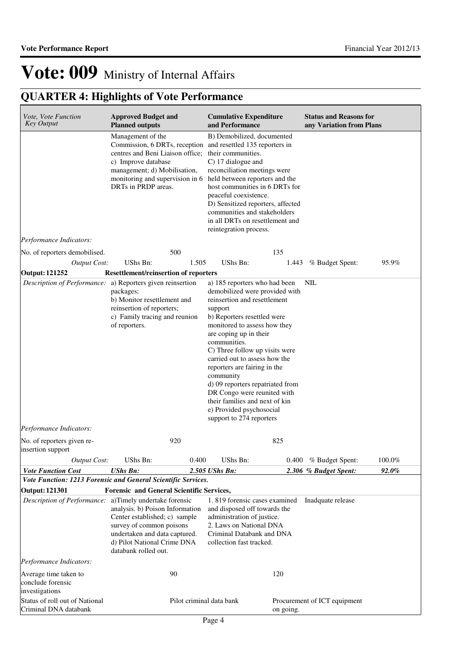| <i>Vote, Vote Function</i><br><b>Key Output</b>              | <b>Approved Budget and</b><br><b>Planned outputs</b>                                                                                                                                                                                                                                         | <b>Cumulative Expenditure</b><br>and Performance                                                                                                                                                                                                                                                                                                                                                                                                                                                 | <b>Status and Reasons for</b><br>any Variation from Plans |        |
|--------------------------------------------------------------|----------------------------------------------------------------------------------------------------------------------------------------------------------------------------------------------------------------------------------------------------------------------------------------------|--------------------------------------------------------------------------------------------------------------------------------------------------------------------------------------------------------------------------------------------------------------------------------------------------------------------------------------------------------------------------------------------------------------------------------------------------------------------------------------------------|-----------------------------------------------------------|--------|
|                                                              | Management of the<br>Commission, 6 DRTs, reception and resettled 135 reporters in<br>centres and Beni Liaison office;<br>c) Improve database<br>management; d) Mobilisation,<br>monitoring and supervision in 6 held between reporters and the<br>DRTs in PRDP areas.                        | B) Demobilized, documented<br>their communities.<br>C) 17 dialogue and<br>reconciliation meetings were<br>host communities in 6 DRTs for<br>peaceful coexistence.<br>D) Sensitized reporters, affected<br>communities and stakeholders<br>in all DRTs on resettlement and<br>reintegration process.                                                                                                                                                                                              |                                                           |        |
| Performance Indicators:                                      |                                                                                                                                                                                                                                                                                              |                                                                                                                                                                                                                                                                                                                                                                                                                                                                                                  |                                                           |        |
| No. of reporters demobilised.                                | 500                                                                                                                                                                                                                                                                                          | 135                                                                                                                                                                                                                                                                                                                                                                                                                                                                                              |                                                           |        |
| <b>Output Cost:</b>                                          | UShs Bn:<br>1.505                                                                                                                                                                                                                                                                            | UShs Bn:                                                                                                                                                                                                                                                                                                                                                                                                                                                                                         | 1.443 % Budget Spent:                                     | 95.9%  |
| <b>Output: 121252</b>                                        | <b>Resettlement/reinsertion of reporters</b>                                                                                                                                                                                                                                                 |                                                                                                                                                                                                                                                                                                                                                                                                                                                                                                  |                                                           |        |
|                                                              | Description of Performance: a) Reporters given reinsertion<br>packages;<br>b) Monitor resettlement and<br>reinsertion of reporters;<br>c) Family tracing and reunion<br>of reporters.                                                                                                        | a) 185 reporters who had been<br>demobilized were provided with<br>reinsertion and resettlement<br>support<br>b) Reporters resettled were<br>monitored to assess how they<br>are coping up in their<br>communities.<br>C) Three follow up visits were<br>carried out to assess how the<br>reporters are fairing in the<br>community<br>d) 09 reporters repatriated from<br>DR Congo were reunited with<br>their families and next of kin<br>e) Provided psychosocial<br>support to 274 reporters | <b>NIL</b>                                                |        |
| Performance Indicators:                                      |                                                                                                                                                                                                                                                                                              |                                                                                                                                                                                                                                                                                                                                                                                                                                                                                                  |                                                           |        |
| No. of reporters given re-<br>insertion support              | 920                                                                                                                                                                                                                                                                                          | 825                                                                                                                                                                                                                                                                                                                                                                                                                                                                                              |                                                           |        |
| <b>Output Cost:</b>                                          | UShs Bn:<br>0.400                                                                                                                                                                                                                                                                            | UShs Bn:                                                                                                                                                                                                                                                                                                                                                                                                                                                                                         | 0.400 % Budget Spent:                                     | 100.0% |
| <b>Vote Function Cost</b>                                    | <b>UShs Bn:</b>                                                                                                                                                                                                                                                                              | 2.505 UShs Bn:                                                                                                                                                                                                                                                                                                                                                                                                                                                                                   | 2.306 % Budget Spent:                                     | 92.0%  |
|                                                              | Vote Function: 1213 Forensic and General Scientific Services.                                                                                                                                                                                                                                |                                                                                                                                                                                                                                                                                                                                                                                                                                                                                                  |                                                           |        |
| Output: 121301                                               | Forensic and General Scientific Services,<br>Description of Performance: a)Timely undertake forensic<br>analysis. b) Poison Information<br>Center established; c) sample<br>survey of common poisons<br>undertaken and data captured.<br>d) Pilot National Crime DNA<br>databank rolled out. | 1.819 forensic cases examined<br>and disposed off towards the<br>administration of justice.<br>2. Laws on National DNA<br>Criminal Databank and DNA<br>collection fast tracked.                                                                                                                                                                                                                                                                                                                  | Inadquate release                                         |        |
| Performance Indicators:                                      |                                                                                                                                                                                                                                                                                              |                                                                                                                                                                                                                                                                                                                                                                                                                                                                                                  |                                                           |        |
| Average time taken to<br>conclude forensic<br>investigations | 90                                                                                                                                                                                                                                                                                           | 120                                                                                                                                                                                                                                                                                                                                                                                                                                                                                              |                                                           |        |
| Status of roll out of National<br>Criminal DNA databank      | Pilot criminal data bank                                                                                                                                                                                                                                                                     | on going.                                                                                                                                                                                                                                                                                                                                                                                                                                                                                        | Procurement of ICT equipment                              |        |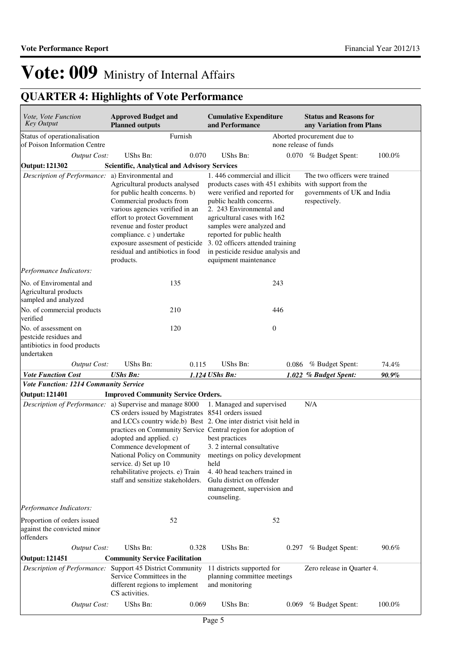| Vote, Vote Function<br><b>Key Output</b>                                                    | <b>Approved Budget and</b><br><b>Planned outputs</b>                                                                                                                                                                                                                                                                                                                              |       | <b>Cumulative Expenditure</b><br>and Performance                                                                                                                                                                                                                                                                                                                           |       | <b>Status and Reasons for</b><br>any Variation from Plans                     |        |
|---------------------------------------------------------------------------------------------|-----------------------------------------------------------------------------------------------------------------------------------------------------------------------------------------------------------------------------------------------------------------------------------------------------------------------------------------------------------------------------------|-------|----------------------------------------------------------------------------------------------------------------------------------------------------------------------------------------------------------------------------------------------------------------------------------------------------------------------------------------------------------------------------|-------|-------------------------------------------------------------------------------|--------|
| Status of operationalisation<br>of Poison Information Centre                                | Furnish                                                                                                                                                                                                                                                                                                                                                                           |       |                                                                                                                                                                                                                                                                                                                                                                            |       | Aborted procurement due to<br>none release of funds                           |        |
| <b>Output Cost:</b>                                                                         | UShs Bn:                                                                                                                                                                                                                                                                                                                                                                          | 0.070 | UShs Bn:                                                                                                                                                                                                                                                                                                                                                                   |       | 0.070 % Budget Spent:                                                         | 100.0% |
| <b>Output: 121302</b>                                                                       | <b>Scientific, Analytical and Advisory Services</b>                                                                                                                                                                                                                                                                                                                               |       |                                                                                                                                                                                                                                                                                                                                                                            |       |                                                                               |        |
| Description of Performance: a) Environmental and                                            | Agricultural products analysed<br>for public health concerns. b)<br>Commercial products from<br>various agencies verified in an<br>effort to protect Government<br>revenue and foster product<br>compliance. c ) undertake<br>exposure assesment of pesticide<br>residual and antibiotics in food<br>products.                                                                    |       | 1.446 commercial and illicit<br>products cases with 451 exhibits with support from the<br>were verified and reported for<br>public health concerns.<br>2. 243 Environmental and<br>agricultural cases with 162<br>samples were analyzed and<br>reported for public health<br>3.02 officers attended training<br>in pesticide residue analysis and<br>equipment maintenance |       | The two officers were trained<br>governments of UK and India<br>respectively. |        |
| Performance Indicators:                                                                     |                                                                                                                                                                                                                                                                                                                                                                                   |       |                                                                                                                                                                                                                                                                                                                                                                            |       |                                                                               |        |
| No. of Enviromental and<br>Agricultural products<br>sampled and analyzed                    | 135                                                                                                                                                                                                                                                                                                                                                                               |       | 243                                                                                                                                                                                                                                                                                                                                                                        |       |                                                                               |        |
| No. of commercial products<br>verified                                                      | 210                                                                                                                                                                                                                                                                                                                                                                               |       | 446                                                                                                                                                                                                                                                                                                                                                                        |       |                                                                               |        |
| No. of assessment on<br>pestcide residues and<br>antibiotics in food products<br>undertaken | 120                                                                                                                                                                                                                                                                                                                                                                               |       | $\boldsymbol{0}$                                                                                                                                                                                                                                                                                                                                                           |       |                                                                               |        |
| <b>Output Cost:</b>                                                                         | <b>UShs Bn:</b>                                                                                                                                                                                                                                                                                                                                                                   | 0.115 | UShs Bn:                                                                                                                                                                                                                                                                                                                                                                   | 0.086 | % Budget Spent:                                                               | 74.4%  |
| <b>Vote Function Cost</b>                                                                   | <b>UShs Bn:</b>                                                                                                                                                                                                                                                                                                                                                                   |       | 1.124 UShs Bn:                                                                                                                                                                                                                                                                                                                                                             |       | 1.022 % Budget Spent:                                                         | 90.9%  |
| <b>Vote Function: 1214 Community Service</b>                                                |                                                                                                                                                                                                                                                                                                                                                                                   |       |                                                                                                                                                                                                                                                                                                                                                                            |       |                                                                               |        |
| <b>Output: 121401</b>                                                                       | <b>Improved Community Service Orders.</b>                                                                                                                                                                                                                                                                                                                                         |       |                                                                                                                                                                                                                                                                                                                                                                            |       |                                                                               |        |
| Description of Performance: a) Supervise and manage 8000                                    | CS orders issued by Magistrates 8541 orders issued<br>and LCCs country wide.b) Best 2. One inter district visit held in<br>practices on Community Service Central region for adoption of<br>adopted and applied. c)<br>Commence development of<br>National Policy on Community<br>service. d) Set up 10<br>rehabilitative projects. e) Train<br>staff and sensitize stakeholders. |       | 1. Managed and supervised<br>best practices<br>3. 2 internal consultative<br>meetings on policy development<br>held<br>4.40 head teachers trained in<br>Gulu district on offender<br>management, supervision and<br>counseling.                                                                                                                                            |       | N/A                                                                           |        |
| Performance Indicators:                                                                     |                                                                                                                                                                                                                                                                                                                                                                                   |       |                                                                                                                                                                                                                                                                                                                                                                            |       |                                                                               |        |
| Proportion of orders issued<br>against the convicted minor<br>offenders                     | 52                                                                                                                                                                                                                                                                                                                                                                                |       | 52                                                                                                                                                                                                                                                                                                                                                                         |       |                                                                               |        |
| <b>Output Cost:</b>                                                                         | UShs Bn:                                                                                                                                                                                                                                                                                                                                                                          | 0.328 | UShs Bn:                                                                                                                                                                                                                                                                                                                                                                   | 0.297 | % Budget Spent:                                                               | 90.6%  |
| <b>Output: 121451</b>                                                                       | <b>Community Service Facilitation</b>                                                                                                                                                                                                                                                                                                                                             |       |                                                                                                                                                                                                                                                                                                                                                                            |       |                                                                               |        |
| Description of Performance:                                                                 | Support 45 District Community<br>Service Committees in the<br>different regions to implement<br>CS activities.                                                                                                                                                                                                                                                                    |       | 11 districts supported for<br>planning committee meetings<br>and monitoring                                                                                                                                                                                                                                                                                                |       | Zero release in Quarter 4.                                                    |        |
| <b>Output Cost:</b>                                                                         | UShs Bn:                                                                                                                                                                                                                                                                                                                                                                          | 0.069 | UShs Bn:                                                                                                                                                                                                                                                                                                                                                                   |       | 0.069 % Budget Spent:                                                         | 100.0% |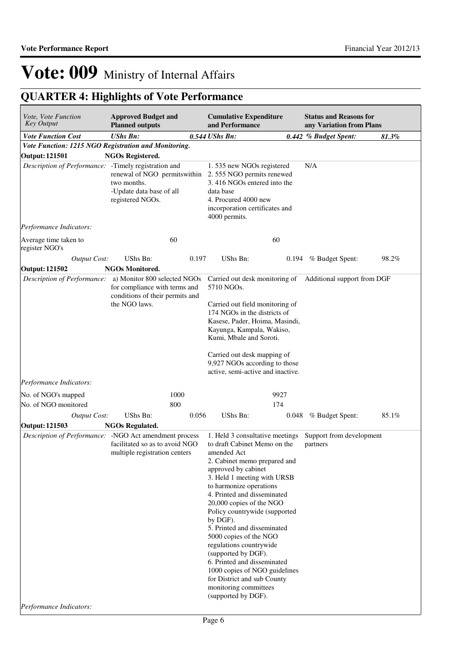| Vote, Vote Function<br><b>Key Output</b>               | <b>Approved Budget and</b><br><b>Planned outputs</b>                                                              |       | <b>Cumulative Expenditure</b><br>and Performance                                                                                                                                                                                                                                                                                                                                                                                                                                                                                                                  |       | <b>Status and Reasons for</b><br>any Variation from Plans |       |
|--------------------------------------------------------|-------------------------------------------------------------------------------------------------------------------|-------|-------------------------------------------------------------------------------------------------------------------------------------------------------------------------------------------------------------------------------------------------------------------------------------------------------------------------------------------------------------------------------------------------------------------------------------------------------------------------------------------------------------------------------------------------------------------|-------|-----------------------------------------------------------|-------|
| <b>Vote Function Cost</b>                              | <b>UShs Bn:</b>                                                                                                   |       | $0.544$ UShs Bn:                                                                                                                                                                                                                                                                                                                                                                                                                                                                                                                                                  |       | 0.442 % Budget Spent:                                     | 81.3% |
| Vote Function: 1215 NGO Registration and Monitoring.   |                                                                                                                   |       |                                                                                                                                                                                                                                                                                                                                                                                                                                                                                                                                                                   |       |                                                           |       |
| <b>Output: 121501</b>                                  | <b>NGOs Registered.</b>                                                                                           |       |                                                                                                                                                                                                                                                                                                                                                                                                                                                                                                                                                                   |       |                                                           |       |
| Description of Performance: -Timely registration and   | renewal of NGO permits within<br>two months.<br>-Update data base of all<br>registered NGOs.                      |       | 1.535 new NGOs registered<br>2.555 NGO permits renewed<br>3.416 NGOs entered into the<br>data base<br>4. Procured 4000 new<br>incorporation certificates and<br>4000 permits.                                                                                                                                                                                                                                                                                                                                                                                     |       | N/A                                                       |       |
| Performance Indicators:                                |                                                                                                                   |       |                                                                                                                                                                                                                                                                                                                                                                                                                                                                                                                                                                   |       |                                                           |       |
| Average time taken to<br>register NGO's                | 60                                                                                                                |       | 60                                                                                                                                                                                                                                                                                                                                                                                                                                                                                                                                                                |       |                                                           |       |
| <b>Output Cost:</b>                                    | UShs Bn:                                                                                                          | 0.197 | UShs Bn:                                                                                                                                                                                                                                                                                                                                                                                                                                                                                                                                                          | 0.194 | % Budget Spent:                                           | 98.2% |
| <b>Output: 121502</b>                                  | <b>NGOs Monitored.</b>                                                                                            |       |                                                                                                                                                                                                                                                                                                                                                                                                                                                                                                                                                                   |       |                                                           |       |
| Description of Performance:                            | a) Monitor 800 selected NGOs<br>for compliance with terms and<br>conditions of their permits and<br>the NGO laws. |       | Carried out desk monitoring of Additional support from DGF<br>5710 NGOs.<br>Carried out field monitoring of<br>174 NGOs in the districts of<br>Kasese, Pader, Hoima, Masindi,<br>Kayunga, Kampala, Wakiso,<br>Kumi, Mbale and Soroti.<br>Carried out desk mapping of<br>9,927 NGOs according to those<br>active, semi-active and inactive.                                                                                                                                                                                                                        |       |                                                           |       |
| Performance Indicators:                                |                                                                                                                   |       |                                                                                                                                                                                                                                                                                                                                                                                                                                                                                                                                                                   |       |                                                           |       |
| No. of NGO's mapped                                    | 1000                                                                                                              |       | 9927                                                                                                                                                                                                                                                                                                                                                                                                                                                                                                                                                              |       |                                                           |       |
| No. of NGO monitored                                   | 800                                                                                                               |       | 174                                                                                                                                                                                                                                                                                                                                                                                                                                                                                                                                                               |       |                                                           |       |
| <b>Output Cost:</b>                                    | UShs Bn:                                                                                                          | 0.056 | UShs Bn:                                                                                                                                                                                                                                                                                                                                                                                                                                                                                                                                                          | 0.048 | % Budget Spent:                                           | 85.1% |
| Output: 121503                                         | <b>NGOs Regulated.</b>                                                                                            |       |                                                                                                                                                                                                                                                                                                                                                                                                                                                                                                                                                                   |       |                                                           |       |
| Description of Performance: -NGO Act amendment process | facilitated so as to avoid NGO<br>multiple registration centers                                                   |       | 1. Held 3 consultative meetings<br>to draft Cabinet Memo on the<br>amended Act<br>2. Cabinet memo prepared and<br>approved by cabinet<br>3. Held 1 meeting with URSB<br>to harmonize operations<br>4. Printed and disseminated<br>20,000 copies of the NGO<br>Policy countrywide (supported<br>by DGF).<br>5. Printed and disseminated<br>5000 copies of the NGO<br>regulations countrywide<br>(supported by DGF).<br>6. Printed and disseminated<br>1000 copies of NGO guidelines<br>for District and sub County<br>monitoring committees<br>(supported by DGF). |       | Support from development<br>partners                      |       |
| Performance Indicators:                                |                                                                                                                   |       |                                                                                                                                                                                                                                                                                                                                                                                                                                                                                                                                                                   |       |                                                           |       |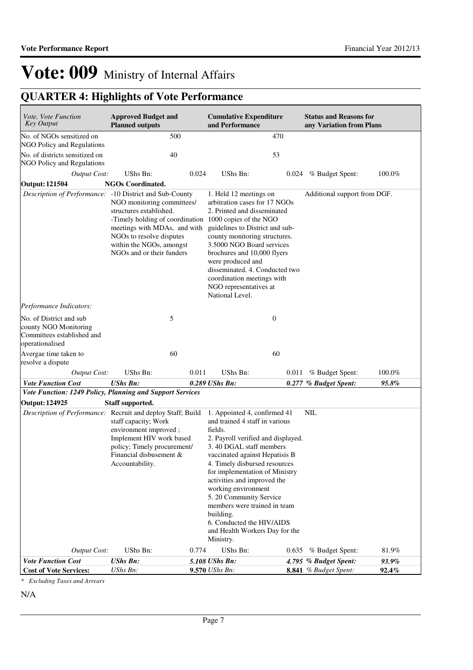## **QUARTER 4: Highlights of Vote Performance**

| Vote, Vote Function<br><b>Key Output</b>                                                          | <b>Approved Budget and</b><br><b>Planned outputs</b>                                                                                                                                                                                 |       | <b>Cumulative Expenditure</b><br>and Performance                                                                                                                                                                                                                                                                                                                                                                                                          |       | <b>Status and Reasons for</b><br>any Variation from Plans |                |
|---------------------------------------------------------------------------------------------------|--------------------------------------------------------------------------------------------------------------------------------------------------------------------------------------------------------------------------------------|-------|-----------------------------------------------------------------------------------------------------------------------------------------------------------------------------------------------------------------------------------------------------------------------------------------------------------------------------------------------------------------------------------------------------------------------------------------------------------|-------|-----------------------------------------------------------|----------------|
| No. of NGOs sensitized on<br>NGO Policy and Regulations                                           | 500                                                                                                                                                                                                                                  |       |                                                                                                                                                                                                                                                                                                                                                                                                                                                           | 470   |                                                           |                |
| No. of districts sensitized on                                                                    | 40                                                                                                                                                                                                                                   |       | 53                                                                                                                                                                                                                                                                                                                                                                                                                                                        |       |                                                           |                |
| NGO Policy and Regulations                                                                        |                                                                                                                                                                                                                                      |       |                                                                                                                                                                                                                                                                                                                                                                                                                                                           |       |                                                           |                |
| <b>Output Cost:</b><br><b>Output: 121504</b>                                                      | UShs Bn:<br><b>NGOs Coordinated.</b>                                                                                                                                                                                                 | 0.024 | UShs Bn:                                                                                                                                                                                                                                                                                                                                                                                                                                                  |       | 0.024 % Budget Spent:                                     | 100.0%         |
| Description of Performance: -10 District and Sub-County                                           |                                                                                                                                                                                                                                      |       | 1. Held 12 meetings on                                                                                                                                                                                                                                                                                                                                                                                                                                    |       | Additional support from DGF.                              |                |
|                                                                                                   | NGO monitoring committees/<br>structures established.<br>-Timely holding of coordination 1000 copies of the NGO<br>meetings with MDAs, and with<br>NGOs to resolve disputes<br>within the NGOs, amongst<br>NGOs and or their funders |       | arbitration cases for 17 NGOs<br>2. Printed and disseminated<br>guidelines to District and sub-<br>county monitoring structures.<br>3.5000 NGO Board services<br>brochures and 10,000 flyers<br>were produced and<br>disseminated. 4. Conducted two<br>coordination meetings with<br>NGO representatives at<br>National Level.                                                                                                                            |       |                                                           |                |
| Performance Indicators:                                                                           |                                                                                                                                                                                                                                      |       |                                                                                                                                                                                                                                                                                                                                                                                                                                                           |       |                                                           |                |
| No. of District and sub<br>county NGO Monitoring<br>Committees established and<br>operationalised | 5                                                                                                                                                                                                                                    |       | $\boldsymbol{0}$                                                                                                                                                                                                                                                                                                                                                                                                                                          |       |                                                           |                |
| Avergae time taken to<br>resolve a dispute                                                        | 60                                                                                                                                                                                                                                   |       | 60                                                                                                                                                                                                                                                                                                                                                                                                                                                        |       |                                                           |                |
| <b>Output Cost:</b>                                                                               | UShs Bn:                                                                                                                                                                                                                             | 0.011 | <b>UShs Bn:</b>                                                                                                                                                                                                                                                                                                                                                                                                                                           | 0.011 | % Budget Spent:                                           | 100.0%         |
| <b>Vote Function Cost</b>                                                                         | <b>UShs Bn:</b>                                                                                                                                                                                                                      |       | 0.289 UShs Bn:                                                                                                                                                                                                                                                                                                                                                                                                                                            |       | 0.277 % Budget Spent:                                     | 95.8%          |
| Vote Function: 1249 Policy, Planning and Support Services                                         |                                                                                                                                                                                                                                      |       |                                                                                                                                                                                                                                                                                                                                                                                                                                                           |       |                                                           |                |
| Output: 124925                                                                                    | Staff supported.                                                                                                                                                                                                                     |       |                                                                                                                                                                                                                                                                                                                                                                                                                                                           |       |                                                           |                |
| Description of Performance: Recruit and deploy Staff; Build                                       | staff capacity; Work<br>environment improved;<br>Implement HIV work based<br>policy; Timely procurement/<br>Financial disbusement &<br>Accountability.                                                                               |       | 1. Appointed 4, confirmed 41<br>and trained 4 staff in various<br>fields.<br>2. Payroll verified and displayed.<br>3.40 DGAL staff members<br>vaccinated against Hepatisis B<br>4. Timely disbursed resources<br>for implementation of Ministry<br>activities and improved the<br>working environment<br>5. 20 Community Service<br>members were trained in team<br>building.<br>6. Conducted the HIV/AIDS<br>and Health Workers Day for the<br>Ministry. |       | <b>NIL</b>                                                |                |
| Output Cost:                                                                                      | UShs Bn:                                                                                                                                                                                                                             | 0.774 | UShs Bn:                                                                                                                                                                                                                                                                                                                                                                                                                                                  | 0.635 | % Budget Spent:                                           | 81.9%          |
| <b>Vote Function Cost</b><br><b>Cost of Vote Services:</b>                                        | <b>UShs Bn:</b><br>UShs Bn:                                                                                                                                                                                                          |       | 5.108 UShs Bn:<br>9.570 UShs Bn:                                                                                                                                                                                                                                                                                                                                                                                                                          |       | 4.795 % Budget Spent:<br>8.841 % Budget Spent:            | 93.9%<br>92.4% |

*\* Excluding Taxes and Arrears*

N/A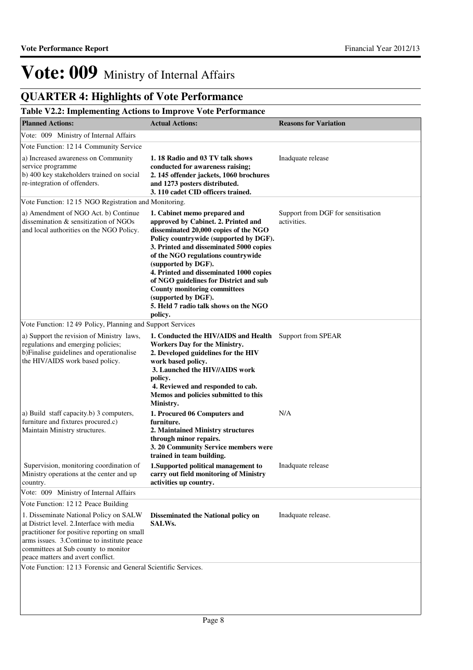## **QUARTER 4: Highlights of Vote Performance**

## **Table V2.2: Implementing Actions to Improve Vote Performance**

| <b>Planned Actions:</b>                                                                                                                                                                                                                                         | <b>Actual Actions:</b>                                                                                                                                                                                                                                                                                                                                                                                                                                                | <b>Reasons for Variation</b>                      |
|-----------------------------------------------------------------------------------------------------------------------------------------------------------------------------------------------------------------------------------------------------------------|-----------------------------------------------------------------------------------------------------------------------------------------------------------------------------------------------------------------------------------------------------------------------------------------------------------------------------------------------------------------------------------------------------------------------------------------------------------------------|---------------------------------------------------|
| Vote: 009 Ministry of Internal Affairs                                                                                                                                                                                                                          |                                                                                                                                                                                                                                                                                                                                                                                                                                                                       |                                                   |
| Vote Function: 1214 Community Service                                                                                                                                                                                                                           |                                                                                                                                                                                                                                                                                                                                                                                                                                                                       |                                                   |
| a) Increased awareness on Community<br>service programme<br>b) 400 key stakeholders trained on social<br>re-integration of offenders.                                                                                                                           | 1.18 Radio and 03 TV talk shows<br>conducted for awareness raising;<br>2. 145 offender jackets, 1060 brochures<br>and 1273 posters distributed.<br>3. 110 cadet CID officers trained.                                                                                                                                                                                                                                                                                 | Inadquate release                                 |
| Vote Function: 1215 NGO Registration and Monitoring.                                                                                                                                                                                                            |                                                                                                                                                                                                                                                                                                                                                                                                                                                                       |                                                   |
| a) Amendment of NGO Act. b) Continue<br>dissemination & sensitization of NGOs<br>and local authorities on the NGO Policy.                                                                                                                                       | 1. Cabinet memo prepared and<br>approved by Cabinet. 2. Printed and<br>disseminated 20,000 copies of the NGO<br>Policy countrywide (supported by DGF).<br>3. Printed and disseminated 5000 copies<br>of the NGO regulations countrywide<br>(supported by DGF).<br>4. Printed and disseminated 1000 copies<br>of NGO guidelines for District and sub<br><b>County monitoring committees</b><br>(supported by DGF).<br>5. Held 7 radio talk shows on the NGO<br>policy. | Support from DGF for sensitisation<br>activities. |
| Vote Function: 1249 Policy, Planning and Support Services                                                                                                                                                                                                       |                                                                                                                                                                                                                                                                                                                                                                                                                                                                       |                                                   |
| a) Support the revision of Ministry laws,<br>regulations and emerging policies;<br>b)Finalise guidelines and operationalise<br>the HIV/AIDS work based policy.                                                                                                  | 1. Conducted the HIV/AIDS and Health Support from SPEAR<br>Workers Day for the Ministry.<br>2. Developed guidelines for the HIV<br>work based policy.<br>3. Launched the HIV//AIDS work<br>policy.<br>4. Reviewed and responded to cab.<br>Memos and policies submitted to this<br>Ministry.                                                                                                                                                                          |                                                   |
| a) Build staff capacity.b) 3 computers,<br>furniture and fixtures procured.c)<br>Maintain Ministry structures.                                                                                                                                                  | 1. Procured 06 Computers and<br>furniture.<br>2. Maintained Ministry structures<br>through minor repairs.<br>3. 20 Community Service members were<br>trained in team building.                                                                                                                                                                                                                                                                                        | N/A                                               |
| Supervision, monitoring coordination of<br>Ministry operations at the center and up<br>country.                                                                                                                                                                 | 1.Supported political management to<br>carry out field monitoring of Ministry<br>activities up country.                                                                                                                                                                                                                                                                                                                                                               | Inadquate release                                 |
| Vote: 009 Ministry of Internal Affairs                                                                                                                                                                                                                          |                                                                                                                                                                                                                                                                                                                                                                                                                                                                       |                                                   |
| Vote Function: 12 12 Peace Building                                                                                                                                                                                                                             |                                                                                                                                                                                                                                                                                                                                                                                                                                                                       |                                                   |
| 1. Disseminate National Policy on SALW<br>at District level. 2. Interface with media<br>practitioner for positive reporting on small<br>arms issues. 3. Continue to institute peace<br>committees at Sub county to monitor<br>peace matters and avert conflict. | Disseminated the National policy on<br><b>SALWs.</b>                                                                                                                                                                                                                                                                                                                                                                                                                  | Inadquate release.                                |
| Vote Function: 1213 Forensic and General Scientific Services.                                                                                                                                                                                                   |                                                                                                                                                                                                                                                                                                                                                                                                                                                                       |                                                   |
|                                                                                                                                                                                                                                                                 |                                                                                                                                                                                                                                                                                                                                                                                                                                                                       |                                                   |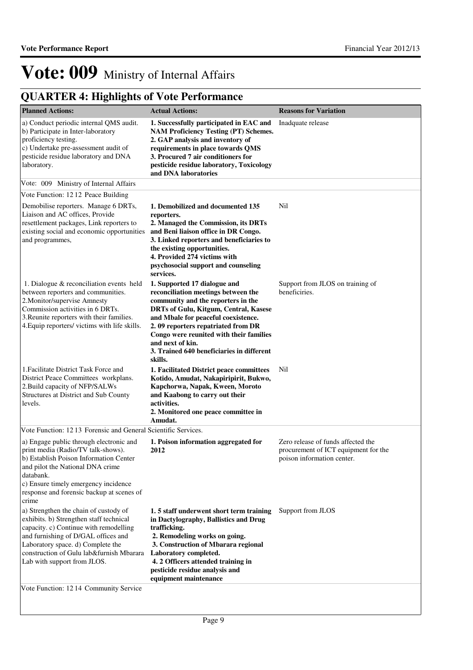| <b>Planned Actions:</b>                                                                                                                                                                                                                                                                                                     | <b>Actual Actions:</b>                                                                                                                                                                                                                                                                                                                                 | <b>Reasons for Variation</b>                                                                             |
|-----------------------------------------------------------------------------------------------------------------------------------------------------------------------------------------------------------------------------------------------------------------------------------------------------------------------------|--------------------------------------------------------------------------------------------------------------------------------------------------------------------------------------------------------------------------------------------------------------------------------------------------------------------------------------------------------|----------------------------------------------------------------------------------------------------------|
| a) Conduct periodic internal QMS audit.<br>b) Participate in Inter-laboratory<br>proficiency testing.<br>c) Undertake pre-assessment audit of<br>pesticide residue laboratory and DNA<br>laboratory.                                                                                                                        | 1. Successfully participated in EAC and<br><b>NAM Proficiency Testing (PT) Schemes.</b><br>2. GAP analysis and inventory of<br>requirements in place towards QMS<br>3. Procured 7 air conditioners for<br>pesticide residue laboratory, Toxicology<br>and DNA laboratories                                                                             | Inadquate release                                                                                        |
| Vote: 009 Ministry of Internal Affairs                                                                                                                                                                                                                                                                                      |                                                                                                                                                                                                                                                                                                                                                        |                                                                                                          |
| Vote Function: 1212 Peace Building                                                                                                                                                                                                                                                                                          |                                                                                                                                                                                                                                                                                                                                                        |                                                                                                          |
| Demobilise reporters. Manage 6 DRTs,<br>Liaison and AC offices, Provide<br>resettlement packages, Link reporters to<br>existing social and economic opportunities<br>and programmes,                                                                                                                                        | 1. Demobilized and documented 135<br>reporters.<br>2. Managed the Commission, its DRTs<br>and Beni liaison office in DR Congo.<br>3. Linked reporters and beneficiaries to<br>the existing opportunities.<br>4. Provided 274 victims with<br>psychosocial support and counseling<br>services.                                                          | Nil                                                                                                      |
| 1. Dialogue & reconciliation events held<br>between reporters and communities.<br>2. Monitor/supervise Amnesty<br>Commission activities in 6 DRTs.<br>3. Reunite reporters with their families.<br>4. Equip reporters/ victims with life skills.                                                                            | 1. Supported 17 dialogue and<br>reconciliation meetings between the<br>community and the reporters in the<br>DRTs of Gulu, Kitgum, Central, Kasese<br>and Mbale for peaceful coexistence.<br>2.09 reporters repatriated from DR<br>Congo were reunited with their families<br>and next of kin.<br>3. Trained 640 beneficiaries in different<br>skills. | Support from JLOS on training of<br>beneficiries.                                                        |
| 1. Facilitate District Task Force and<br>District Peace Committees workplans.<br>2. Build capacity of NFP/SALWs<br>Structures at District and Sub County<br>levels.                                                                                                                                                         | 1. Facilitated District peace committees<br>Kotido, Amudat, Nakapiripirit, Bukwo,<br>Kapchorwa, Napak, Kween, Moroto<br>and Kaabong to carry out their<br>activities.<br>2. Monitored one peace committee in<br>Amudat.                                                                                                                                | Nil                                                                                                      |
| Vote Function: 1213 Forensic and General Scientific Services.                                                                                                                                                                                                                                                               |                                                                                                                                                                                                                                                                                                                                                        |                                                                                                          |
| a) Engage public through electronic and<br>print media (Radio/TV talk-shows).<br>b) Establish Poison Information Center<br>and pilot the National DNA crime<br>databank.<br>c) Ensure timely emergency incidence<br>response and forensic backup at scenes of<br>crime                                                      | 1. Poison information aggregated for<br>2012                                                                                                                                                                                                                                                                                                           | Zero release of funds affected the<br>procurement of ICT equipment for the<br>poison information center. |
| a) Strengthen the chain of custody of<br>exhibits. b) Strengthen staff technical<br>capacity. c) Continue with remodelling<br>and furnishing of D/GAL offices and<br>Laboratory space. d) Complete the<br>construction of Gulu lab&furnish Mbarara<br>Lab with support from JLOS.<br>Vote Function: 12 14 Community Service | 1.5 staff underwent short term training<br>in Dactylography, Ballistics and Drug<br>trafficking.<br>2. Remodeling works on going.<br>3. Construction of Mbarara regional<br>Laboratory completed.<br>4. 2 Officers attended training in<br>pesticide residue analysis and<br>equipment maintenance                                                     | Support from JLOS                                                                                        |
|                                                                                                                                                                                                                                                                                                                             |                                                                                                                                                                                                                                                                                                                                                        |                                                                                                          |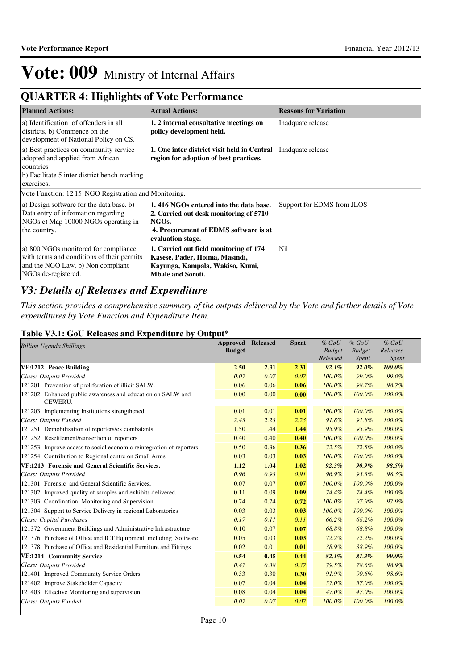## **QUARTER 4: Highlights of Vote Performance**

| <b>Planned Actions:</b>                                                                                                                               | <b>Actual Actions:</b>                                                                                                                                               | <b>Reasons for Variation</b> |
|-------------------------------------------------------------------------------------------------------------------------------------------------------|----------------------------------------------------------------------------------------------------------------------------------------------------------------------|------------------------------|
| a) Identification of offenders in all<br>districts, b) Commence on the<br>development of National Policy on CS.                                       | 1. 2 internal consultative meetings on<br>policy development held.                                                                                                   | Inadquate release            |
| a) Best practices on community service<br>adopted and applied from African<br>countries<br>b) Facilitate 5 inter district bench marking<br>exercises. | 1. One inter district visit held in Central Inadquate release<br>region for adoption of best practices.                                                              |                              |
| Vote Function: 12.15 NGO Registration and Monitoring.                                                                                                 |                                                                                                                                                                      |                              |
| a) Design software for the data base. b)<br>Data entry of information regarding<br>NGOs.c) Map 10000 NGOs operating in<br>the country.                | 1.416 NGOs entered into the data base.<br>2. Carried out desk monitoring of 5710<br>NGO <sub>s</sub> .<br>4. Procurement of EDMS software is at<br>evaluation stage. | Support for EDMS from JLOS   |
| a) 800 NGOs monitored for compliance<br>with terms and conditions of their permits<br>and the NGO Law. b) Non compliant<br>NGOs de-registered.        | 1. Carried out field monitoring of 174<br>Kasese, Pader, Hoima, Masindi,<br>Kayunga, Kampala, Wakiso, Kumi,<br><b>Mbale and Soroti.</b>                              | Nil                          |

## *V3: Details of Releases and Expenditure*

*This section provides a comprehensive summary of the outputs delivered by the Vote and further details of Vote expenditures by Vote Function and Expenditure Item.*

## **Table V3.1: GoU Releases and Expenditure by Output\***

| <b>Billion Uganda Shillings</b>                                       | <b>Approved Released</b><br><b>Budget</b> |      | <b>Spent</b> | $%$ $GoU$<br><b>Budget</b><br>Released | $%$ $GoU$<br><b>Budget</b><br><i>Spent</i> | $%$ GoU<br>Releases<br>Spent |  |
|-----------------------------------------------------------------------|-------------------------------------------|------|--------------|----------------------------------------|--------------------------------------------|------------------------------|--|
| VF:1212 Peace Building                                                | 2.50                                      | 2.31 | 2.31         | 92.1%                                  | $92.0\%$                                   | 100.0%                       |  |
| Class: Outputs Provided                                               | 0.07                                      | 0.07 | 0.07         | $100.0\%$                              | 99.0%                                      | 99.0%                        |  |
| 121201 Prevention of proliferation of illicit SALW.                   | 0.06                                      | 0.06 | 0.06         | $100.0\%$                              | 98.7%                                      | 98.7%                        |  |
| 121202 Enhanced public awareness and education on SALW and<br>CEWERU. | 0.00                                      | 0.00 | 0.00         | 100.0%                                 | 100.0%                                     | 100.0%                       |  |
| 121203 Implementing Institutions strengthened.                        | 0.01                                      | 0.01 | 0.01         | 100.0%                                 | 100.0%                                     | 100.0%                       |  |
| Class: Outputs Funded                                                 | 2.43                                      | 2.23 | 2.23         | 91.8%                                  | 91.8%                                      | 100.0%                       |  |
| 121251 Demobilisation of reporters/ex combatants.                     | 1.50                                      | 1.44 | 1.44         | 95.9%                                  | 95.9%                                      | 100.0%                       |  |
| 121252 Resettlement/reinsertion of reporters                          | 0.40                                      | 0.40 | 0.40         | 100.0%                                 | 100.0%                                     | 100.0%                       |  |
| 121253 Improve access to social economic reintegration of reporters.  | 0.50                                      | 0.36 | 0.36         | 72.5%                                  | 72.5%                                      | 100.0%                       |  |
| 121254 Contribution to Regional centre on Small Arms                  | 0.03                                      | 0.03 | 0.03         | 100.0%                                 | 100.0%                                     | 100.0%                       |  |
| VF:1213 Forensic and General Scientific Services.                     | 1.12                                      | 1.04 | 1.02         | 92.3%                                  | 90.9%                                      | 98.5%                        |  |
| Class: Outputs Provided                                               | 0.96                                      | 0.93 | 0.91         | 96.9%                                  | 95.3%                                      | 98.3%                        |  |
| 121301 Forensic and General Scientific Services,                      | 0.07                                      | 0.07 | 0.07         | 100.0%                                 | 100.0%                                     | 100.0%                       |  |
| 121302 Improved quality of samples and exhibits delivered.            | 0.11                                      | 0.09 | 0.09         | 74.4%                                  | 74.4%                                      | 100.0%                       |  |
| 121303 Coordination, Monitoring and Supervision                       | 0.74                                      | 0.74 | 0.72         | 100.0%                                 | 97.9%                                      | 97.9%                        |  |
| 121304 Support to Service Delivery in regional Laboratories           | 0.03                                      | 0.03 | 0.03         | 100.0%                                 | 100.0%                                     | 100.0%                       |  |
| Class: Capital Purchases                                              | 0.17                                      | 0.11 | 0.11         | 66.2%                                  | 66.2%                                      | 100.0%                       |  |
| 121372 Government Buildings and Administrative Infrastructure         | 0.10                                      | 0.07 | 0.07         | 68.8%                                  | 68.8%                                      | 100.0%                       |  |
| 121376 Purchase of Office and ICT Equipment, including Software       | 0.05                                      | 0.03 | 0.03         | 72.2%                                  | 72.2%                                      | 100.0%                       |  |
| 121378 Purchase of Office and Residential Furniture and Fittings      | 0.02                                      | 0.01 | 0.01         | 38.9%                                  | 38.9%                                      | 100.0%                       |  |
| VF:1214 Community Service                                             | 0.54                                      | 0.45 | 0.44         | 82.1%                                  | 81.3%                                      | 99.0%                        |  |
| Class: Outputs Provided                                               | 0.47                                      | 0.38 | 0.37         | 79.5%                                  | 78.6%                                      | 98.9%                        |  |
| 121401 Improved Community Service Orders.                             | 0.33                                      | 0.30 | 0.30         | 91.9%                                  | 90.6%                                      | 98.6%                        |  |
| 121402 Improve Stakeholder Capacity                                   | 0.07                                      | 0.04 | 0.04         | 57.0%                                  | 57.0%                                      | 100.0%                       |  |
| 121403 Effective Monitoring and supervision                           | 0.08                                      | 0.04 | 0.04         | 47.0%                                  | 47.0%                                      | 100.0%                       |  |
| Class: Outputs Funded                                                 | 0.07                                      | 0.07 | 0.07         | 100.0%                                 | 100.0%                                     | 100.0%                       |  |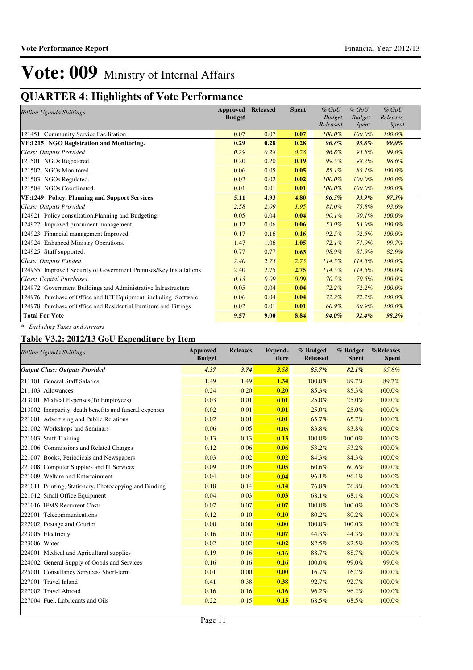## **QUARTER 4: Highlights of Vote Performance**

| <b>Billion Uganda Shillings</b>                                   | Approved      | <b>Released</b> | <b>Spent</b> | $%$ GoU       | $%$ GoU       | $%$ GoU      |
|-------------------------------------------------------------------|---------------|-----------------|--------------|---------------|---------------|--------------|
|                                                                   | <b>Budget</b> |                 |              | <b>Budget</b> | <b>Budget</b> | Releases     |
|                                                                   |               |                 |              | Released      | Spent         | <i>Spent</i> |
| 121451 Community Service Facilitation                             | 0.07          | 0.07            | 0.07         | 100.0%        | 100.0%        | 100.0%       |
| VF:1215 NGO Registration and Monitoring.                          | 0.29          | 0.28            | 0.28         | 96.8%         | 95.8%         | $99.0\%$     |
| Class: Outputs Provided                                           | 0.29          | 0.28            | 0.28         | 96.8%         | 95.8%         | 99.0%        |
| 121501 NGOs Registered.                                           | 0.20          | 0.20            | 0.19         | 99.5%         | 98.2%         | 98.6%        |
| 121502 NGOs Monitored.                                            | 0.06          | 0.05            | 0.05         | 85.1%         | 85.1%         | 100.0%       |
| 121503 NGOs Regulated.                                            | 0.02          | 0.02            | 0.02         | 100.0%        | 100.0%        | 100.0%       |
| 121504 NGOs Coordinated.                                          | 0.01          | 0.01            | 0.01         | 100.0%        | 100.0%        | 100.0%       |
| VF:1249 Policy, Planning and Support Services                     | 5.11          | 4.93            | 4.80         | 96.5%         | 93.9%         | 97.3%        |
| Class: Outputs Provided                                           | 2.58          | 2.09            | 1.95         | 81.0%         | 75.8%         | 93.6%        |
| 124921 Policy consultation, Planning and Budgeting.               | 0.05          | 0.04            | 0.04         | 90.1%         | 90.1%         | 100.0%       |
| 124922 Improved procument management.                             | 0.12          | 0.06            | 0.06         | 53.9%         | 53.9%         | 100.0%       |
| 124923 Financial management Improved.                             | 0.17          | 0.16            | 0.16         | 92.5%         | 92.5%         | 100.0%       |
| 124924 Enhanced Ministry Operations.                              | 1.47          | 1.06            | 1.05         | 72.1%         | 71.9%         | 99.7%        |
| 124925 Staff supported.                                           | 0.77          | 0.77            | 0.63         | 98.9%         | 81.9%         | 82.9%        |
| Class: Outputs Funded                                             | 2.40          | 2.75            | 2.75         | 114.5%        | 114.5%        | 100.0%       |
| 124955 Improved Security of Government Premises/Key Installations | 2.40          | 2.75            | 2.75         | 114.5%        | 114.5%        | 100.0%       |
| Class: Capital Purchases                                          | 0.13          | 0.09            | 0.09         | 70.5%         | 70.5%         | 100.0%       |
| 124972 Government Buildings and Administrative Infrastructure     | 0.05          | 0.04            | 0.04         | 72.2%         | 72.2%         | 100.0%       |
| 124976 Purchase of Office and ICT Equipment, including Software   | 0.06          | 0.04            | 0.04         | 72.2%         | 72.2%         | 100.0%       |
| 124978 Purchase of Office and Residential Furniture and Fittings  | 0.02          | 0.01            | 0.01         | 60.9%         | 60.9%         | 100.0%       |
| <b>Total For Vote</b>                                             | 9.57          | 9.00            | 8.84         | 94.0%         | 92.4%         | 98.2%        |

*\* Excluding Taxes and Arrears*

## **Table V3.2: 2012/13 GoU Expenditure by Item**

| <b>Billion Uganda Shillings</b>                        | <b>Approved</b><br><b>Budget</b> | <b>Releases</b> | Expend-<br>iture | % Budged<br><b>Released</b> | % Budget<br><b>Spent</b> | %Releases<br><b>Spent</b> |
|--------------------------------------------------------|----------------------------------|-----------------|------------------|-----------------------------|--------------------------|---------------------------|
| <b>Output Class: Outputs Provided</b>                  | 4.37                             | 3.74            | 3.58             | 85.7%                       | 82.1%                    | 95.8%                     |
| 211101 General Staff Salaries                          | 1.49                             | 1.49            | 1.34             | 100.0%                      | 89.7%                    | 89.7%                     |
| 211103 Allowances                                      | 0.24                             | 0.20            | 0.20             | 85.3%                       | 85.3%                    | 100.0%                    |
| 213001 Medical Expenses (To Employees)                 | 0.03                             | 0.01            | 0.01             | 25.0%                       | 25.0%                    | 100.0%                    |
| 213002 Incapacity, death benefits and funeral expenses | 0.02                             | 0.01            | 0.01             | 25.0%                       | 25.0%                    | 100.0%                    |
| 221001 Advertising and Public Relations                | 0.02                             | 0.01            | 0.01             | 65.7%                       | 65.7%                    | 100.0%                    |
| 221002 Workshops and Seminars                          | 0.06                             | 0.05            | 0.05             | 83.8%                       | 83.8%                    | 100.0%                    |
| 221003 Staff Training                                  | 0.13                             | 0.13            | 0.13             | 100.0%                      | 100.0%                   | 100.0%                    |
| 221006 Commissions and Related Charges                 | 0.12                             | 0.06            | 0.06             | 53.2%                       | 53.2%                    | 100.0%                    |
| 221007 Books, Periodicals and Newspapers               | 0.03                             | 0.02            | 0.02             | 84.3%                       | 84.3%                    | 100.0%                    |
| 221008 Computer Supplies and IT Services               | 0.09                             | 0.05            | 0.05             | 60.6%                       | 60.6%                    | 100.0%                    |
| 221009 Welfare and Entertainment                       | 0.04                             | 0.04            | 0.04             | 96.1%                       | 96.1%                    | 100.0%                    |
| 221011 Printing, Stationery, Photocopying and Binding  | 0.18                             | 0.14            | 0.14             | 76.8%                       | 76.8%                    | 100.0%                    |
| 221012 Small Office Equipment                          | 0.04                             | 0.03            | 0.03             | 68.1%                       | 68.1%                    | 100.0%                    |
| 221016 IFMS Recurrent Costs                            | 0.07                             | 0.07            | 0.07             | 100.0%                      | 100.0%                   | 100.0%                    |
| 222001 Telecommunications                              | 0.12                             | 0.10            | 0.10             | 80.2%                       | 80.2%                    | 100.0%                    |
| 222002 Postage and Courier                             | 0.00                             | 0.00            | 0.00             | 100.0%                      | 100.0%                   | 100.0%                    |
| 223005 Electricity                                     | 0.16                             | 0.07            | 0.07             | 44.3%                       | 44.3%                    | 100.0%                    |
| 223006 Water                                           | 0.02                             | 0.02            | 0.02             | 82.5%                       | 82.5%                    | 100.0%                    |
| 224001 Medical and Agricultural supplies               | 0.19                             | 0.16            | 0.16             | 88.7%                       | 88.7%                    | 100.0%                    |
| 224002 General Supply of Goods and Services            | 0.16                             | 0.16            | 0.16             | 100.0%                      | 99.0%                    | 99.0%                     |
| 225001 Consultancy Services- Short-term                | 0.01                             | 0.00            | 0.00             | 16.7%                       | 16.7%                    | 100.0%                    |
| 227001 Travel Inland                                   | 0.41                             | 0.38            | 0.38             | 92.7%                       | 92.7%                    | 100.0%                    |
| 227002 Travel Abroad                                   | 0.16                             | 0.16            | 0.16             | 96.2%                       | 96.2%                    | 100.0%                    |
| 227004 Fuel, Lubricants and Oils                       | 0.22                             | 0.15            | 0.15             | 68.5%                       | 68.5%                    | 100.0%                    |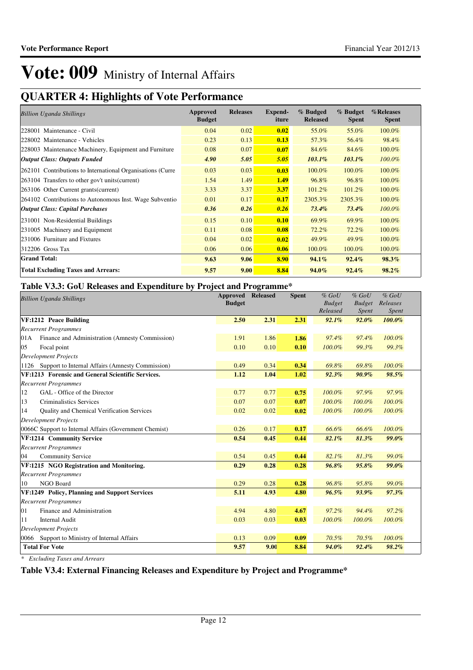## **QUARTER 4: Highlights of Vote Performance**

| <b>Billion Uganda Shillings</b>                            | Approved<br><b>Budget</b> | <b>Releases</b> | <b>Expend-</b><br>iture | % Budged<br><b>Released</b> | % Budget<br><b>Spent</b> | %Releases<br><b>Spent</b> |
|------------------------------------------------------------|---------------------------|-----------------|-------------------------|-----------------------------|--------------------------|---------------------------|
| 228001 Maintenance - Civil                                 | 0.04                      | 0.02            | 0.02                    | 55.0%                       | 55.0%                    | 100.0%                    |
| 228002 Maintenance - Vehicles                              | 0.23                      | 0.13            | 0.13                    | 57.3%                       | 56.4%                    | 98.4%                     |
| 228003 Maintenance Machinery, Equipment and Furniture      | 0.08                      | 0.07            | 0.07                    | 84.6%                       | 84.6%                    | 100.0%                    |
| <b>Output Class: Outputs Funded</b>                        | 4.90                      | 5.05            | 5.05                    | $103.1\%$                   | $103.1\%$                | $100.0\%$                 |
| 262101 Contributions to International Organisations (Curre | 0.03                      | 0.03            | 0.03                    | 100.0%                      | 100.0%                   | 100.0%                    |
| 263104 Transfers to other gov't units (current)            | 1.54                      | 1.49            | 1.49                    | 96.8%                       | 96.8%                    | 100.0%                    |
| 263106 Other Current grants (current)                      | 3.33                      | 3.37            | 3.37                    | 101.2%                      | 101.2%                   | 100.0%                    |
| 264102 Contributions to Autonomous Inst. Wage Subventio    | 0.01                      | 0.17            | 0.17                    | 2305.3%                     | 2305.3%                  | 100.0%                    |
| <b>Output Class: Capital Purchases</b>                     | 0.36                      | 0.26            | 0.26                    | $73.4\%$                    | $73.4\%$                 | 100.0%                    |
| 231001 Non-Residential Buildings                           | 0.15                      | 0.10            | 0.10                    | 69.9%                       | 69.9%                    | 100.0%                    |
| 231005 Machinery and Equipment                             | 0.11                      | 0.08            | 0.08                    | 72.2%                       | 72.2%                    | 100.0%                    |
| 231006 Furniture and Fixtures                              | 0.04                      | 0.02            | 0.02                    | 49.9%                       | 49.9%                    | 100.0%                    |
| 312206 Gross Tax                                           | 0.06                      | 0.06            | 0.06                    | 100.0%                      | 100.0%                   | 100.0%                    |
| <b>Grand Total:</b>                                        | 9.63                      | 9.06            | 8.90                    | 94.1%                       | 92.4%                    | 98.3%                     |
| <b>Total Excluding Taxes and Arrears:</b>                  | 9.57                      | 9.00            | 8.84                    | $94.0\%$                    | $92.4\%$                 | 98.2%                     |

## **Table V3.3: GoU Releases and Expenditure by Project and Programme\***

| <b>Billion Uganda Shillings</b>                        | <b>Approved Released</b> |      | <b>Spent</b> | $%$ GoU                   | $%$ GoU                | $%$ GoU           |
|--------------------------------------------------------|--------------------------|------|--------------|---------------------------|------------------------|-------------------|
|                                                        | <b>Budget</b>            |      |              | <b>Budget</b><br>Released | <b>Budget</b><br>Spent | Releases<br>Spent |
| VF:1212 Peace Building                                 | 2.50                     | 2.31 | 2.31         | 92.1%                     | $92.0\%$               | $100.0\%$         |
| <b>Recurrent Programmes</b>                            |                          |      |              |                           |                        |                   |
| Finance and Administration (Amnesty Commission)<br>01A | 1.91                     | 1.86 | 1.86         | 97.4%                     | 97.4%                  | 100.0%            |
| 05<br>Focal point                                      | 0.10                     | 0.10 | 0.10         | 100.0%                    | 99.3%                  | 99.3%             |
| <b>Development Projects</b>                            |                          |      |              |                           |                        |                   |
| 1126 Support to Internal Affairs (Amnesty Commission)  | 0.49                     | 0.34 | 0.34         | 69.8%                     | 69.8%                  | 100.0%            |
| VF:1213 Forensic and General Scientific Services.      | 1.12                     | 1.04 | 1.02         | 92.3%                     | $90.9\%$               | 98.5%             |
| <b>Recurrent Programmes</b>                            |                          |      |              |                           |                        |                   |
| GAL - Office of the Director<br>12                     | 0.77                     | 0.77 | 0.75         | 100.0%                    | 97.9%                  | 97.9%             |
| 13<br><b>Criminalistics Services</b>                   | 0.07                     | 0.07 | 0.07         | 100.0%                    | 100.0%                 | 100.0%            |
| Quality and Chemical Verification Services<br>14       | 0.02                     | 0.02 | 0.02         | 100.0%                    | 100.0%                 | 100.0%            |
| <b>Development Projects</b>                            |                          |      |              |                           |                        |                   |
| 0066C Support to Internal Affairs (Government Chemist) | 0.26                     | 0.17 | 0.17         | 66.6%                     | 66.6%                  | 100.0%            |
| VF:1214 Community Service                              | 0.54                     | 0.45 | 0.44         | 82.1%                     | 81.3%                  | 99.0%             |
| <b>Recurrent Programmes</b>                            |                          |      |              |                           |                        |                   |
| 04<br><b>Community Service</b>                         | 0.54                     | 0.45 | 0.44         | 82.1%                     | 81.3%                  | 99.0%             |
| VF:1215 NGO Registration and Monitoring.               | 0.29                     | 0.28 | 0.28         | 96.8%                     | 95.8%                  | 99.0%             |
| <b>Recurrent Programmes</b>                            |                          |      |              |                           |                        |                   |
| NGO Board<br>10                                        | 0.29                     | 0.28 | 0.28         | 96.8%                     | 95.8%                  | 99.0%             |
| VF:1249 Policy, Planning and Support Services          | 5.11                     | 4.93 | 4.80         | 96.5%                     | 93.9%                  | 97.3%             |
| <b>Recurrent Programmes</b>                            |                          |      |              |                           |                        |                   |
| Finance and Administration<br>01                       | 4.94                     | 4.80 | 4.67         | 97.2%                     | 94.4%                  | 97.2%             |
| Internal Audit<br>11                                   | 0.03                     | 0.03 | 0.03         | 100.0%                    | 100.0%                 | 100.0%            |
| <b>Development Projects</b>                            |                          |      |              |                           |                        |                   |
| 0066 Support to Ministry of Internal Affairs           | 0.13                     | 0.09 | 0.09         | 70.5%                     | 70.5%                  | 100.0%            |
| <b>Total For Vote</b>                                  | 9.57                     | 9.00 | 8.84         | $94.0\%$                  | 92.4%                  | 98.2%             |

*\* Excluding Taxes and Arrears*

## **Table V3.4: External Financing Releases and Expenditure by Project and Programme\***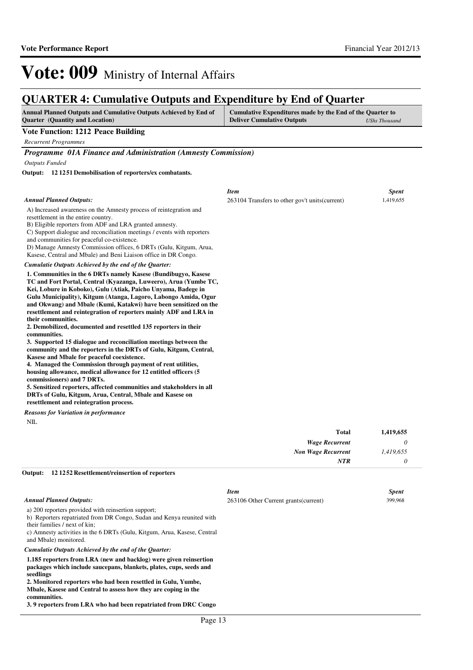## **QUARTER 4: Cumulative Outputs and Expenditure by End of Quarter**

| OUARTER 4: Cumulative Outputs and Expenditure by End of Quarter                                                                                                                                                                                                                                                                                                                                                                       |                                                                                                                        |              |  |  |  |
|---------------------------------------------------------------------------------------------------------------------------------------------------------------------------------------------------------------------------------------------------------------------------------------------------------------------------------------------------------------------------------------------------------------------------------------|------------------------------------------------------------------------------------------------------------------------|--------------|--|--|--|
| Annual Planned Outputs and Cumulative Outputs Achieved by End of<br><b>Quarter</b> (Quantity and Location)                                                                                                                                                                                                                                                                                                                            | Cumulative Expenditures made by the End of the Quarter to<br><b>Deliver Cumulative Outputs</b><br><b>UShs Thousand</b> |              |  |  |  |
| <b>Vote Function: 1212 Peace Building</b>                                                                                                                                                                                                                                                                                                                                                                                             |                                                                                                                        |              |  |  |  |
| <b>Recurrent Programmes</b>                                                                                                                                                                                                                                                                                                                                                                                                           |                                                                                                                        |              |  |  |  |
| <b>Programme 01A Finance and Administration (Amnesty Commission)</b>                                                                                                                                                                                                                                                                                                                                                                  |                                                                                                                        |              |  |  |  |
| <b>Outputs Funded</b>                                                                                                                                                                                                                                                                                                                                                                                                                 |                                                                                                                        |              |  |  |  |
| Output: 12 12 51 Demobilisation of reporters/ex combatants.                                                                                                                                                                                                                                                                                                                                                                           |                                                                                                                        |              |  |  |  |
|                                                                                                                                                                                                                                                                                                                                                                                                                                       | <b>Item</b>                                                                                                            | <b>Spent</b> |  |  |  |
| <b>Annual Planned Outputs:</b>                                                                                                                                                                                                                                                                                                                                                                                                        | 263104 Transfers to other gov't units (current)                                                                        | 1,419,655    |  |  |  |
| A) Increased awareness on the Amnesty process of reintegration and<br>resettlement in the entire country.<br>B) Eligible reporters from ADF and LRA granted amnesty.<br>C) Support dialogue and reconciliation meetings / events with reporters<br>and communities for peaceful co-existence.<br>D) Manage Amnesty Commission offices, 6 DRTs (Gulu, Kitgum, Arua,<br>Kasese, Central and Mbale) and Beni Liaison office in DR Congo. |                                                                                                                        |              |  |  |  |
| Cumulatie Outputs Achieved by the end of the Quarter:                                                                                                                                                                                                                                                                                                                                                                                 |                                                                                                                        |              |  |  |  |

**1. Communities in the 6 DRTs namely Kasese (Bundibugyo, Kasese TC and Fort Portal, Central (Kyazanga, Luweero), Arua (Yumbe TC, Kei, Lobure in Koboko), Gulu (Atiak, Paicho Unyama, Badege in Gulu Municipality), Kitgum (Atanga, Lagoro, Labongo Amida, Ogur and Okwang) and Mbale (Kumi, Katakwi) have been sensitized on the resettlement and reintegration of reporters mainly ADF and LRA in their communities.**

**2. Demobilized, documented and resettled 135 reporters in their communities.**

**3. Supported 15 dialogue and reconciliation meetings between the community and the reporters in the DRTs of Gulu, Kitgum, Central, Kasese and Mbale for peaceful coexistence.**

**4. Managed the Commission through payment of rent utilities, housing allowance, medical allowance for 12 entitled officers (5 commissioners) and 7 DRTs.**

**5. Sensitized reporters, affected communities and stakeholders in all DRTs of Gulu, Kitgum, Arua, Central, Mbale and Kasese on resettlement and reintegration process.**

NIL *Reasons for Variation in performance*

| 1,419,655 |
|-----------|
| 0         |
| 1,419,655 |
| 0         |
|           |

#### **12 1252 Resettlement/reinsertion of reporters Output:**

|                                                                                                                                                                                                                                                                                                          | <b>Item</b>                           | <b>Spent</b> |
|----------------------------------------------------------------------------------------------------------------------------------------------------------------------------------------------------------------------------------------------------------------------------------------------------------|---------------------------------------|--------------|
| <b>Annual Planned Outputs:</b>                                                                                                                                                                                                                                                                           | 263106 Other Current grants (current) | 399,968      |
| a) 200 reporters provided with reinsertion support;<br>b) Reporters repatriated from DR Congo, Sudan and Kenya reunited with<br>their families / next of kin:<br>c) Amnesty activities in the 6 DRTs (Gulu, Kitgum, Arua, Kasese, Central<br>and Mbale) monitored.                                       |                                       |              |
| Cumulatie Outputs Achieved by the end of the Ouarter:                                                                                                                                                                                                                                                    |                                       |              |
| 1.185 reporters from LRA (new and backlog) were given reinsertion<br>packages which include saucepans, blankets, plates, cups, seeds and<br>seedlings<br>2. Monitored reporters who had been resettled in Gulu, Yumbe,<br>Mbale, Kasese and Central to assess how they are coping in the<br>communities. |                                       |              |
| 3.9 reporters from LRA who had been repatriated from DRC Congo                                                                                                                                                                                                                                           |                                       |              |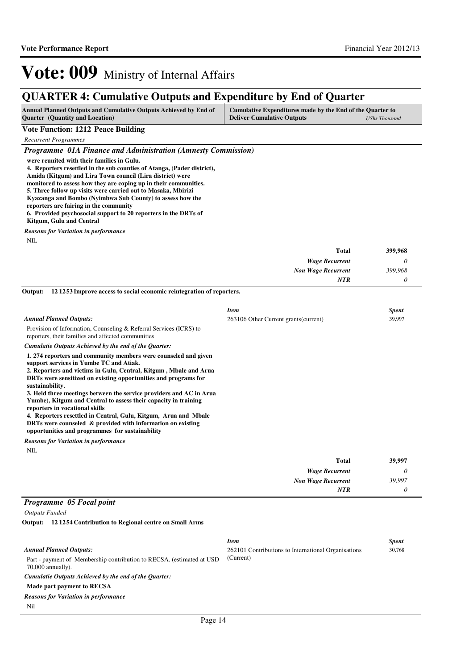## **QUARTER 4: Cumulative Outputs and Expenditure by End of Quarter**

| <b>Annual Planned Outputs and Cumulative Outputs Achieved by End of</b> | Cumulative Expenditures made by the End of the Quarter to |               |
|-------------------------------------------------------------------------|-----------------------------------------------------------|---------------|
| <b>Quarter</b> (Quantity and Location)                                  | <b>Deliver Cumulative Outputs</b>                         | UShs Thousand |

### **Vote Function: 1212 Peace Building**

*Recurrent Programmes*

*Programme 01A Finance and Administration (Amnesty Commission)*

**were reunited with their families in Gulu.** 

**4. Reporters resettled in the sub counties of Atanga, (Pader district),** 

**Amida (Kitgum) and Lira Town council (Lira district) were** 

**monitored to assess how they are coping up in their communities. 5. Three follow up visits were carried out to Masaka, Mbirizi** 

**Kyazanga and Bombo (Nyimbwa Sub County) to assess how the** 

**reporters are fairing in the community**

**6. Provided psychosocial support to 20 reporters in the DRTs of** 

**Kitgum, Gulu and Central**

*Reasons for Variation in performance*

NIL

| 399,968 | <b>Total</b>              |
|---------|---------------------------|
|         | <b>Wage Recurrent</b>     |
| 399,968 | <b>Non Wage Recurrent</b> |
|         | <b>NTR</b>                |

**12 1253 Improve access to social economic reintegration of reporters. Output:**

|                                                                                                                                                                                                                                                                                                                                                                                                                                                                                                                                                                                                                                       | <b>Item</b>                           |       | <b>Spent</b> |
|---------------------------------------------------------------------------------------------------------------------------------------------------------------------------------------------------------------------------------------------------------------------------------------------------------------------------------------------------------------------------------------------------------------------------------------------------------------------------------------------------------------------------------------------------------------------------------------------------------------------------------------|---------------------------------------|-------|--------------|
| <b>Annual Planned Outputs:</b>                                                                                                                                                                                                                                                                                                                                                                                                                                                                                                                                                                                                        | 263106 Other Current grants (current) |       | 39,997       |
| Provision of Information, Counseling & Referral Services (ICRS) to<br>reporters, their families and affected communities                                                                                                                                                                                                                                                                                                                                                                                                                                                                                                              |                                       |       |              |
| Cumulatie Outputs Achieved by the end of the Quarter:                                                                                                                                                                                                                                                                                                                                                                                                                                                                                                                                                                                 |                                       |       |              |
| 1.274 reporters and community members were counseled and given<br>support services in Yumbe TC and Atiak.<br>2. Reporters and victims in Gulu, Central, Kitgum, Mbale and Arua<br>DRTs were sensitized on existing opportunities and programs for<br>sustainability.<br>3. Held three meetings between the service providers and AC in Arua<br>Yumbe), Kitgum and Central to assess their capacity in training<br>reporters in vocational skills<br>4. Reporters resettled in Central, Gulu, Kitgum, Arua and Mbale<br>DRTs were counseled & provided with information on existing<br>opportunities and programmes for sustainability |                                       |       |              |
| <b>Reasons for Variation in performance</b>                                                                                                                                                                                                                                                                                                                                                                                                                                                                                                                                                                                           |                                       |       |              |
| <b>NIL</b>                                                                                                                                                                                                                                                                                                                                                                                                                                                                                                                                                                                                                            |                                       |       |              |
|                                                                                                                                                                                                                                                                                                                                                                                                                                                                                                                                                                                                                                       |                                       | Total | 39.997       |

|        | $\sim$ $\sim$ $\sim$ $\sim$ |
|--------|-----------------------------|
|        | <b>Wage Recurrent</b>       |
| 39,997 | <b>Non Wage Recurrent</b>   |
|        | <b>NTR</b>                  |

### *Programme 05 Focal point*

*Outputs Funded*

**12 1254 Contribution to Regional centre on Small Arms Output:**

|                                                                                               | <b>Item</b>                                         | <b>Spent</b> |
|-----------------------------------------------------------------------------------------------|-----------------------------------------------------|--------------|
| <b>Annual Planned Outputs:</b>                                                                | 262101 Contributions to International Organisations | 30,768       |
| Part - payment of Membership contribution to RECSA. (estimated at USD)<br>$70,000$ annually). | (Current)                                           |              |
| Cumulatie Outputs Achieved by the end of the Ouarter:                                         |                                                     |              |
| Made part payment to RECSA                                                                    |                                                     |              |
| <b>Reasons for Variation in performance</b>                                                   |                                                     |              |
| Nil                                                                                           |                                                     |              |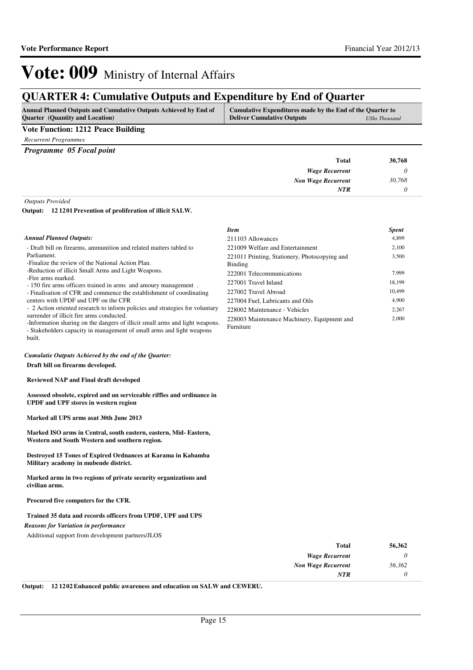## **QUARTER 4: Cumulative Outputs and Expenditure by End of Quarter**

| <b>Annual Planned Outputs and Cumulative Outputs Achieved by End of</b> | Cumulative Expenditures made by the End of the Quarter to |               |
|-------------------------------------------------------------------------|-----------------------------------------------------------|---------------|
| <b>Quarter</b> (Quantity and Location)                                  | <b>Deliver Cumulative Outputs</b>                         | UShs Thousand |

### **Vote Function: 1212 Peace Building**

*Recurrent Programmes*

*Programme 05 Focal point*

| <b>Total</b>              | 30,768 |
|---------------------------|--------|
| <b>Wage Recurrent</b>     |        |
| <b>Non Wage Recurrent</b> | 30,768 |
| <b>NTR</b>                |        |
|                           |        |

*Outputs Provided*

built.

### **12 1201 Prevention of proliferation of illicit SALW. Output:**

|                                                                                                                           | <b>Item</b>                                              | <b>Spent</b> |
|---------------------------------------------------------------------------------------------------------------------------|----------------------------------------------------------|--------------|
| <b>Annual Planned Outputs:</b>                                                                                            | 211103 Allowances                                        | 4.899        |
| - Draft bill on firearms, ammunition and related matters tabled to                                                        | 221009 Welfare and Entertainment                         | 2.100        |
| Parliament.                                                                                                               | 221011 Printing, Stationery, Photocopying and            | 3,500        |
| -Finalize the review of the National Action Plan.                                                                         | Binding                                                  |              |
| -Reduction of illicit Small Arms and Light Weapons.                                                                       | 222001 Telecommunications                                | 7.999        |
| -Fire arms marked.<br>- 150 fire arms officers trained in arms and amoury management.                                     | 227001 Travel Inland                                     | 18.199       |
| - Finalisation of CFR and commence the establishment of coordinating                                                      | 227002 Travel Abroad                                     | 10.499       |
| centers with UPDF and UPF on the CFR                                                                                      | 227004 Fuel, Lubricants and Oils                         | 4.900        |
| - 2 Action oriented research to inform policies and strategies for voluntary                                              | 228002 Maintenance - Vehicles                            | 2.267        |
| surrender of illicit fire arms conducted.<br>-Information sharing on the dangers of illicit small arms and light weapons. | 228003 Maintenance Machinery, Equipment and<br>Furniture | 2,000        |

#### *Cumulatie Outputs Achieved by the end of the Quarter:*

**Draft bill on firearms developed.**

### **Reviewed NAP and Final draft developed**

**Assessed obsolete, expired and un serviceable riffles and ordinance in UPDF and UPF stores in western region** 

- Stakeholders capacity in management of small arms and light weapons

#### **Marked all UPS arms asat 30th June 2013**

**Marked ISO arms in Central, south eastern, eastern, Mid- Eastern, Western and South Western and southern region.**

#### **Destroyed 15 Tones of Expired Ordnances at Karama in Kabamba Military academy in mubende district.**

**Marked arms in two regions of private security organizations and civilian arms.**

### **Procured five computers for the CFR.**

#### **Trained 35 data and records officers from UPDF, UPF and UPS**

*Reasons for Variation in performance*

Additional support from development partners/JLOS

| 56,362 | Total                     |
|--------|---------------------------|
|        | <b>Wage Recurrent</b>     |
| 56,362 | <b>Non Wage Recurrent</b> |
|        | <b>NTR</b>                |
|        |                           |

**Output: 12 1202 Enhanced public awareness and education on SALW and CEWERU.**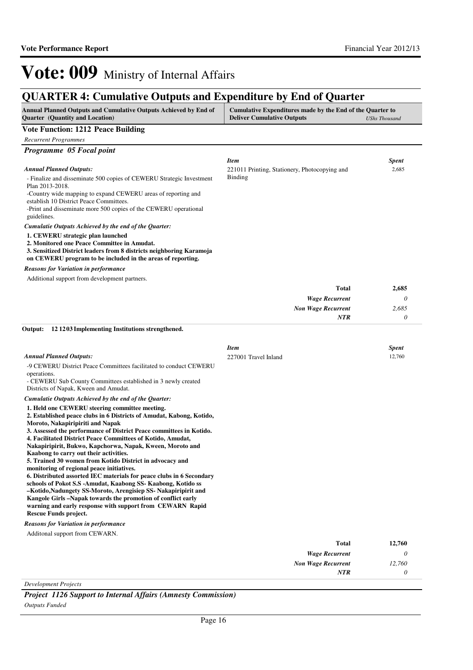## **QUARTER 4: Cumulative Outputs and Expenditure by End of Quarter**

| Annual Planned Outputs and Cumulative Outputs Achieved by End of<br><b>Quarter</b> (Quantity and Location)                                                                                                                                                                                                                                                                                                                                                                                                                                                                                                                                                                                                                                                                                                                                                                     | Cumulative Expenditures made by the End of the Quarter to<br><b>Deliver Cumulative Outputs</b><br><b>UShs Thousand</b> |                          |
|--------------------------------------------------------------------------------------------------------------------------------------------------------------------------------------------------------------------------------------------------------------------------------------------------------------------------------------------------------------------------------------------------------------------------------------------------------------------------------------------------------------------------------------------------------------------------------------------------------------------------------------------------------------------------------------------------------------------------------------------------------------------------------------------------------------------------------------------------------------------------------|------------------------------------------------------------------------------------------------------------------------|--------------------------|
| <b>Vote Function: 1212 Peace Building</b>                                                                                                                                                                                                                                                                                                                                                                                                                                                                                                                                                                                                                                                                                                                                                                                                                                      |                                                                                                                        |                          |
| <b>Recurrent Programmes</b>                                                                                                                                                                                                                                                                                                                                                                                                                                                                                                                                                                                                                                                                                                                                                                                                                                                    |                                                                                                                        |                          |
| Programme 05 Focal point                                                                                                                                                                                                                                                                                                                                                                                                                                                                                                                                                                                                                                                                                                                                                                                                                                                       |                                                                                                                        |                          |
| Annual Planned Outputs:<br>- Finalize and disseminate 500 copies of CEWERU Strategic Investment<br>Plan 2013-2018.<br>-Country wide mapping to expand CEWERU areas of reporting and<br>establish 10 District Peace Committees.<br>-Print and disseminate more 500 copies of the CEWERU operational<br>guidelines.                                                                                                                                                                                                                                                                                                                                                                                                                                                                                                                                                              | Item<br>221011 Printing, Stationery, Photocopying and<br>Binding                                                       | <b>Spent</b><br>2,685    |
| Cumulatie Outputs Achieved by the end of the Quarter:                                                                                                                                                                                                                                                                                                                                                                                                                                                                                                                                                                                                                                                                                                                                                                                                                          |                                                                                                                        |                          |
| 1. CEWERU strategic plan launched<br>2. Monitored one Peace Committee in Amudat.<br>3. Sensitized District leaders from 8 districts neighboring Karamoja<br>on CEWERU program to be included in the areas of reporting.<br><b>Reasons for Variation in performance</b>                                                                                                                                                                                                                                                                                                                                                                                                                                                                                                                                                                                                         |                                                                                                                        |                          |
| Additional support from development partners.                                                                                                                                                                                                                                                                                                                                                                                                                                                                                                                                                                                                                                                                                                                                                                                                                                  |                                                                                                                        |                          |
|                                                                                                                                                                                                                                                                                                                                                                                                                                                                                                                                                                                                                                                                                                                                                                                                                                                                                | Total<br><b>Wage Recurrent</b><br><b>Non Wage Recurrent</b><br>NTR                                                     | 2,685<br>0<br>2,685<br>0 |
| Output:<br>121203 Implementing Institutions strengthened.                                                                                                                                                                                                                                                                                                                                                                                                                                                                                                                                                                                                                                                                                                                                                                                                                      |                                                                                                                        |                          |
| <b>Annual Planned Outputs:</b><br>-9 CEWERU District Peace Committees facilitated to conduct CEWERU<br>operations.<br>- CEWERU Sub County Committees established in 3 newly created<br>Districts of Napak, Kween and Amudat.                                                                                                                                                                                                                                                                                                                                                                                                                                                                                                                                                                                                                                                   | Item<br>227001 Travel Inland                                                                                           | <b>Spent</b><br>12,760   |
| Cumulatie Outputs Achieved by the end of the Quarter:                                                                                                                                                                                                                                                                                                                                                                                                                                                                                                                                                                                                                                                                                                                                                                                                                          |                                                                                                                        |                          |
| 1. Held one CEWERU steering committee meeting.<br>2. Established peace clubs in 6 Districts of Amudat, Kabong, Kotido,<br>Moroto, Nakapiripiriti and Napak<br>3. Assessed the performance of District Peace committees in Kotido.<br>4. Facilitated District Peace Committees of Kotido, Amudat,<br>Nakapiripirit, Bukwo, Kapchorwa, Napak, Kween, Moroto and<br>Kaabong to carry out their activities.<br>5. Trained 30 women from Kotido District in advocacy and<br>monitoring of regional peace initiatives.<br>6. Distributed assorted IEC materials for peace clubs in 6 Secondary<br>schools of Pokot S.S -Amudat, Kaabong SS- Kaabong, Kotido ss<br>–Kotido,Nadungety SS-Moroto, Arengisiep SS-Nakapiripirit and<br>Kangole Girls –Napak towards the promotion of conflict early<br>warning and early response with support from CEWARN Rapid<br>Rescue Funds project. |                                                                                                                        |                          |
| <b>Reasons for Variation in performance</b>                                                                                                                                                                                                                                                                                                                                                                                                                                                                                                                                                                                                                                                                                                                                                                                                                                    |                                                                                                                        |                          |
| Additonal support from CEWARN.                                                                                                                                                                                                                                                                                                                                                                                                                                                                                                                                                                                                                                                                                                                                                                                                                                                 |                                                                                                                        |                          |
|                                                                                                                                                                                                                                                                                                                                                                                                                                                                                                                                                                                                                                                                                                                                                                                                                                                                                | <b>Total</b>                                                                                                           | 12,760                   |
|                                                                                                                                                                                                                                                                                                                                                                                                                                                                                                                                                                                                                                                                                                                                                                                                                                                                                | <b>Wage Recurrent</b>                                                                                                  | 0                        |
|                                                                                                                                                                                                                                                                                                                                                                                                                                                                                                                                                                                                                                                                                                                                                                                                                                                                                | <b>Non Wage Recurrent</b><br><b>NTR</b>                                                                                | 12,760<br>0              |
|                                                                                                                                                                                                                                                                                                                                                                                                                                                                                                                                                                                                                                                                                                                                                                                                                                                                                |                                                                                                                        |                          |

*Development Projects*

*Project 1126 Support to Internal Affairs (Amnesty Commission) Outputs Funded*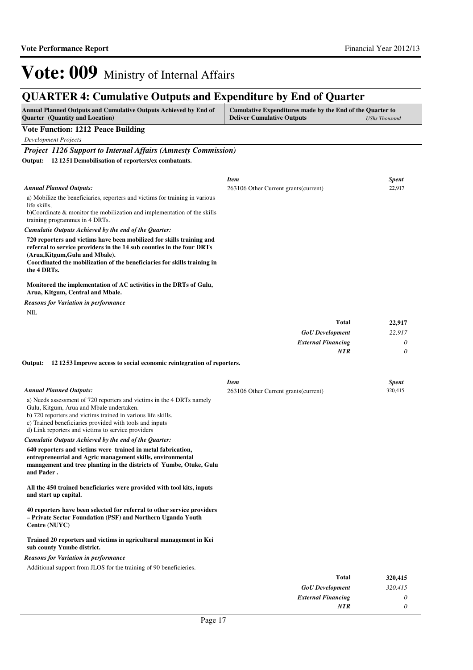# Vote: 009 Ministry of Internal Affairs

## **QUARTER 4: Cumulative Outputs and Expenditure by End of Quarter**

| QUINTER 7. Camalative Outputs and Expenditure by End of Quarter<br>Annual Planned Outputs and Cumulative Outputs Achieved by End of<br><b>Quarter</b> (Quantity and Location) | Cumulative Expenditures made by the End of the Quarter to<br><b>Deliver Cumulative Outputs</b> | <b>UShs Thousand</b>   |
|-------------------------------------------------------------------------------------------------------------------------------------------------------------------------------|------------------------------------------------------------------------------------------------|------------------------|
| <b>Vote Function: 1212 Peace Building</b>                                                                                                                                     |                                                                                                |                        |
| <b>Development Projects</b>                                                                                                                                                   |                                                                                                |                        |
| <b>Project 1126 Support to Internal Affairs (Amnesty Commission)</b>                                                                                                          |                                                                                                |                        |
| Output: 12 1251 Demobilisation of reporters/ex combatants.                                                                                                                    |                                                                                                |                        |
|                                                                                                                                                                               |                                                                                                |                        |
| <b>Annual Planned Outputs:</b>                                                                                                                                                | <b>Item</b><br>263106 Other Current grants (current)                                           | <b>Spent</b><br>22,917 |
| a) Mobilize the beneficiaries, reporters and victims for training in various                                                                                                  |                                                                                                |                        |
| life skills.                                                                                                                                                                  |                                                                                                |                        |
| b)Coordinate & monitor the mobilization and implementation of the skills<br>training programmes in 4 DRTs.                                                                    |                                                                                                |                        |
| Cumulatie Outputs Achieved by the end of the Quarter:                                                                                                                         |                                                                                                |                        |
| 720 reporters and victims have been mobilized for skills training and                                                                                                         |                                                                                                |                        |
| referral to service providers in the 14 sub counties in the four DRTs<br>(Arua, Kitgum, Gulu and Mbale).                                                                      |                                                                                                |                        |
| Coordinated the mobilization of the beneficiaries for skills training in                                                                                                      |                                                                                                |                        |
| the 4 DRTs.                                                                                                                                                                   |                                                                                                |                        |
| Monitored the implementation of AC activities in the DRTs of Gulu,<br>Arua, Kitgum, Central and Mbale.                                                                        |                                                                                                |                        |
| <b>Reasons for Variation in performance</b>                                                                                                                                   |                                                                                                |                        |
| <b>NIL</b>                                                                                                                                                                    |                                                                                                |                        |
|                                                                                                                                                                               | Total                                                                                          | 22,917                 |
|                                                                                                                                                                               | <b>GoU</b> Development                                                                         | 22,917                 |
|                                                                                                                                                                               | <b>External Financing</b><br><b>NTR</b>                                                        | $\theta$<br>$\theta$   |
| Output:<br>12 12 53 Improve access to social economic reintegration of reporters.                                                                                             |                                                                                                |                        |
|                                                                                                                                                                               |                                                                                                |                        |
|                                                                                                                                                                               | Item                                                                                           | <b>Spent</b>           |
| <b>Annual Planned Outputs:</b>                                                                                                                                                | 263106 Other Current grants (current)                                                          | 320,415                |
| a) Needs assessment of 720 reporters and victims in the 4 DRTs namely<br>Gulu, Kitgum, Arua and Mbale undertaken.                                                             |                                                                                                |                        |
| b) 720 reporters and victims trained in various life skills.                                                                                                                  |                                                                                                |                        |
| c) Trained beneficiaries provided with tools and inputs<br>d) Link reporters and victims to service providers                                                                 |                                                                                                |                        |
| Cumulatie Outputs Achieved by the end of the Quarter:                                                                                                                         |                                                                                                |                        |
| 640 reporters and victims were trained in metal fabrication,                                                                                                                  |                                                                                                |                        |
| entrepreneurial and Agric management skills, environmental<br>management and tree planting in the districts of Yumbe, Otuke, Gulu                                             |                                                                                                |                        |
| and Pader.                                                                                                                                                                    |                                                                                                |                        |
|                                                                                                                                                                               |                                                                                                |                        |
| All the 450 trained beneficiaries were provided with tool kits, inputs<br>and start up capital.                                                                               |                                                                                                |                        |
|                                                                                                                                                                               |                                                                                                |                        |
| 40 reporters have been selected for referral to other service providers<br>- Private Sector Foundation (PSF) and Northern Uganda Youth<br>Centre (NUYC)                       |                                                                                                |                        |
| Trained 20 reporters and victims in agricultural management in Kei                                                                                                            |                                                                                                |                        |
| sub county Yumbe district.                                                                                                                                                    |                                                                                                |                        |
| <b>Reasons for Variation in performance</b><br>Additional support from JLOS for the training of 90 beneficieries.                                                             |                                                                                                |                        |
|                                                                                                                                                                               | <b>Total</b>                                                                                   | 320,415                |
|                                                                                                                                                                               | <b>GoU</b> Development                                                                         | 320,415                |
|                                                                                                                                                                               | <b>External Financing</b>                                                                      | 0                      |
|                                                                                                                                                                               | <b>NTR</b>                                                                                     | 0                      |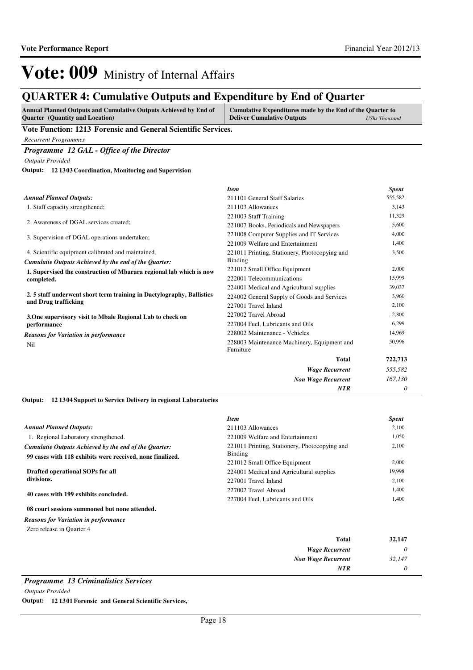## **QUARTER 4: Cumulative Outputs and Expenditure by End of Quarter**

| Annual Planned Outputs and Cumulative Outputs Achieved by End of | Cumulative Expenditures made by the End of the Quarter to |               |
|------------------------------------------------------------------|-----------------------------------------------------------|---------------|
| <b>Quarter</b> (Quantity and Location)                           | <b>Deliver Cumulative Outputs</b>                         | UShs Thousand |

**Vote Function: 1213 Forensic and General Scientific Services.**

*Recurrent Programmes*

*Programme 12 GAL - Office of the Director*

*Outputs Provided*

**12 1303 Coordination, Monitoring and Supervision Output:**

|                                                                      | <b>Item</b>                                              | <b>Spent</b> |
|----------------------------------------------------------------------|----------------------------------------------------------|--------------|
| <b>Annual Planned Outputs:</b>                                       | 211101 General Staff Salaries                            | 555,582      |
| 1. Staff capacity strengthened;                                      | 211103 Allowances                                        | 3,143        |
|                                                                      | 221003 Staff Training                                    | 11,329       |
| 2. Awareness of DGAL services created;                               | 221007 Books, Periodicals and Newspapers                 | 5,600        |
| 3. Supervision of DGAL operations undertaken;                        | 221008 Computer Supplies and IT Services                 | 4,000        |
|                                                                      | 221009 Welfare and Entertainment                         | 1,400        |
| 4. Scientific equipment calibrated and maintained.                   | 221011 Printing, Stationery, Photocopying and            | 3,500        |
| Cumulatie Outputs Achieved by the end of the Quarter:                | Binding                                                  |              |
| 1. Supervised the construction of Mbarara regional lab which is now  | 221012 Small Office Equipment                            | 2,000        |
| completed.                                                           | 222001 Telecommunications                                | 15,999       |
|                                                                      | 224001 Medical and Agricultural supplies                 | 39,037       |
| 2.5 staff underwent short term training in Dactylography, Ballistics | 224002 General Supply of Goods and Services              | 3,960        |
| and Drug trafficking                                                 | 227001 Travel Inland                                     | 2,100        |
| 3. One supervisory visit to Mbale Regional Lab to check on           | 227002 Travel Abroad                                     | 2,800        |
| performance                                                          | 227004 Fuel, Lubricants and Oils                         | 6,299        |
| <b>Reasons for Variation in performance</b>                          | 228002 Maintenance - Vehicles                            | 14,969       |
| Nil                                                                  | 228003 Maintenance Machinery, Equipment and<br>Furniture | 50,996       |
|                                                                      | Total                                                    | 722,713      |
|                                                                      | <b>Wage Recurrent</b>                                    | 555,582      |
|                                                                      | <b>Non Wage Recurrent</b>                                | 167,130      |
|                                                                      | <b>NTR</b>                                               | 0            |

### **12 1304 Support to Service Delivery in regional Laboratories Output:**

|                                                           | <b>Item</b>                                   | <b>Spent</b> |
|-----------------------------------------------------------|-----------------------------------------------|--------------|
| <b>Annual Planned Outputs:</b>                            | 211103 Allowances                             | 2,100        |
| 1. Regional Laboratory strengthened.                      | 221009 Welfare and Entertainment              | 1,050        |
| Cumulatie Outputs Achieved by the end of the Ouarter:     | 221011 Printing, Stationery, Photocopying and | 2,100        |
| 99 cases with 118 exhibits were received, none finalized. | Binding                                       |              |
|                                                           | 221012 Small Office Equipment                 | 2,000        |
| Drafted operational SOPs for all                          | 224001 Medical and Agricultural supplies      | 19.998       |
| divisions.                                                | 227001 Travel Inland                          | 2,100        |
| 40 cases with 199 exhibits concluded.                     | 227002 Travel Abroad                          | 1,400        |
|                                                           | 227004 Fuel, Lubricants and Oils              | 1,400        |
| 08 court sessions summoned but none attended.             |                                               |              |
|                                                           |                                               |              |

*Reasons for Variation in performance*

Zero release in Quarter 4

|   | $\sim$<br><b>Total</b>    | 32,147 |
|---|---------------------------|--------|
|   | <b>Wage Recurrent</b>     |        |
|   | <b>Non Wage Recurrent</b> | 32,147 |
|   | <b>NTR</b>                |        |
| _ |                           |        |

### *Programme 13 Criminalistics Services*

*Outputs Provided*

**Output: 12 1301 Forensic and General Scientific Services,**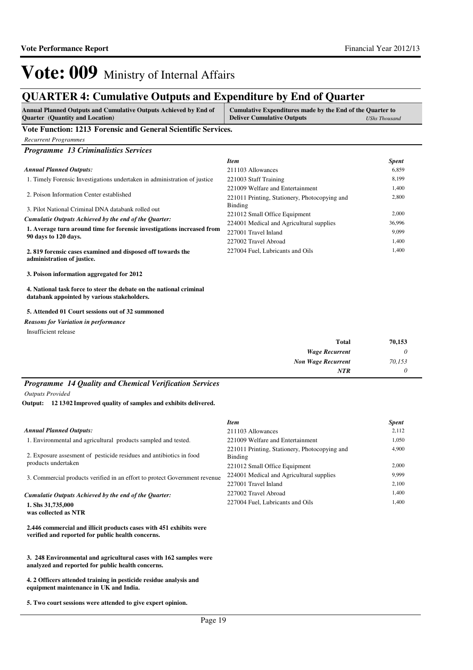## **QUARTER 4: Cumulative Outputs and Expenditure by End of Quarter**

| <b>Annual Planned Outputs and Cumulative Outputs Achieved by End of</b><br><b>Quarter</b> (Quantity and Location)  | Cumulative Expenditures made by the End of the Quarter to<br><b>Deliver Cumulative Outputs</b> | <b>UShs Thousand</b> |
|--------------------------------------------------------------------------------------------------------------------|------------------------------------------------------------------------------------------------|----------------------|
| Vote Function: 1213 Forensic and General Scientific Services.                                                      |                                                                                                |                      |
| <b>Recurrent Programmes</b>                                                                                        |                                                                                                |                      |
| <b>Programme 13 Criminalistics Services</b>                                                                        |                                                                                                |                      |
|                                                                                                                    | <b>Item</b>                                                                                    | <b>Spent</b>         |
| <b>Annual Planned Outputs:</b>                                                                                     | 211103 Allowances                                                                              | 6,859                |
| 1. Timely Forensic Investigations undertaken in administration of justice                                          | 221003 Staff Training                                                                          | 8,199                |
|                                                                                                                    | 221009 Welfare and Entertainment                                                               | 1.400                |
| 2. Poison Information Center established                                                                           | 221011 Printing, Stationery, Photocopying and                                                  | 2,800                |
| 3. Pilot National Criminal DNA databank rolled out                                                                 | Binding                                                                                        |                      |
| Cumulatie Outputs Achieved by the end of the Quarter:                                                              | 221012 Small Office Equipment                                                                  | 2,000                |
|                                                                                                                    | 224001 Medical and Agricultural supplies                                                       | 36,996               |
| 1. Average turn around time for forensic investigations increased from<br>90 days to 120 days.                     | 227001 Travel Inland                                                                           | 9,099                |
|                                                                                                                    | 227002 Travel Abroad                                                                           | 1,400                |
| 2.819 forensic cases examined and disposed off towards the<br>administration of justice.                           | 227004 Fuel, Lubricants and Oils                                                               | 1,400                |
| 3. Poison information aggregated for 2012                                                                          |                                                                                                |                      |
| 4. National task force to steer the debate on the national criminal<br>databank appointed by various stakeholders. |                                                                                                |                      |

### **5. Attended 01 Court sessions out of 32 summoned**

Insufficient release *Reasons for Variation in performance*

| Total                     | 70,153 |
|---------------------------|--------|
| <b>Wage Recurrent</b>     | 0      |
| <b>Non Wage Recurrent</b> | 70,153 |
| <b>NTR</b>                | 0      |

## *Programme 14 Quality and Chemical Verification Services*

*Outputs Provided*

**12 1302 Improved quality of samples and exhibits delivered. Output:**

|                                                                                                                         | <b>Item</b>                                              | <i>Spent</i> |
|-------------------------------------------------------------------------------------------------------------------------|----------------------------------------------------------|--------------|
| <b>Annual Planned Outputs:</b>                                                                                          | 211103 Allowances                                        | 2,112        |
| 1. Environmental and agricultural products sampled and tested.                                                          | 221009 Welfare and Entertainment                         | 1,050        |
| 2. Exposure assessment of pesticide residues and antibiotics in food                                                    | 221011 Printing, Stationery, Photocopying and<br>Binding | 4,900        |
| products undertaken                                                                                                     | 221012 Small Office Equipment                            | 2,000        |
| 3. Commercial products verified in an effort to protect Government revenue                                              | 224001 Medical and Agricultural supplies                 | 9.999        |
|                                                                                                                         | 227001 Travel Inland                                     | 2,100        |
| Cumulatie Outputs Achieved by the end of the Ouarter:                                                                   | 227002 Travel Abroad                                     | 1,400        |
| 1. Shs 31,735,000<br>was collected as NTR                                                                               | 227004 Fuel, Lubricants and Oils                         | 1,400        |
| 2.446 commercial and illicit products cases with 451 exhibits were<br>verified and reported for public health concerns. |                                                          |              |
|                                                                                                                         |                                                          |              |

**3. 248 Environmental and agricultural cases with 162 samples were analyzed and reported for public health concerns.**

**4. 2 Officers attended training in pesticide residue analysis and equipment maintenance in UK and India.**

**5. Two court sessions were attended to give expert opinion.**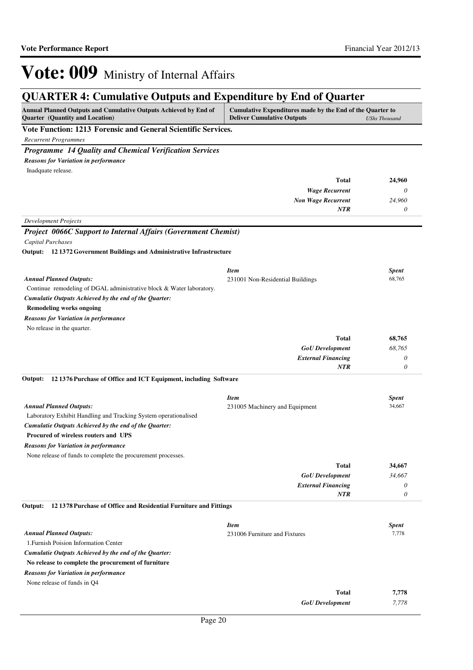## **QUARTER 4: Cumulative Outputs and Expenditure by End of Quarter**

| Vote Function: 1213 Forensic and General Scientific Services.<br><b>Recurrent Programmes</b><br>Programme 14 Quality and Chemical Verification Services<br><b>Reasons for Variation in performance</b><br>Inadquate release.<br><b>Total</b><br>24,960<br>$\theta$<br><b>Wage Recurrent</b><br><b>Non Wage Recurrent</b><br>24,960<br><b>NTR</b><br>$\theta$<br><b>Development Projects</b><br><b>Project 0066C Support to Internal Affairs (Government Chemist)</b><br><b>Capital Purchases</b><br>Output: 12 1372 Government Buildings and Administrative Infrastructure<br><b>Item</b><br>Spent<br><b>Annual Planned Outputs:</b><br>68,765<br>231001 Non-Residential Buildings<br>Continue remodeling of DGAL administrative block & Water laboratory.<br>Cumulatie Outputs Achieved by the end of the Quarter:<br><b>Remodeling works ongoing</b><br><b>Reasons for Variation in performance</b><br>No release in the quarter.<br><b>Total</b><br>68,765<br><b>GoU</b> Development<br>68,765<br><b>External Financing</b><br>0<br><b>NTR</b><br>$\theta$<br>12 1376 Purchase of Office and ICT Equipment, including Software<br>Output:<br><b>Item</b><br><b>Spent</b><br><b>Annual Planned Outputs:</b><br>34,667<br>231005 Machinery and Equipment<br>Laboratory Exhibit Handling and Tracking System operationalised<br>Cumulatie Outputs Achieved by the end of the Quarter:<br><b>Procured of wireless routers and UPS</b><br><b>Reasons for Variation in performance</b><br>None release of funds to complete the procurement processes.<br><b>Total</b><br>34,667<br>34,667<br><b>GoU</b> Development<br><b>External Financing</b><br>0<br>0<br><b>NTR</b><br>121378 Purchase of Office and Residential Furniture and Fittings<br><b>Item</b><br><b>Spent</b><br><b>Annual Planned Outputs:</b><br>7,778<br>231006 Furniture and Fixtures<br>1. Furnish Poision Information Center<br>Cumulatie Outputs Achieved by the end of the Quarter:<br>No release to complete the procurement of furniture<br><b>Reasons for Variation in performance</b><br>None release of funds in Q4<br><b>Total</b><br>7,778<br><b>GoU</b> Development<br>7,778 | Annual Planned Outputs and Cumulative Outputs Achieved by End of<br><b>Quarter</b> (Quantity and Location) | Cumulative Expenditures made by the End of the Quarter to<br><b>Deliver Cumulative Outputs</b> | <b>UShs Thousand</b> |
|----------------------------------------------------------------------------------------------------------------------------------------------------------------------------------------------------------------------------------------------------------------------------------------------------------------------------------------------------------------------------------------------------------------------------------------------------------------------------------------------------------------------------------------------------------------------------------------------------------------------------------------------------------------------------------------------------------------------------------------------------------------------------------------------------------------------------------------------------------------------------------------------------------------------------------------------------------------------------------------------------------------------------------------------------------------------------------------------------------------------------------------------------------------------------------------------------------------------------------------------------------------------------------------------------------------------------------------------------------------------------------------------------------------------------------------------------------------------------------------------------------------------------------------------------------------------------------------------------------------------------------------------------------------------------------------------------------------------------------------------------------------------------------------------------------------------------------------------------------------------------------------------------------------------------------------------------------------------------------------------------------------------------------------------------------------------------------------------------------------------------------------------------------|------------------------------------------------------------------------------------------------------------|------------------------------------------------------------------------------------------------|----------------------|
|                                                                                                                                                                                                                                                                                                                                                                                                                                                                                                                                                                                                                                                                                                                                                                                                                                                                                                                                                                                                                                                                                                                                                                                                                                                                                                                                                                                                                                                                                                                                                                                                                                                                                                                                                                                                                                                                                                                                                                                                                                                                                                                                                          |                                                                                                            |                                                                                                |                      |
|                                                                                                                                                                                                                                                                                                                                                                                                                                                                                                                                                                                                                                                                                                                                                                                                                                                                                                                                                                                                                                                                                                                                                                                                                                                                                                                                                                                                                                                                                                                                                                                                                                                                                                                                                                                                                                                                                                                                                                                                                                                                                                                                                          |                                                                                                            |                                                                                                |                      |
|                                                                                                                                                                                                                                                                                                                                                                                                                                                                                                                                                                                                                                                                                                                                                                                                                                                                                                                                                                                                                                                                                                                                                                                                                                                                                                                                                                                                                                                                                                                                                                                                                                                                                                                                                                                                                                                                                                                                                                                                                                                                                                                                                          |                                                                                                            |                                                                                                |                      |
|                                                                                                                                                                                                                                                                                                                                                                                                                                                                                                                                                                                                                                                                                                                                                                                                                                                                                                                                                                                                                                                                                                                                                                                                                                                                                                                                                                                                                                                                                                                                                                                                                                                                                                                                                                                                                                                                                                                                                                                                                                                                                                                                                          |                                                                                                            |                                                                                                |                      |
|                                                                                                                                                                                                                                                                                                                                                                                                                                                                                                                                                                                                                                                                                                                                                                                                                                                                                                                                                                                                                                                                                                                                                                                                                                                                                                                                                                                                                                                                                                                                                                                                                                                                                                                                                                                                                                                                                                                                                                                                                                                                                                                                                          |                                                                                                            |                                                                                                |                      |
|                                                                                                                                                                                                                                                                                                                                                                                                                                                                                                                                                                                                                                                                                                                                                                                                                                                                                                                                                                                                                                                                                                                                                                                                                                                                                                                                                                                                                                                                                                                                                                                                                                                                                                                                                                                                                                                                                                                                                                                                                                                                                                                                                          |                                                                                                            |                                                                                                |                      |
|                                                                                                                                                                                                                                                                                                                                                                                                                                                                                                                                                                                                                                                                                                                                                                                                                                                                                                                                                                                                                                                                                                                                                                                                                                                                                                                                                                                                                                                                                                                                                                                                                                                                                                                                                                                                                                                                                                                                                                                                                                                                                                                                                          |                                                                                                            |                                                                                                |                      |
|                                                                                                                                                                                                                                                                                                                                                                                                                                                                                                                                                                                                                                                                                                                                                                                                                                                                                                                                                                                                                                                                                                                                                                                                                                                                                                                                                                                                                                                                                                                                                                                                                                                                                                                                                                                                                                                                                                                                                                                                                                                                                                                                                          |                                                                                                            |                                                                                                |                      |
|                                                                                                                                                                                                                                                                                                                                                                                                                                                                                                                                                                                                                                                                                                                                                                                                                                                                                                                                                                                                                                                                                                                                                                                                                                                                                                                                                                                                                                                                                                                                                                                                                                                                                                                                                                                                                                                                                                                                                                                                                                                                                                                                                          |                                                                                                            |                                                                                                |                      |
|                                                                                                                                                                                                                                                                                                                                                                                                                                                                                                                                                                                                                                                                                                                                                                                                                                                                                                                                                                                                                                                                                                                                                                                                                                                                                                                                                                                                                                                                                                                                                                                                                                                                                                                                                                                                                                                                                                                                                                                                                                                                                                                                                          |                                                                                                            |                                                                                                |                      |
|                                                                                                                                                                                                                                                                                                                                                                                                                                                                                                                                                                                                                                                                                                                                                                                                                                                                                                                                                                                                                                                                                                                                                                                                                                                                                                                                                                                                                                                                                                                                                                                                                                                                                                                                                                                                                                                                                                                                                                                                                                                                                                                                                          |                                                                                                            |                                                                                                |                      |
|                                                                                                                                                                                                                                                                                                                                                                                                                                                                                                                                                                                                                                                                                                                                                                                                                                                                                                                                                                                                                                                                                                                                                                                                                                                                                                                                                                                                                                                                                                                                                                                                                                                                                                                                                                                                                                                                                                                                                                                                                                                                                                                                                          |                                                                                                            |                                                                                                |                      |
|                                                                                                                                                                                                                                                                                                                                                                                                                                                                                                                                                                                                                                                                                                                                                                                                                                                                                                                                                                                                                                                                                                                                                                                                                                                                                                                                                                                                                                                                                                                                                                                                                                                                                                                                                                                                                                                                                                                                                                                                                                                                                                                                                          |                                                                                                            |                                                                                                |                      |
|                                                                                                                                                                                                                                                                                                                                                                                                                                                                                                                                                                                                                                                                                                                                                                                                                                                                                                                                                                                                                                                                                                                                                                                                                                                                                                                                                                                                                                                                                                                                                                                                                                                                                                                                                                                                                                                                                                                                                                                                                                                                                                                                                          |                                                                                                            |                                                                                                |                      |
|                                                                                                                                                                                                                                                                                                                                                                                                                                                                                                                                                                                                                                                                                                                                                                                                                                                                                                                                                                                                                                                                                                                                                                                                                                                                                                                                                                                                                                                                                                                                                                                                                                                                                                                                                                                                                                                                                                                                                                                                                                                                                                                                                          |                                                                                                            |                                                                                                |                      |
|                                                                                                                                                                                                                                                                                                                                                                                                                                                                                                                                                                                                                                                                                                                                                                                                                                                                                                                                                                                                                                                                                                                                                                                                                                                                                                                                                                                                                                                                                                                                                                                                                                                                                                                                                                                                                                                                                                                                                                                                                                                                                                                                                          |                                                                                                            |                                                                                                |                      |
|                                                                                                                                                                                                                                                                                                                                                                                                                                                                                                                                                                                                                                                                                                                                                                                                                                                                                                                                                                                                                                                                                                                                                                                                                                                                                                                                                                                                                                                                                                                                                                                                                                                                                                                                                                                                                                                                                                                                                                                                                                                                                                                                                          |                                                                                                            |                                                                                                |                      |
|                                                                                                                                                                                                                                                                                                                                                                                                                                                                                                                                                                                                                                                                                                                                                                                                                                                                                                                                                                                                                                                                                                                                                                                                                                                                                                                                                                                                                                                                                                                                                                                                                                                                                                                                                                                                                                                                                                                                                                                                                                                                                                                                                          |                                                                                                            |                                                                                                |                      |
|                                                                                                                                                                                                                                                                                                                                                                                                                                                                                                                                                                                                                                                                                                                                                                                                                                                                                                                                                                                                                                                                                                                                                                                                                                                                                                                                                                                                                                                                                                                                                                                                                                                                                                                                                                                                                                                                                                                                                                                                                                                                                                                                                          |                                                                                                            |                                                                                                |                      |
|                                                                                                                                                                                                                                                                                                                                                                                                                                                                                                                                                                                                                                                                                                                                                                                                                                                                                                                                                                                                                                                                                                                                                                                                                                                                                                                                                                                                                                                                                                                                                                                                                                                                                                                                                                                                                                                                                                                                                                                                                                                                                                                                                          |                                                                                                            |                                                                                                |                      |
|                                                                                                                                                                                                                                                                                                                                                                                                                                                                                                                                                                                                                                                                                                                                                                                                                                                                                                                                                                                                                                                                                                                                                                                                                                                                                                                                                                                                                                                                                                                                                                                                                                                                                                                                                                                                                                                                                                                                                                                                                                                                                                                                                          |                                                                                                            |                                                                                                |                      |
|                                                                                                                                                                                                                                                                                                                                                                                                                                                                                                                                                                                                                                                                                                                                                                                                                                                                                                                                                                                                                                                                                                                                                                                                                                                                                                                                                                                                                                                                                                                                                                                                                                                                                                                                                                                                                                                                                                                                                                                                                                                                                                                                                          |                                                                                                            |                                                                                                |                      |
|                                                                                                                                                                                                                                                                                                                                                                                                                                                                                                                                                                                                                                                                                                                                                                                                                                                                                                                                                                                                                                                                                                                                                                                                                                                                                                                                                                                                                                                                                                                                                                                                                                                                                                                                                                                                                                                                                                                                                                                                                                                                                                                                                          |                                                                                                            |                                                                                                |                      |
|                                                                                                                                                                                                                                                                                                                                                                                                                                                                                                                                                                                                                                                                                                                                                                                                                                                                                                                                                                                                                                                                                                                                                                                                                                                                                                                                                                                                                                                                                                                                                                                                                                                                                                                                                                                                                                                                                                                                                                                                                                                                                                                                                          |                                                                                                            |                                                                                                |                      |
|                                                                                                                                                                                                                                                                                                                                                                                                                                                                                                                                                                                                                                                                                                                                                                                                                                                                                                                                                                                                                                                                                                                                                                                                                                                                                                                                                                                                                                                                                                                                                                                                                                                                                                                                                                                                                                                                                                                                                                                                                                                                                                                                                          |                                                                                                            |                                                                                                |                      |
|                                                                                                                                                                                                                                                                                                                                                                                                                                                                                                                                                                                                                                                                                                                                                                                                                                                                                                                                                                                                                                                                                                                                                                                                                                                                                                                                                                                                                                                                                                                                                                                                                                                                                                                                                                                                                                                                                                                                                                                                                                                                                                                                                          |                                                                                                            |                                                                                                |                      |
|                                                                                                                                                                                                                                                                                                                                                                                                                                                                                                                                                                                                                                                                                                                                                                                                                                                                                                                                                                                                                                                                                                                                                                                                                                                                                                                                                                                                                                                                                                                                                                                                                                                                                                                                                                                                                                                                                                                                                                                                                                                                                                                                                          |                                                                                                            |                                                                                                |                      |
|                                                                                                                                                                                                                                                                                                                                                                                                                                                                                                                                                                                                                                                                                                                                                                                                                                                                                                                                                                                                                                                                                                                                                                                                                                                                                                                                                                                                                                                                                                                                                                                                                                                                                                                                                                                                                                                                                                                                                                                                                                                                                                                                                          |                                                                                                            |                                                                                                |                      |
|                                                                                                                                                                                                                                                                                                                                                                                                                                                                                                                                                                                                                                                                                                                                                                                                                                                                                                                                                                                                                                                                                                                                                                                                                                                                                                                                                                                                                                                                                                                                                                                                                                                                                                                                                                                                                                                                                                                                                                                                                                                                                                                                                          |                                                                                                            |                                                                                                |                      |
|                                                                                                                                                                                                                                                                                                                                                                                                                                                                                                                                                                                                                                                                                                                                                                                                                                                                                                                                                                                                                                                                                                                                                                                                                                                                                                                                                                                                                                                                                                                                                                                                                                                                                                                                                                                                                                                                                                                                                                                                                                                                                                                                                          |                                                                                                            |                                                                                                |                      |
|                                                                                                                                                                                                                                                                                                                                                                                                                                                                                                                                                                                                                                                                                                                                                                                                                                                                                                                                                                                                                                                                                                                                                                                                                                                                                                                                                                                                                                                                                                                                                                                                                                                                                                                                                                                                                                                                                                                                                                                                                                                                                                                                                          |                                                                                                            |                                                                                                |                      |
|                                                                                                                                                                                                                                                                                                                                                                                                                                                                                                                                                                                                                                                                                                                                                                                                                                                                                                                                                                                                                                                                                                                                                                                                                                                                                                                                                                                                                                                                                                                                                                                                                                                                                                                                                                                                                                                                                                                                                                                                                                                                                                                                                          |                                                                                                            |                                                                                                |                      |
|                                                                                                                                                                                                                                                                                                                                                                                                                                                                                                                                                                                                                                                                                                                                                                                                                                                                                                                                                                                                                                                                                                                                                                                                                                                                                                                                                                                                                                                                                                                                                                                                                                                                                                                                                                                                                                                                                                                                                                                                                                                                                                                                                          |                                                                                                            |                                                                                                |                      |
|                                                                                                                                                                                                                                                                                                                                                                                                                                                                                                                                                                                                                                                                                                                                                                                                                                                                                                                                                                                                                                                                                                                                                                                                                                                                                                                                                                                                                                                                                                                                                                                                                                                                                                                                                                                                                                                                                                                                                                                                                                                                                                                                                          |                                                                                                            |                                                                                                |                      |
|                                                                                                                                                                                                                                                                                                                                                                                                                                                                                                                                                                                                                                                                                                                                                                                                                                                                                                                                                                                                                                                                                                                                                                                                                                                                                                                                                                                                                                                                                                                                                                                                                                                                                                                                                                                                                                                                                                                                                                                                                                                                                                                                                          |                                                                                                            |                                                                                                |                      |
|                                                                                                                                                                                                                                                                                                                                                                                                                                                                                                                                                                                                                                                                                                                                                                                                                                                                                                                                                                                                                                                                                                                                                                                                                                                                                                                                                                                                                                                                                                                                                                                                                                                                                                                                                                                                                                                                                                                                                                                                                                                                                                                                                          |                                                                                                            |                                                                                                |                      |
|                                                                                                                                                                                                                                                                                                                                                                                                                                                                                                                                                                                                                                                                                                                                                                                                                                                                                                                                                                                                                                                                                                                                                                                                                                                                                                                                                                                                                                                                                                                                                                                                                                                                                                                                                                                                                                                                                                                                                                                                                                                                                                                                                          | Output:                                                                                                    |                                                                                                |                      |
|                                                                                                                                                                                                                                                                                                                                                                                                                                                                                                                                                                                                                                                                                                                                                                                                                                                                                                                                                                                                                                                                                                                                                                                                                                                                                                                                                                                                                                                                                                                                                                                                                                                                                                                                                                                                                                                                                                                                                                                                                                                                                                                                                          |                                                                                                            |                                                                                                |                      |
|                                                                                                                                                                                                                                                                                                                                                                                                                                                                                                                                                                                                                                                                                                                                                                                                                                                                                                                                                                                                                                                                                                                                                                                                                                                                                                                                                                                                                                                                                                                                                                                                                                                                                                                                                                                                                                                                                                                                                                                                                                                                                                                                                          |                                                                                                            |                                                                                                |                      |
|                                                                                                                                                                                                                                                                                                                                                                                                                                                                                                                                                                                                                                                                                                                                                                                                                                                                                                                                                                                                                                                                                                                                                                                                                                                                                                                                                                                                                                                                                                                                                                                                                                                                                                                                                                                                                                                                                                                                                                                                                                                                                                                                                          |                                                                                                            |                                                                                                |                      |
|                                                                                                                                                                                                                                                                                                                                                                                                                                                                                                                                                                                                                                                                                                                                                                                                                                                                                                                                                                                                                                                                                                                                                                                                                                                                                                                                                                                                                                                                                                                                                                                                                                                                                                                                                                                                                                                                                                                                                                                                                                                                                                                                                          |                                                                                                            |                                                                                                |                      |
|                                                                                                                                                                                                                                                                                                                                                                                                                                                                                                                                                                                                                                                                                                                                                                                                                                                                                                                                                                                                                                                                                                                                                                                                                                                                                                                                                                                                                                                                                                                                                                                                                                                                                                                                                                                                                                                                                                                                                                                                                                                                                                                                                          |                                                                                                            |                                                                                                |                      |
|                                                                                                                                                                                                                                                                                                                                                                                                                                                                                                                                                                                                                                                                                                                                                                                                                                                                                                                                                                                                                                                                                                                                                                                                                                                                                                                                                                                                                                                                                                                                                                                                                                                                                                                                                                                                                                                                                                                                                                                                                                                                                                                                                          |                                                                                                            |                                                                                                |                      |
|                                                                                                                                                                                                                                                                                                                                                                                                                                                                                                                                                                                                                                                                                                                                                                                                                                                                                                                                                                                                                                                                                                                                                                                                                                                                                                                                                                                                                                                                                                                                                                                                                                                                                                                                                                                                                                                                                                                                                                                                                                                                                                                                                          |                                                                                                            |                                                                                                |                      |
|                                                                                                                                                                                                                                                                                                                                                                                                                                                                                                                                                                                                                                                                                                                                                                                                                                                                                                                                                                                                                                                                                                                                                                                                                                                                                                                                                                                                                                                                                                                                                                                                                                                                                                                                                                                                                                                                                                                                                                                                                                                                                                                                                          |                                                                                                            |                                                                                                |                      |
|                                                                                                                                                                                                                                                                                                                                                                                                                                                                                                                                                                                                                                                                                                                                                                                                                                                                                                                                                                                                                                                                                                                                                                                                                                                                                                                                                                                                                                                                                                                                                                                                                                                                                                                                                                                                                                                                                                                                                                                                                                                                                                                                                          |                                                                                                            |                                                                                                |                      |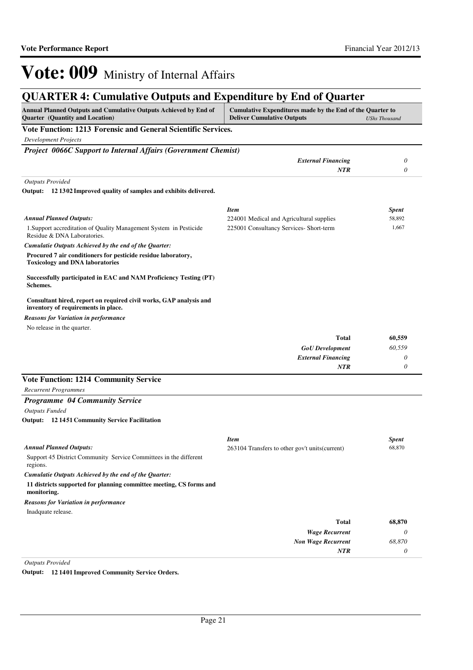## **QUARTER 4: Cumulative Outputs and Expenditure by End of Quarter**

| Annual Planned Outputs and Cumulative Outputs Achieved by End of<br>Quarter (Quantity and Location)       | Cumulative Expenditures made by the End of the Quarter to<br><b>Deliver Cumulative Outputs</b> | <b>UShs Thousand</b> |
|-----------------------------------------------------------------------------------------------------------|------------------------------------------------------------------------------------------------|----------------------|
| Vote Function: 1213 Forensic and General Scientific Services.                                             |                                                                                                |                      |
| <b>Development Projects</b>                                                                               |                                                                                                |                      |
| Project 0066C Support to Internal Affairs (Government Chemist)                                            |                                                                                                |                      |
|                                                                                                           | <b>External Financing</b>                                                                      | 0                    |
|                                                                                                           | <b>NTR</b>                                                                                     | 0                    |
| <b>Outputs Provided</b>                                                                                   |                                                                                                |                      |
| Output: 12 1302 Improved quality of samples and exhibits delivered.                                       |                                                                                                |                      |
|                                                                                                           |                                                                                                |                      |
|                                                                                                           | <b>Item</b>                                                                                    | <b>Spent</b>         |
| <b>Annual Planned Outputs:</b>                                                                            | 224001 Medical and Agricultural supplies                                                       | 58,892               |
| 1. Support accreditation of Quality Management System in Pesticide<br>Residue & DNA Laboratories.         | 225001 Consultancy Services- Short-term                                                        | 1,667                |
| Cumulatie Outputs Achieved by the end of the Quarter:                                                     |                                                                                                |                      |
| Procured 7 air conditioners for pesticide residue laboratory,<br><b>Toxicology and DNA laboratories</b>   |                                                                                                |                      |
| Successfully participated in EAC and NAM Proficiency Testing (PT)<br>Schemes.                             |                                                                                                |                      |
| Consultant hired, report on required civil works, GAP analysis and<br>inventory of requirements in place. |                                                                                                |                      |
| <b>Reasons for Variation in performance</b>                                                               |                                                                                                |                      |
| No release in the quarter.                                                                                |                                                                                                |                      |
|                                                                                                           | Total                                                                                          | 60,559               |
|                                                                                                           | <b>GoU</b> Development                                                                         | 60,559               |
|                                                                                                           | <b>External Financing</b>                                                                      | 0                    |
|                                                                                                           | <b>NTR</b>                                                                                     | 0                    |
| <b>Vote Function: 1214 Community Service</b>                                                              |                                                                                                |                      |
| <b>Recurrent Programmes</b>                                                                               |                                                                                                |                      |
| Programme 04 Community Service                                                                            |                                                                                                |                      |
| <b>Outputs Funded</b>                                                                                     |                                                                                                |                      |
| <b>Output:</b> 12 1451 Community Service Facilitation                                                     |                                                                                                |                      |
|                                                                                                           |                                                                                                |                      |
| <b>Annual Planned Outputs:</b>                                                                            | <b>Item</b><br>263104 Transfers to other gov't units (current)                                 | Spent<br>68,870      |
| Support 45 District Community Service Committees in the different<br>regions.                             |                                                                                                |                      |
| Cumulatie Outputs Achieved by the end of the Quarter:                                                     |                                                                                                |                      |
| 11 districts supported for planning committee meeting, CS forms and<br>monitoring.                        |                                                                                                |                      |
| <b>Reasons for Variation in performance</b>                                                               |                                                                                                |                      |
| Inadquate release.                                                                                        |                                                                                                |                      |
|                                                                                                           | Total                                                                                          | 68,870               |
|                                                                                                           | <b>Wage Recurrent</b>                                                                          | 0                    |
|                                                                                                           | <b>Non Wage Recurrent</b>                                                                      | 68,870               |
|                                                                                                           | NTR                                                                                            | 0                    |

*Outputs Provided*

**Output: 12 1401 Improved Community Service Orders.**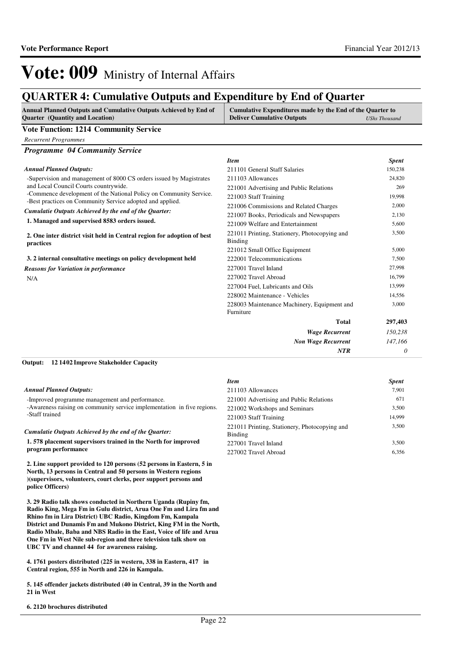*Item Spent*

# Vote: 009 Ministry of Internal Affairs

## **QUARTER 4: Cumulative Outputs and Expenditure by End of Quarter**

| <b>Annual Planned Outputs and Cumulative Outputs Achieved by End of</b> | Cumulative Expenditures made by the End of the Quarter to |               |
|-------------------------------------------------------------------------|-----------------------------------------------------------|---------------|
| <b>Quarter</b> (Quantity and Location)                                  | <b>Deliver Cumulative Outputs</b>                         | UShs Thousand |
| $V_{\alpha}$ ta Europten 1914 Cemmutu Cendee                            |                                                           |               |

#### **Vote Function: 1214 Community Service**

*Recurrent Programmes*

## *Programme 04 Community Service*

#### *Annual Planned Outputs:*

| Annual Planned Outputs:                                                              | 211101 General Staff Salaries                            | 150,238 |
|--------------------------------------------------------------------------------------|----------------------------------------------------------|---------|
| -Supervision and management of 8000 CS orders issued by Magistrates                  | 211103 Allowances                                        | 24,820  |
| and Local Council Courts countrywide.                                                | 221001 Advertising and Public Relations                  | 269     |
| -Commence development of the National Policy on Community Service.                   | 221003 Staff Training                                    | 19,998  |
| -Best practices on Community Service adopted and applied.                            | 221006 Commissions and Related Charges                   | 2,000   |
| Cumulatie Outputs Achieved by the end of the Quarter:                                | 221007 Books, Periodicals and Newspapers                 | 2,130   |
| 1. Managed and supervised 8583 orders issued.                                        | 221009 Welfare and Entertainment                         | 5,600   |
| 2. One inter district visit held in Central region for adoption of best<br>practices | 221011 Printing, Stationery, Photocopying and<br>Binding | 3,500   |
|                                                                                      | 221012 Small Office Equipment                            | 5,000   |
| 3. 2 internal consultative meetings on policy development held                       | 222001 Telecommunications                                | 7,500   |
| <b>Reasons for Variation in performance</b>                                          | 227001 Travel Inland                                     | 27,998  |
| N/A                                                                                  | 227002 Travel Abroad                                     | 16,799  |
|                                                                                      | 227004 Fuel, Lubricants and Oils                         | 13,999  |
|                                                                                      | 228002 Maintenance - Vehicles                            | 14,556  |
|                                                                                      | 228003 Maintenance Machinery, Equipment and              | 3,000   |
|                                                                                      | Furniture                                                |         |
|                                                                                      | <b>Total</b>                                             | 297,403 |
|                                                                                      | <b>Wage Recurrent</b>                                    | 150,238 |
|                                                                                      | <b>Non Wage Recurrent</b>                                | 147,166 |
|                                                                                      | <b>NTR</b>                                               | 0       |

#### **12 1402 Improve Stakeholder Capacity Output:**

|                                                                         | <b>Item</b>                                              | <b>Spent</b> |
|-------------------------------------------------------------------------|----------------------------------------------------------|--------------|
| <b>Annual Planned Outputs:</b>                                          | 211103 Allowances                                        | 7.901        |
| -Improved programme management and performance.                         | 221001 Advertising and Public Relations                  | 671          |
| -Awareness raising on community service implementation in five regions. | 221002 Workshops and Seminars                            | 3.500        |
| -Staff trained                                                          | 221003 Staff Training                                    | 14.999       |
| Cumulatie Outputs Achieved by the end of the Ouarter:                   | 221011 Printing, Stationery, Photocopying and<br>Binding | 3,500        |
| 1.578 placement supervisors trained in the North for improved           | 227001 Travel Inland                                     | 3.500        |
| program performance                                                     | 227002 Travel Abroad                                     | 6.356        |

**2. Line support provided to 120 persons (52 persons in Eastern, 5 in North, 13 persons in Central and 50 persons in Western regions )(supervisors, volunteers, court clerks, peer support persons and police Officers)**

**3. 29 Radio talk shows conducted in Northern Uganda (Rupiny fm, Radio King, Mega Fm in Gulu district, Arua One Fm and Lira fm and Rhino fm in Lira District) UBC Radio, Kingdom Fm, Kampala District and Dunamis Fm and Mukono District, King FM in the North, Radio Mbale, Baba and NBS Radio in the East, Voice of life and Arua One Fm in West Nile sub-region and three television talk show on UBC TV and channel 44 for awareness raising.**

**4. 1761 posters distributed (225 in western, 338 in Eastern, 417 in Central region, 555 in North and 226 in Kampala.**

**5. 145 offender jackets distributed (40 in Central, 39 in the North and 21 in West**

### **6. 2120 brochures distributed**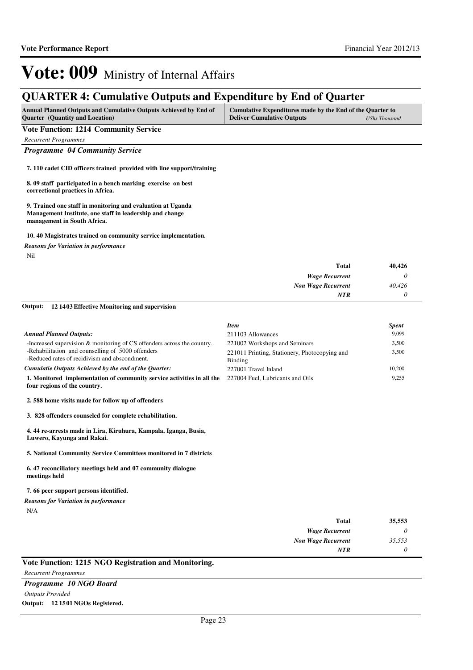## **QUARTER 4: Cumulative Outputs and Expenditure by End of Quarter**

| <b>Annual Planned Outputs and Cumulative Outputs Achieved by End of</b> | Cumulative Expenditures made by the End of the Quarter to |               |
|-------------------------------------------------------------------------|-----------------------------------------------------------|---------------|
| <b>Quarter</b> (Quantity and Location)                                  | <b>Deliver Cumulative Outputs</b>                         | UShs Thousand |

### **Vote Function: 1214 Community Service**

*Recurrent Programmes*

### *Programme 04 Community Service*

**7. 110 cadet CID officers trained provided with line support/training**

**8. 09 staff participated in a bench marking exercise on best correctional practices in Africa.**

**9. Trained one staff in monitoring and evaluation at Uganda Management Institute, one staff in leadership and change management in South Africa.**

### **10. 40 Magistrates trained on community service implementation.**

*Reasons for Variation in performance*

Nil

| 40,426 |
|--------|
|        |
| 40,426 |
|        |
|        |

#### **12 1403 Effective Monitoring and supervision Output:**

|                                                                                                        | <b>Item</b>                                              | <b>Spent</b> |
|--------------------------------------------------------------------------------------------------------|----------------------------------------------------------|--------------|
| <b>Annual Planned Outputs:</b>                                                                         | 211103 Allowances                                        | 9,099        |
| -Increased supervision & monitoring of CS offenders across the country.                                | 221002 Workshops and Seminars                            | 3,500        |
| -Rehabilitation and counselling of 5000 offenders<br>-Reduced rates of recidivism and abscondment.     | 221011 Printing, Stationery, Photocopying and<br>Binding | 3,500        |
| Cumulatie Outputs Achieved by the end of the Ouarter:                                                  | 227001 Travel Inland                                     | 10,200       |
| 1. Monitored implementation of community service activities in all the<br>four regions of the country. | 227004 Fuel, Lubricants and Oils                         | 9,255        |
| 2.588 home visits made for follow up of offenders                                                      |                                                          |              |
| 3. 828 offenders counseled for complete rehabilitation.                                                |                                                          |              |
| 4.44 re-arrests made in Lira, Kiruhura, Kampala, Iganga, Busia,<br>Luwero, Kayunga and Rakai.          |                                                          |              |

**5. National Community Service Committees monitored in 7 districts**

#### **6. 47 reconciliatory meetings held and 07 community dialogue meetings held**

### **7. 66 peer support persons identified.**

### *Reasons for Variation in performance*

N/A

| 35,553   | <b>Total</b>              |
|----------|---------------------------|
| $\theta$ | <b>Wage Recurrent</b>     |
| 35,553   | <b>Non Wage Recurrent</b> |
| 0        | NTR                       |

### **Vote Function: 1215 NGO Registration and Monitoring.**

*Recurrent Programmes*

*Programme 10 NGO Board Outputs Provided* **Output: 12 1501 NGOs Registered.**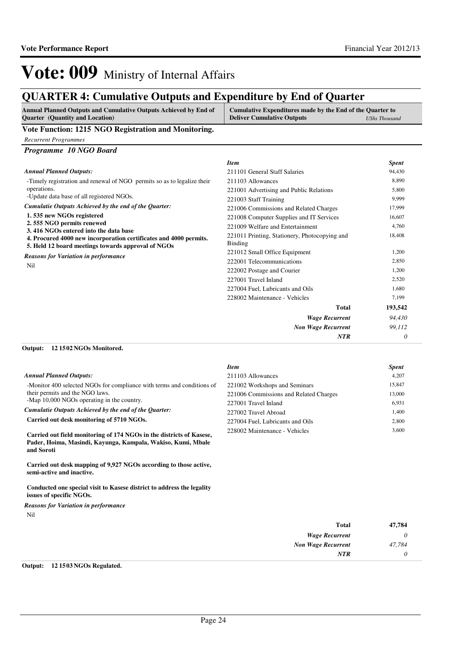## **QUARTER 4: Cumulative Outputs and Expenditure by End of Quarter**

| <b>Annual Planned Outputs and Cumulative Outputs Achieved by End of</b><br><b>Quarter</b> (Quantity and Location)                                                                                                                                                                                                                  | Cumulative Expenditures made by the End of the Quarter to<br><b>Deliver Cumulative Outputs</b> | UShs Thousand |
|------------------------------------------------------------------------------------------------------------------------------------------------------------------------------------------------------------------------------------------------------------------------------------------------------------------------------------|------------------------------------------------------------------------------------------------|---------------|
| $\mathbf{V}$ $\mathbf{E}$ $\mathbf{V}$ $\mathbf{V}$ $\mathbf{A}$ $\mathbf{A}$ $\mathbf{F}$ $\mathbf{N}$ $\mathbf{A}$ $\mathbf{D}$ $\mathbf{V}$ $\mathbf{V}$ $\mathbf{V}$ $\mathbf{V}$ $\mathbf{V}$ $\mathbf{V}$ $\mathbf{V}$ $\mathbf{V}$ $\mathbf{V}$ $\mathbf{V}$ $\mathbf{V}$ $\mathbf{V}$ $\mathbf{V}$ $\mathbf{V}$ $\mathbf{$ |                                                                                                |               |

### **Vote Function: 1215 NGO Registration and Monitoring.**

*Recurrent Programmes*

### *Programme 10 NGO Board*

|                                                                                                                         | <b>Item</b>                                              | <b>Spent</b> |
|-------------------------------------------------------------------------------------------------------------------------|----------------------------------------------------------|--------------|
| <b>Annual Planned Outputs:</b>                                                                                          | 211101 General Staff Salaries                            | 94,430       |
| -Timely registration and renewal of NGO permits so as to legalize their                                                 | 211103 Allowances                                        | 8.890        |
| operations.                                                                                                             | 221001 Advertising and Public Relations                  | 5,800        |
| -Update data base of all registered NGOs.                                                                               | 221003 Staff Training                                    | 9,999        |
| Cumulatie Outputs Achieved by the end of the Quarter:                                                                   | 221006 Commissions and Related Charges                   | 17,999       |
| 1.535 new NGOs registered                                                                                               | 221008 Computer Supplies and IT Services                 | 16,607       |
| 2.555 NGO permits renewed<br>3.416 NGOs entered into the data base                                                      | 221009 Welfare and Entertainment                         | 4,760        |
| 4. Procured 4000 new incorporation certificates and 4000 permits.<br>5. Held 12 board meetings towards approval of NGOs | 221011 Printing, Stationery, Photocopying and<br>Binding | 18,408       |
| <b>Reasons for Variation in performance</b>                                                                             | 221012 Small Office Equipment                            | 1,200        |
| Nil                                                                                                                     | 222001 Telecommunications                                | 2,850        |
|                                                                                                                         | 222002 Postage and Courier                               | 1,200        |
|                                                                                                                         | 227001 Travel Inland                                     | 2,520        |
|                                                                                                                         | 227004 Fuel, Lubricants and Oils                         | 1.680        |
|                                                                                                                         | 228002 Maintenance - Vehicles                            | 7,199        |
|                                                                                                                         | Total                                                    | 193,542      |
|                                                                                                                         | <b>Wage Recurrent</b>                                    | 94,430       |
|                                                                                                                         | <b>Non Wage Recurrent</b>                                | 99,112       |
|                                                                                                                         | <b>NTR</b>                                               | 0            |

### **12 1502 NGOs Monitored. Output:**

|                                                                                                                                                    | <b>Item</b>                            | <b>Spent</b> |
|----------------------------------------------------------------------------------------------------------------------------------------------------|----------------------------------------|--------------|
| <b>Annual Planned Outputs:</b>                                                                                                                     | 211103 Allowances                      | 4.207        |
| -Monitor 400 selected NGOs for compliance with terms and conditions of                                                                             | 221002 Workshops and Seminars          | 15,847       |
| their permits and the NGO laws.                                                                                                                    | 221006 Commissions and Related Charges | 13,000       |
| -Map 10,000 NGOs operating in the country.                                                                                                         | 227001 Travel Inland                   | 6,931        |
| Cumulatie Outputs Achieved by the end of the Ouarter:                                                                                              | 227002 Travel Abroad                   | 1,400        |
| Carried out desk monitoring of 5710 NGOs.                                                                                                          | 227004 Fuel. Lubricants and Oils       | 2,800        |
| Carried out field monitoring of 174 NGOs in the districts of Kasese,<br>Pader, Hoima, Masindi, Kayunga, Kampala, Wakiso, Kumi, Mbale<br>and Soroti | 228002 Maintenance - Vehicles          | 3.600        |

**Carried out desk mapping of 9,927 NGOs according to those active, semi-active and inactive.**

**Conducted one special visit to Kasese district to address the legality issues of specific NGOs.**

## *Reasons for Variation in performance*

Nil

| <b>Total</b>              | 47,784 |
|---------------------------|--------|
| <b>Wage Recurrent</b>     |        |
| <b>Non Wage Recurrent</b> | 47,784 |
| <b>NTR</b>                |        |

### **Output: 12 1503 NGOs Regulated.**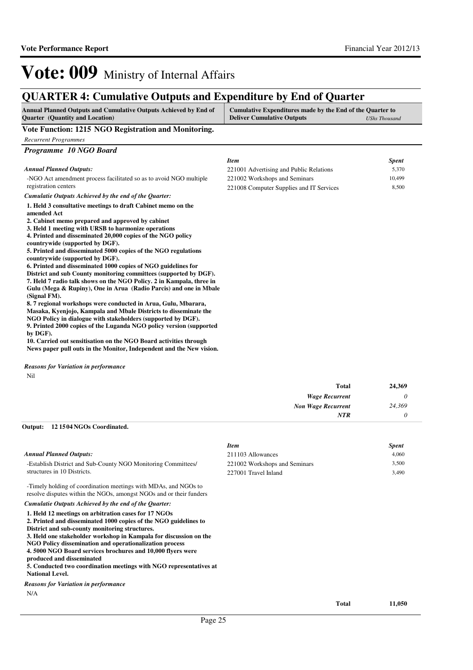## **QUARTER 4: Cumulative Outputs and Expenditure by End of Quarter**

| <b>Annual Planned Outputs and Cumulative Outputs Achieved by End of</b>                                                                                                                                                                                                                           | Cumulative Expenditures made by the End of the Quarter to |               |
|---------------------------------------------------------------------------------------------------------------------------------------------------------------------------------------------------------------------------------------------------------------------------------------------------|-----------------------------------------------------------|---------------|
| <b>Ouarter</b> (Quantity and Location)                                                                                                                                                                                                                                                            | <b>Deliver Cumulative Outputs</b>                         | UShs Thousand |
| $\mathbf{V}$ , to $\mathbf{E}$ and $\mathbf{E}$ and $\mathbf{A}$ and $\mathbf{E}$ and $\mathbf{E}$ and $\mathbf{E}$ and $\mathbf{E}$ and $\mathbf{E}$ and $\mathbf{E}$ and $\mathbf{E}$ and $\mathbf{E}$ and $\mathbf{E}$ and $\mathbf{E}$ and $\mathbf{E}$ and $\mathbf{E}$ and $\mathbf{E}$ and |                                                           |               |

**Vote Function: 1215 NGO Registration and Monitoring.** *Recurrent Programmes Programme 10 NGO Board* -NGO Act amendment process facilitated so as to avoid NGO multiple registration centers **1. Held 3 consultative meetings to draft Cabinet memo on the amended Act 2. Cabinet memo prepared and approved by cabinet 3. Held 1 meeting with URSB to harmonize operations 4. Printed and disseminated 20,000 copies of the NGO policy countrywide (supported by DGF). 5. Printed and disseminated 5000 copies of the NGO regulations countrywide (supported by DGF). 6. Printed and disseminated 1000 copies of NGO guidelines for District and sub County monitoring committees (supported by DGF). 7. Held 7 radio talk shows on the NGO Policy. 2 in Kampala, three in Gulu (Mega & Rupiny), One in Arua (Radio Parcis) and one in Mbale (Signal FM). 8. 7 regional workshops were conducted in Arua, Gulu, Mbarara, Masaka, Kyenjojo, Kampala and Mbale Districts to disseminate the NGO Policy in dialogue with stakeholders (supported by DGF). 9. Printed 2000 copies of the Luganda NGO policy version (supported**  *Cumulatie Outputs Achieved by the end of the Quarter: Annual Planned Outputs: Item Spent* 221001 Advertising and Public Relations 5,370 221002 Workshops and Seminars 10,499 221008 Computer Supplies and IT Services 8,500

**by DGF). 10. Carried out sensitisation on the NGO Board activities through News paper pull outs in the Monitor, Independent and the New vision.**

Nil *Reasons for Variation in performance*

| <b>Total</b>              | 24,369   |
|---------------------------|----------|
| <b>Wage Recurrent</b>     | 0        |
| <b>Non Wage Recurrent</b> | 24,369   |
| NTR                       | $\theta$ |

#### **12 1504 NGOs Coordinated. Output:**

|                                                                                                                                                                                                                                                                                                                                                                                                                                                                                                       | <b>Item</b>                   |              | <b>Spent</b> |
|-------------------------------------------------------------------------------------------------------------------------------------------------------------------------------------------------------------------------------------------------------------------------------------------------------------------------------------------------------------------------------------------------------------------------------------------------------------------------------------------------------|-------------------------------|--------------|--------------|
| <b>Annual Planned Outputs:</b>                                                                                                                                                                                                                                                                                                                                                                                                                                                                        | 211103 Allowances             |              | 4,060        |
| -Establish District and Sub-County NGO Monitoring Committees/                                                                                                                                                                                                                                                                                                                                                                                                                                         | 221002 Workshops and Seminars |              | 3,500        |
| structures in 10 Districts.                                                                                                                                                                                                                                                                                                                                                                                                                                                                           | 227001 Travel Inland          |              | 3,490        |
| -Timely holding of coordination meetings with MDAs, and NGOs to<br>resolve disputes within the NGOs, amongst NGOs and or their funders                                                                                                                                                                                                                                                                                                                                                                |                               |              |              |
| Cumulatie Outputs Achieved by the end of the Quarter:                                                                                                                                                                                                                                                                                                                                                                                                                                                 |                               |              |              |
| 1. Held 12 meetings on arbitration cases for 17 NGOs<br>2. Printed and disseminated 1000 copies of the NGO guidelines to<br>District and sub-county monitoring structures.<br>3. Held one stakeholder workshop in Kampala for discussion on the<br>NGO Policy dissemination and operationalization process<br>4.5000 NGO Board services brochures and 10,000 flyers were<br>produced and disseminated<br>5. Conducted two coordination meetings with NGO representatives at<br><b>National Level.</b> |                               |              |              |
| <b>Reasons for Variation in performance</b>                                                                                                                                                                                                                                                                                                                                                                                                                                                           |                               |              |              |
| N/A                                                                                                                                                                                                                                                                                                                                                                                                                                                                                                   |                               |              |              |
|                                                                                                                                                                                                                                                                                                                                                                                                                                                                                                       |                               | <b>Total</b> | 11.050       |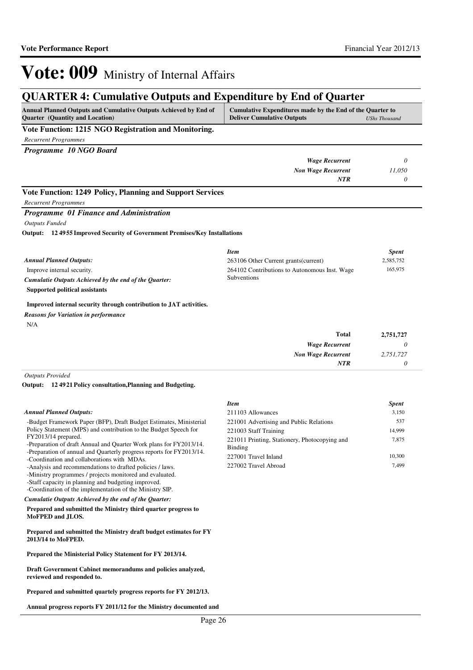## **QUARTER 4: Cumulative Outputs and Expenditure by End of Quarter**

| Annual Planned Outputs and Cumulative Outputs Achieved by End of<br><b>Quarter</b> (Quantity and Location)                                                                                                                                                                                                  | Cumulative Expenditures made by the End of the Quarter to<br><b>Deliver Cumulative Outputs</b>                       | <b>UShs Thousand</b>                 |
|-------------------------------------------------------------------------------------------------------------------------------------------------------------------------------------------------------------------------------------------------------------------------------------------------------------|----------------------------------------------------------------------------------------------------------------------|--------------------------------------|
| Vote Function: 1215 NGO Registration and Monitoring.                                                                                                                                                                                                                                                        |                                                                                                                      |                                      |
| <b>Recurrent Programmes</b>                                                                                                                                                                                                                                                                                 |                                                                                                                      |                                      |
| Programme 10 NGO Board                                                                                                                                                                                                                                                                                      |                                                                                                                      |                                      |
|                                                                                                                                                                                                                                                                                                             | <b>Wage Recurrent</b>                                                                                                | $\theta$                             |
|                                                                                                                                                                                                                                                                                                             | <b>Non Wage Recurrent</b>                                                                                            | 11,050                               |
|                                                                                                                                                                                                                                                                                                             | <b>NTR</b>                                                                                                           | $\theta$                             |
| Vote Function: 1249 Policy, Planning and Support Services                                                                                                                                                                                                                                                   |                                                                                                                      |                                      |
| <b>Recurrent Programmes</b>                                                                                                                                                                                                                                                                                 |                                                                                                                      |                                      |
| Programme 01 Finance and Administration<br><b>Outputs Funded</b><br>124955 Improved Security of Government Premises/Key Installations<br>Output:<br><b>Annual Planned Outputs:</b><br>Improve internal security.<br>Cumulatie Outputs Achieved by the end of the Quarter:<br>Supported political assistants | <b>Item</b><br>263106 Other Current grants (current)<br>264102 Contributions to Autonomous Inst. Wage<br>Subventions | <b>Spent</b><br>2,585,752<br>165,975 |
| Improved internal security through contribution to JAT activities.<br><b>Reasons for Variation in performance</b><br>N/A                                                                                                                                                                                    |                                                                                                                      |                                      |
|                                                                                                                                                                                                                                                                                                             | <b>Total</b>                                                                                                         | 2,751,727                            |
|                                                                                                                                                                                                                                                                                                             | <b>Wage Recurrent</b>                                                                                                | 0                                    |
|                                                                                                                                                                                                                                                                                                             | <b>Non Wage Recurrent</b>                                                                                            | 2,751,727                            |
|                                                                                                                                                                                                                                                                                                             | <b>NTR</b>                                                                                                           | 0                                    |

*Outputs Provided*

**12 4921 Policy consultation,Planning and Budgeting. Output:**

|                                                                                                                                                                                                                                                                                                                                                                                                                                                                                                                                            | <b>Item</b>                                                                                                                                                                  | <b>Spent</b>                              |
|--------------------------------------------------------------------------------------------------------------------------------------------------------------------------------------------------------------------------------------------------------------------------------------------------------------------------------------------------------------------------------------------------------------------------------------------------------------------------------------------------------------------------------------------|------------------------------------------------------------------------------------------------------------------------------------------------------------------------------|-------------------------------------------|
| <b>Annual Planned Outputs:</b>                                                                                                                                                                                                                                                                                                                                                                                                                                                                                                             | 211103 Allowances                                                                                                                                                            | 3,150                                     |
| -Budget Framework Paper (BFP), Draft Budget Estimates, Ministerial<br>Policy Statement (MPS) and contribution to the Budget Speech for<br>FY2013/14 prepared.<br>-Preparation of draft Annual and Quarter Work plans for FY2013/14.<br>-Preparation of annual and Quarterly progress reports for FY2013/14.<br>-Coordination and collaborations with MDAs.<br>-Analysis and recommendations to drafted policies / laws.<br>-Ministry programmes / projects monitored and evaluated.<br>-Staff capacity in planning and budgeting improved. | 221001 Advertising and Public Relations<br>221003 Staff Training<br>221011 Printing, Stationery, Photocopying and<br>Binding<br>227001 Travel Inland<br>227002 Travel Abroad | 537<br>14.999<br>7,875<br>10.300<br>7,499 |
| -Coordination of the implementation of the Ministry SIP.<br>Cumulatie Outputs Achieved by the end of the Quarter:                                                                                                                                                                                                                                                                                                                                                                                                                          |                                                                                                                                                                              |                                           |
| Prepared and submitted the Ministry third quarter progress to<br>MoFPED and JLOS.                                                                                                                                                                                                                                                                                                                                                                                                                                                          |                                                                                                                                                                              |                                           |
| Prepared and submitted the Ministry draft budget estimates for FY<br>2013/14 to MoFPED.                                                                                                                                                                                                                                                                                                                                                                                                                                                    |                                                                                                                                                                              |                                           |
| Prepared the Ministerial Policy Statement for FY 2013/14.                                                                                                                                                                                                                                                                                                                                                                                                                                                                                  |                                                                                                                                                                              |                                           |
| Draft Government Cabinet memorandums and policies analyzed,<br>reviewed and responded to.                                                                                                                                                                                                                                                                                                                                                                                                                                                  |                                                                                                                                                                              |                                           |
| Prepared and submitted quartely progress reports for FY 2012/13.                                                                                                                                                                                                                                                                                                                                                                                                                                                                           |                                                                                                                                                                              |                                           |

**Annual progress reports FY 2011/12 for the Ministry documented and**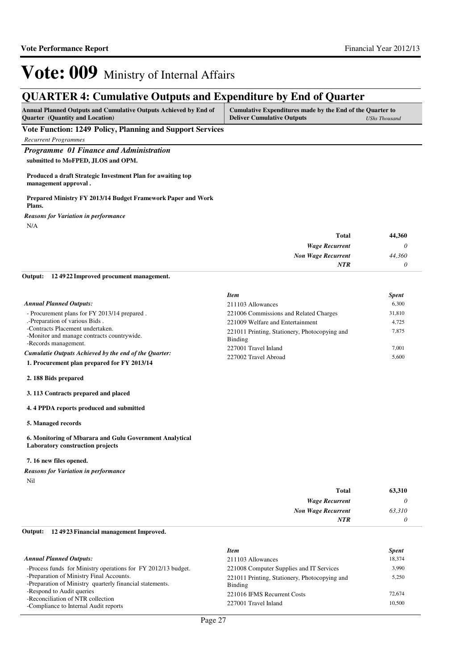## **QUARTER 4: Cumulative Outputs and Expenditure by End of Quarter**

| <b>Annual Planned Outputs and Cumulative Outputs Achieved by End of</b> | Cumulative Expenditures made by the End of the Quarter to |               |
|-------------------------------------------------------------------------|-----------------------------------------------------------|---------------|
| <b>Quarter</b> (Quantity and Location)                                  | <b>Deliver Cumulative Outputs</b>                         | UShs Thousand |

**Vote Function: 1249 Policy, Planning and Support Services**

*Recurrent Programmes*

*Programme 01 Finance and Administration* **submitted to MoFPED, JLOS and OPM.**

**Produced a draft Strategic Investment Plan for awaiting top management approval .**

**Prepared Ministry FY 2013/14 Budget Framework Paper and Work Plans.**

N/A *Reasons for Variation in performance*

| 44,360 | <b>Total</b>              |
|--------|---------------------------|
|        | <b>Wage Recurrent</b>     |
| 44,360 | <b>Non Wage Recurrent</b> |
|        | <b>NTR</b>                |
|        |                           |

**12 4922 Improved procument management. Output:**

|                                                                                | <b>Item</b>                                              | <b>Spent</b> |
|--------------------------------------------------------------------------------|----------------------------------------------------------|--------------|
| <b>Annual Planned Outputs:</b>                                                 | 211103 Allowances                                        | 6.300        |
| - Procurement plans for FY 2013/14 prepared.                                   | 221006 Commissions and Related Charges                   | 31,810       |
| .-Preparation of various Bids.                                                 | 221009 Welfare and Entertainment                         | 4.725        |
| -Contracts Placement undertaken.<br>-Monitor and manage contracts countrywide. | 221011 Printing, Stationery, Photocopying and<br>Binding | 7.875        |
| -Records management.                                                           | 227001 Travel Inland                                     | 7.001        |
| Cumulatie Outputs Achieved by the end of the Quarter:                          | 227002 Travel Abroad                                     | 5.600        |
| 1. Procurement plan prepared for FY 2013/14                                    |                                                          |              |

**2. 188 Bids prepared**

**3. 113 Contracts prepared and placed**

**4. 4 PPDA reports produced and submitted**

**5. Managed records**

### **6. Monitoring of Mbarara and Gulu Government Analytical Laboratory construction projects**

### **7. 16 new files opened.**

Nil *Reasons for Variation in performance*

| <b>Total</b>              | 63,310                |
|---------------------------|-----------------------|
| <b>Wage Recurrent</b>     | $\boldsymbol{\omega}$ |
| <b>Non Wage Recurrent</b> | 63,310                |
| <b>NTR</b>                |                       |

#### **12 4923 Financial management Improved. Output:**

|                                                                                                      | <b>Item</b>                                              | <b>Spent</b> |
|------------------------------------------------------------------------------------------------------|----------------------------------------------------------|--------------|
| <b>Annual Planned Outputs:</b>                                                                       | 211103 Allowances                                        | 18.374       |
| -Process funds for Ministry operations for FY 2012/13 budget.                                        | 221008 Computer Supplies and IT Services                 | 3,990        |
| -Preparation of Ministry Final Accounts.<br>-Preparation of Ministry quarterly financial statements. | 221011 Printing, Stationery, Photocopying and<br>Binding | 5,250        |
| -Respond to Audit queries                                                                            | 221016 IFMS Recurrent Costs                              | 72,674       |
| -Reconciliation of NTR collection<br>-Compliance to Internal Audit reports                           | 227001 Travel Inland                                     | 10.500       |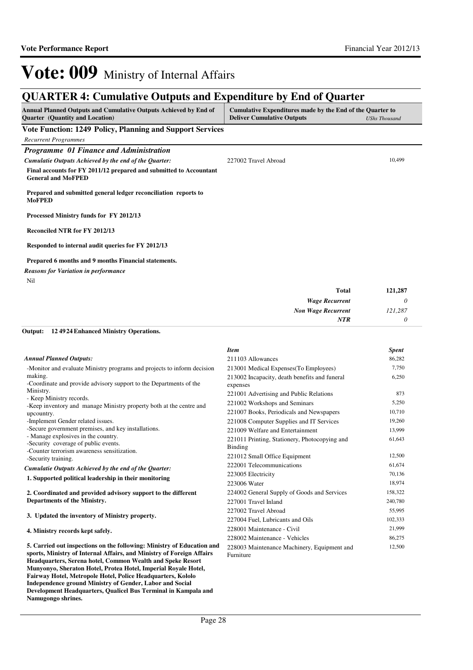## **QUARTER 4: Cumulative Outputs and Expenditure by End of Quarter**

| Annual Planned Outputs and Cumulative Outputs Achieved by End of<br><b>Quarter</b> (Quantity and Location) | Cumulative Expenditures made by the End of the Quarter to<br><b>Deliver Cumulative Outputs</b> | <b>UShs Thousand</b> |
|------------------------------------------------------------------------------------------------------------|------------------------------------------------------------------------------------------------|----------------------|
| Vote Function: 1249 Policy, Planning and Support Services                                                  |                                                                                                |                      |
| <b>Recurrent Programmes</b>                                                                                |                                                                                                |                      |
| Programme 01 Finance and Administration                                                                    |                                                                                                |                      |
| Cumulatie Outputs Achieved by the end of the Quarter:                                                      | 227002 Travel Abroad                                                                           | 10,499               |
| Final accounts for FY 2011/12 prepared and submitted to Accountant<br><b>General and MoFPED</b>            |                                                                                                |                      |
| Prepared and submitted general ledger reconciliation reports to<br><b>MoFPED</b>                           |                                                                                                |                      |
| Processed Ministry funds for FY 2012/13                                                                    |                                                                                                |                      |
| <b>Reconciled NTR for FY 2012/13</b>                                                                       |                                                                                                |                      |
| Responded to internal audit queries for FY 2012/13                                                         |                                                                                                |                      |
| Prepared 6 months and 9 months Financial statements.                                                       |                                                                                                |                      |
| <b>Reasons for Variation in performance</b>                                                                |                                                                                                |                      |
| Nil                                                                                                        |                                                                                                |                      |
|                                                                                                            | <b>Total</b>                                                                                   | 121,287              |
|                                                                                                            | <b>Wage Recurrent</b>                                                                          | 0                    |

| <b>Wage Recurrent</b>     |         |
|---------------------------|---------|
| <b>Non Wage Recurrent</b> | 121,287 |
| <b>NTR</b>                |         |

#### **12 4924 Enhanced Ministry Operations. Output:**

**Fairway Hotel, Metropole Hotel, Police Headquarters, Kololo Independence ground Ministry of Gender, Labor and Social Development Headquarters, Qualicel Bus Terminal in Kampala and** 

**Namugongo shrines.**

|                                                                                     | <b>Item</b>                                   | <b>Spent</b> |
|-------------------------------------------------------------------------------------|-----------------------------------------------|--------------|
| <b>Annual Planned Outputs:</b>                                                      | 211103 Allowances                             | 86,282       |
| -Monitor and evaluate Ministry programs and projects to inform decision             | 213001 Medical Expenses (To Employees)        | 7,750        |
| making.                                                                             | 213002 Incapacity, death benefits and funeral | 6,250        |
| -Coordinate and provide advisory support to the Departments of the                  | expenses                                      |              |
| Ministry.<br>- Keep Ministry records.                                               | 221001 Advertising and Public Relations       | 873          |
| -Keep inventory and manage Ministry property both at the centre and                 | 221002 Workshops and Seminars                 | 5,250        |
| upcountry.                                                                          | 221007 Books, Periodicals and Newspapers      | 10,710       |
| -Implement Gender related issues.                                                   | 221008 Computer Supplies and IT Services      | 19,260       |
| -Secure government premises, and key installations.                                 | 221009 Welfare and Entertainment              | 13,999       |
| - Manage explosives in the country.                                                 | 221011 Printing, Stationery, Photocopying and | 61,643       |
| -Security coverage of public events.<br>-Counter terrorism awareness sensitization. | Binding                                       |              |
| -Security training.                                                                 | 221012 Small Office Equipment                 | 12,500       |
| Cumulatie Outputs Achieved by the end of the Quarter:                               | 222001 Telecommunications                     | 61,674       |
| 1. Supported political leadership in their monitoring                               | 223005 Electricity                            | 70,136       |
|                                                                                     | 223006 Water                                  | 18,974       |
| 2. Coordinated and provided advisory support to the different                       | 224002 General Supply of Goods and Services   | 158,322      |
| Departments of the Ministry.                                                        | 227001 Travel Inland                          | 240,780      |
|                                                                                     | 227002 Travel Abroad                          | 55,995       |
| 3. Updated the inventory of Ministry property.                                      | 227004 Fuel, Lubricants and Oils              | 102,333      |
| 4. Ministry records kept safely.                                                    | 228001 Maintenance - Civil                    | 21,999       |
|                                                                                     | 228002 Maintenance - Vehicles                 | 86,275       |
| 5. Carried out inspections on the following: Ministry of Education and              | 228003 Maintenance Machinery, Equipment and   | 12,500       |
| sports, Ministry of Internal Affairs, and Ministry of Foreign Affairs               | Furniture                                     |              |
| Headquarters, Serena hotel, Common Wealth and Speke Resort                          |                                               |              |
| Munyonyo, Sheraton Hotel, Protea Hotel, Imperial Royale Hotel,                      |                                               |              |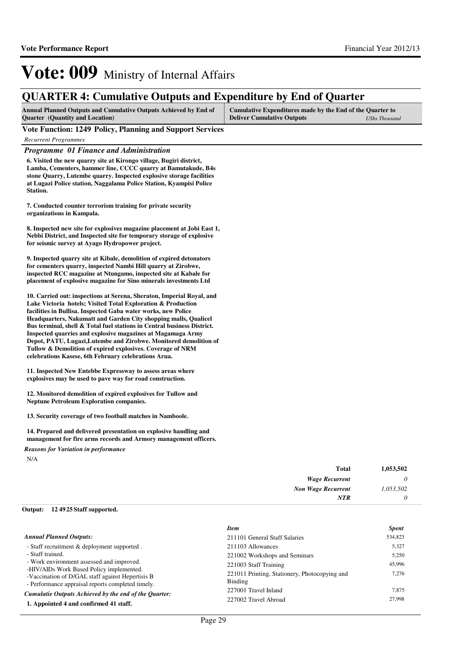## **QUARTER 4: Cumulative Outputs and Expenditure by End of Quarter**

| <b>Annual Planned Outputs and Cumulative Outputs Achieved by End of</b> | Cumulative Expenditures made by the End of the Quarter to |               |
|-------------------------------------------------------------------------|-----------------------------------------------------------|---------------|
| <b>Quarter</b> (Quantity and Location)                                  | <b>Deliver Cumulative Outputs</b>                         | UShs Thousand |

### **Vote Function: 1249 Policy, Planning and Support Services**

*Recurrent Programmes*

### *Programme 01 Finance and Administration*

**6. Visited the new quarry site at Kirongo village, Bugiri district, Lamba, Cementers, hammer line, CCCC quarry at Bamutakude, B4s stone Quarry, Lutembe quarry. Inspected explosive storage facilities at Lugazi Police station, Naggalama Police Station, Kyampisi Police Station.**

**7. Conducted counter terrorism training for private security organizations in Kampala.**

**8. Inspected new site for explosives magazine placement at Jobi East 1, Nebbi District, and Inspected site for temporary storage of explosive for seismic survey at Ayago Hydropower project.**

**9. Inspected quarry site at Kibale, demolition of expired detonators for cementers quarry, inspected Nambi Hill quarry at Zirobwe, inspected RCC magazine at Ntungamo, inspected site at Kabale for placement of explosive magazine for Sino minerals investments Ltd**

**10. Carried out: inspections at Serena, Sheraton, Imperial Royal, and Lake Victoria hotels; Visited Total Exploration & Production facilities in Bullisa. Inspected Gaba water works, new Police Headquarters, Nakumatt and Garden City shopping malls, Qualicel Bus terminal, shell & Total fuel stations in Central business District. Inspected quarries and explosive magazines at Magamaga Army Depot, PATU, Lugazi,Lutembe and Zirobwe. Monitored demolition of Tullow & Demolition of expired explosives. Coverage of NRM celebrations Kasese, 6th February celebrations Arua.**

**11. Inspected New Entebbe Expressway to assess areas where explosives may be used to pave way for road construction.**

**12. Monitored demolition of expired explosives for Tullow and Neptune Petroleum Exploration companies.**

**13. Security coverage of two football matches in Namboole.**

**14. Prepared and delivered presentation on explosive handling and management for fire arms records and Armory management officers.**

N/A *Reasons for Variation in performance*

| 1,053,502 | Total                     |
|-----------|---------------------------|
|           | <b>Wage Recurrent</b>     |
| 1,053,502 | <b>Non Wage Recurrent</b> |
|           | <b>NTR</b>                |
|           |                           |

#### **12 4925 Staff supported. Output:**

|                                                                                                                                                   | <b>Item</b>                                              | <b>Spent</b> |
|---------------------------------------------------------------------------------------------------------------------------------------------------|----------------------------------------------------------|--------------|
| <b>Annual Planned Outputs:</b>                                                                                                                    | 211101 General Staff Salaries                            | 534,823      |
| - Staff recruitment & deployment supported.                                                                                                       | 211103 Allowances                                        | 5,327        |
| - Staff trained.                                                                                                                                  | 221002 Workshops and Seminars                            | 5,250        |
| - Work environment assessed and improved.                                                                                                         | 221003 Staff Training                                    | 45,996       |
| -HIV/AIDs Work Based Policy implemented.<br>-Vaccination of D/GAL staff against Hepertisis B<br>- Performance appraisal reports completed timely. | 221011 Printing, Stationery, Photocopying and<br>Binding | 7,276        |
| Cumulatie Outputs Achieved by the end of the Ouarter:                                                                                             | 227001 Travel Inland                                     | 7,875        |
| 1. Appointed 4 and confirmed 41 staff.                                                                                                            | 227002 Travel Abroad                                     | 27,998       |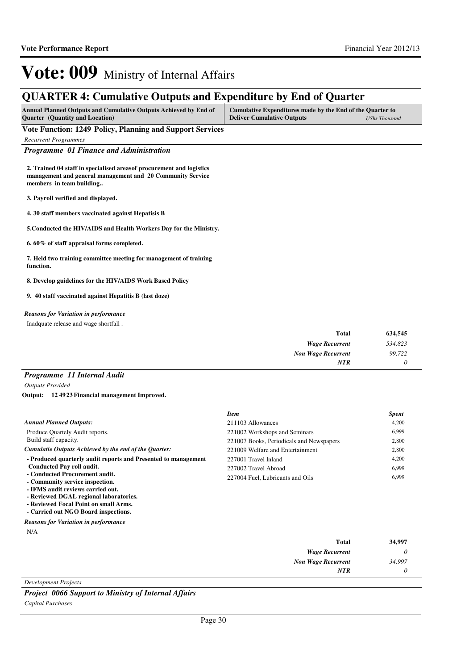## **QUARTER 4: Cumulative Outputs and Expenditure by End of Quarter**

| <b>Annual Planned Outputs and Cumulative Outputs Achieved by End of</b> | Cumulative Expenditures made by the End of the Quarter to |               |
|-------------------------------------------------------------------------|-----------------------------------------------------------|---------------|
| <b>Quarter</b> (Quantity and Location)                                  | <b>Deliver Cumulative Outputs</b>                         | UShs Thousand |

**Vote Function: 1249 Policy, Planning and Support Services**

*Recurrent Programmes*

*Programme 01 Finance and Administration*

**2. Trained 04 staff in specialised areasof procurement and logistics management and general management and 20 Community Service members in team building..**

**3. Payroll verified and displayed.**

**4. 30 staff members vaccinated against Hepatisis B**

**5.Conducted the HIV/AIDS and Health Workers Day for the Ministry.**

**6. 60% of staff appraisal forms completed.**

**7. Held two training committee meeting for management of training function.**

**8. Develop guidelines for the HIV/AIDS Work Based Policy**

**9. 40 staff vaccinated against Hepatitis B (last doze)**

### *Reasons for Variation in performance*

Inadquate release and wage shortfall .

| <b>Total</b>              | 634,545 |
|---------------------------|---------|
| <b>Wage Recurrent</b>     | 534,823 |
| <b>Non Wage Recurrent</b> | 99,722  |
| <b>NTR</b>                |         |

### *Programme 11 Internal Audit*

*Outputs Provided*

**12 4923 Financial management Improved. Output:**

|                                                                               | <b>Item</b>                              | <b>Spent</b> |
|-------------------------------------------------------------------------------|------------------------------------------|--------------|
| <b>Annual Planned Outputs:</b>                                                | 211103 Allowances                        | 4,200        |
| Produce Quartely Audit reports.                                               | 221002 Workshops and Seminars            | 6.999        |
| Build staff capacity.                                                         | 221007 Books, Periodicals and Newspapers | 2,800        |
| Cumulatie Outputs Achieved by the end of the Ouarter:                         | 221009 Welfare and Entertainment         | 2,800        |
| - Produced quarterly audit reports and Presented to management                | 227001 Travel Inland                     | 4,200        |
| <b>Conducted Pay roll audit.</b>                                              | 227002 Travel Abroad                     | 6.999        |
| - Conducted Procurement audit.<br>- Community service inspection.             | 227004 Fuel. Lubricants and Oils         | 6,999        |
| - IFMS audit reviews carried out.                                             |                                          |              |
| - Reviewed DGAL regional laboratories.                                        |                                          |              |
| - Reviewed Focal Point on small Arms.<br>- Carried out NGO Board inspections. |                                          |              |
|                                                                               |                                          |              |
| <b>Reasons for Variation in performance</b>                                   |                                          |              |
| N/A                                                                           |                                          |              |

| 34,997 | Total                     |
|--------|---------------------------|
|        | <b>Wage Recurrent</b>     |
| 34,997 | <b>Non Wage Recurrent</b> |
|        | <b>NTR</b>                |
|        |                           |

*Development Projects*

*Project 0066 Support to Ministry of Internal Affairs Capital Purchases*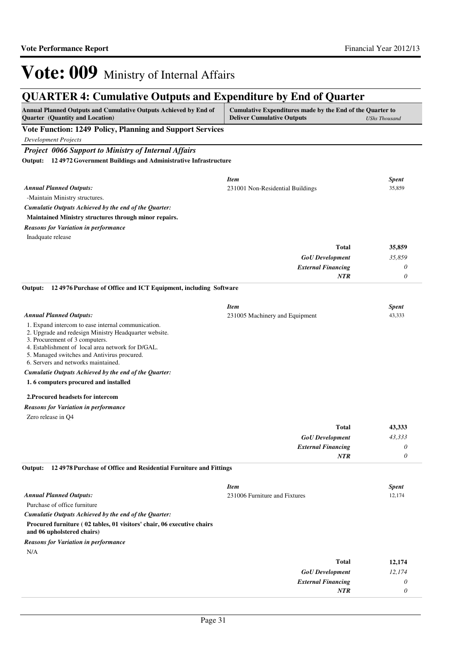## **QUARTER 4: Cumulative Outputs and Expenditure by End of Quarter**

| Annual Planned Outputs and Cumulative Outputs Achieved by End of<br>Quarter (Quantity and Location)                                                                                                                                                                                      | Cumulative Expenditures made by the End of the Quarter to<br><b>Deliver Cumulative Outputs</b> | <b>UShs Thousand</b> |
|------------------------------------------------------------------------------------------------------------------------------------------------------------------------------------------------------------------------------------------------------------------------------------------|------------------------------------------------------------------------------------------------|----------------------|
| Vote Function: 1249 Policy, Planning and Support Services                                                                                                                                                                                                                                |                                                                                                |                      |
| <b>Development Projects</b>                                                                                                                                                                                                                                                              |                                                                                                |                      |
| <b>Project 0066 Support to Ministry of Internal Affairs</b>                                                                                                                                                                                                                              |                                                                                                |                      |
| Output: 124972 Government Buildings and Administrative Infrastructure                                                                                                                                                                                                                    |                                                                                                |                      |
|                                                                                                                                                                                                                                                                                          |                                                                                                |                      |
|                                                                                                                                                                                                                                                                                          | <b>Item</b>                                                                                    | <b>Spent</b>         |
| <b>Annual Planned Outputs:</b>                                                                                                                                                                                                                                                           | 231001 Non-Residential Buildings                                                               | 35,859               |
| -Maintain Ministry structures.<br>Cumulatie Outputs Achieved by the end of the Quarter:                                                                                                                                                                                                  |                                                                                                |                      |
| Maintained Ministry structures through minor repairs.                                                                                                                                                                                                                                    |                                                                                                |                      |
| <b>Reasons for Variation in performance</b>                                                                                                                                                                                                                                              |                                                                                                |                      |
| Inadquate release                                                                                                                                                                                                                                                                        |                                                                                                |                      |
|                                                                                                                                                                                                                                                                                          | <b>Total</b>                                                                                   | 35,859               |
|                                                                                                                                                                                                                                                                                          | <b>GoU</b> Development                                                                         | 35,859               |
|                                                                                                                                                                                                                                                                                          | <b>External Financing</b>                                                                      | 0                    |
|                                                                                                                                                                                                                                                                                          | NTR                                                                                            | 0                    |
| 124976 Purchase of Office and ICT Equipment, including Software<br>Output:                                                                                                                                                                                                               |                                                                                                |                      |
|                                                                                                                                                                                                                                                                                          | <b>Item</b>                                                                                    | <b>Spent</b>         |
| <b>Annual Planned Outputs:</b>                                                                                                                                                                                                                                                           | 231005 Machinery and Equipment                                                                 | 43,333               |
| 1. Expand intercom to ease internal communication.<br>2. Upgrade and redesign Ministry Headquarter website.<br>3. Procurement of 3 computers.<br>4. Establishment of local area network for D/GAL.<br>5. Managed switches and Antivirus procured.<br>6. Servers and networks maintained. |                                                                                                |                      |
| Cumulatie Outputs Achieved by the end of the Quarter:                                                                                                                                                                                                                                    |                                                                                                |                      |
| 1.6 computers procured and installed                                                                                                                                                                                                                                                     |                                                                                                |                      |
| 2. Procured headsets for intercom                                                                                                                                                                                                                                                        |                                                                                                |                      |
| <b>Reasons for Variation in performance</b>                                                                                                                                                                                                                                              |                                                                                                |                      |
| Zero release in Q4                                                                                                                                                                                                                                                                       |                                                                                                |                      |
|                                                                                                                                                                                                                                                                                          | Total                                                                                          | 43,333               |
|                                                                                                                                                                                                                                                                                          | <b>GoU</b> Development                                                                         | 43,333               |
|                                                                                                                                                                                                                                                                                          | <b>External Financing</b>                                                                      | 0                    |
|                                                                                                                                                                                                                                                                                          | NTR                                                                                            | 0                    |
| Output: 12 4978 Purchase of Office and Residential Furniture and Fittings                                                                                                                                                                                                                |                                                                                                |                      |
|                                                                                                                                                                                                                                                                                          | <b>Item</b>                                                                                    | <b>Spent</b>         |
| <b>Annual Planned Outputs:</b>                                                                                                                                                                                                                                                           | 231006 Furniture and Fixtures                                                                  | 12,174               |
| Purchase of office furniture                                                                                                                                                                                                                                                             |                                                                                                |                      |
| Cumulatie Outputs Achieved by the end of the Quarter:                                                                                                                                                                                                                                    |                                                                                                |                      |
| Procured furniture (02 tables, 01 visitors' chair, 06 executive chairs<br>and 06 upholstered chairs)                                                                                                                                                                                     |                                                                                                |                      |
| <b>Reasons for Variation in performance</b>                                                                                                                                                                                                                                              |                                                                                                |                      |
| N/A                                                                                                                                                                                                                                                                                      |                                                                                                |                      |
|                                                                                                                                                                                                                                                                                          | <b>Total</b>                                                                                   | 12,174               |
|                                                                                                                                                                                                                                                                                          | <b>GoU</b> Development                                                                         | 12,174               |
|                                                                                                                                                                                                                                                                                          | <b>External Financing</b><br><b>NTR</b>                                                        | 0<br>0               |
|                                                                                                                                                                                                                                                                                          |                                                                                                |                      |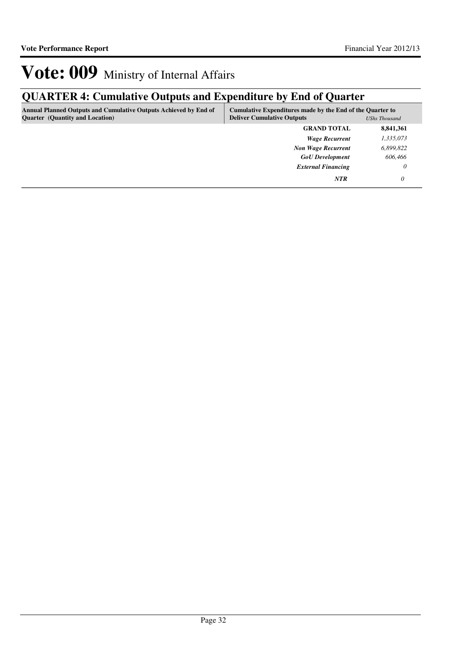## **QUARTER 4: Cumulative Outputs and Expenditure by End of Quarter**

| <b>Annual Planned Outputs and Cumulative Outputs Achieved by End of</b><br><b>Quarter</b> (Quantity and Location) | Cumulative Expenditures made by the End of the Quarter to<br><b>Deliver Cumulative Outputs</b> | <b>UShs Thousand</b> |
|-------------------------------------------------------------------------------------------------------------------|------------------------------------------------------------------------------------------------|----------------------|
|                                                                                                                   | <b>GRAND TOTAL</b>                                                                             | 8,841,361            |
|                                                                                                                   | <b>Wage Recurrent</b>                                                                          | 1,335,073            |
|                                                                                                                   | <b>Non Wage Recurrent</b>                                                                      | 6,899,822            |
|                                                                                                                   | <b>GoU</b> Development                                                                         | 606,466              |
|                                                                                                                   | <b>External Financing</b>                                                                      | 0                    |
|                                                                                                                   | <b>NTR</b>                                                                                     |                      |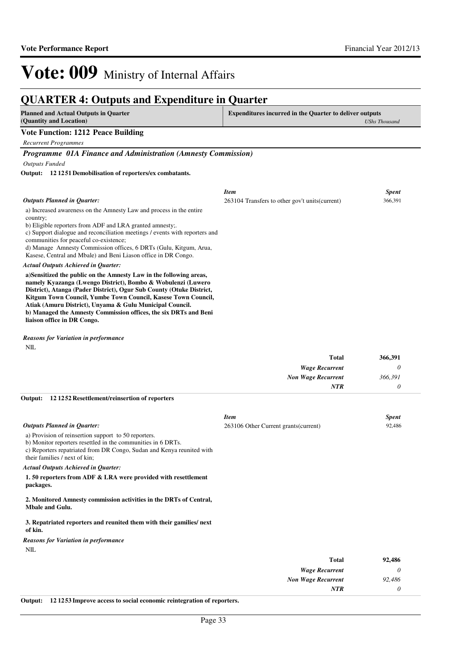### **QUARTER 4: Outputs and Expenditure in Quarter Planned and Actual Outputs in Quarter (Quantity and Location) Expenditures incurred in the Quarter to deliver outputs**  *UShs Thousand* **Vote Function: 1212 Peace Building** *Recurrent Programmes Programme 01A Finance and Administration (Amnesty Commission) Outputs Funded* a) Increased awareness on the Amnesty Law and process in the entire country; b) Eligible reporters from ADF and LRA granted amnesty;. c) Support dialogue and reconciliation meetings / events with reporters and communities for peaceful co-existence; d) Manage Amnesty Commission offices, 6 DRTs (Gulu, Kitgum, Arua, Kasese, Central and Mbale) and Beni Liason office in DR Congo. **a)Sensitized the public on the Amnesty Law in the following areas, namely Kyazanga (Lwengo District), Bombo & Wobulenzi (Luwero District), Atanga (Pader District), Ogur Sub County (Otuke District, Kitgum Town Council, Yumbe Town Council, Kasese Town Council, Atiak (Amuru District), Unyama & Gulu Municipal Council. b) Managed the Amnesty Commission offices, the six DRTs and Beni liaison office in DR Congo. 12 1251 Demobilisation of reporters/ex combatants. Output:** *Actual Outputs Achieved in Quarter: Outputs Planned in Quarter: Item Spent* 263104 Transfers to other gov't units(current) 366,391

NIL. *Reasons for Variation in performance*

| 366,391 | <b>Total</b>              |
|---------|---------------------------|
|         | <b>Wage Recurrent</b>     |
| 366,391 | <b>Non Wage Recurrent</b> |
|         | <b>NTR</b>                |
|         |                           |

#### **12 1252 Resettlement/reinsertion of reporters Output:**

|                                                                                                                                                                                                                                | <b>Item</b>                           | <b>Spent</b> |
|--------------------------------------------------------------------------------------------------------------------------------------------------------------------------------------------------------------------------------|---------------------------------------|--------------|
| <b>Outputs Planned in Quarter:</b>                                                                                                                                                                                             | 263106 Other Current grants (current) | 92,486       |
| a) Provision of reinsertion support to 50 reporters.<br>b) Monitor reporters resettled in the communities in 6 DRTs.<br>c) Reporters repatriated from DR Congo, Sudan and Kenya reunited with<br>their families / next of kin; |                                       |              |
| <b>Actual Outputs Achieved in Quarter:</b>                                                                                                                                                                                     |                                       |              |
| 1.50 reporters from ADF & LRA were provided with resettlement<br>packages.                                                                                                                                                     |                                       |              |
| 2. Monitored Amnesty commission activities in the DRTs of Central,<br><b>Mbale and Gulu.</b>                                                                                                                                   |                                       |              |
| 3. Repatriated reporters and reunited them with their gamilies/ next<br>of kin.                                                                                                                                                |                                       |              |
| <b>Reasons for Variation in performance</b>                                                                                                                                                                                    |                                       |              |
| NIL                                                                                                                                                                                                                            |                                       |              |
|                                                                                                                                                                                                                                | <b>Total</b>                          | 92,486       |
|                                                                                                                                                                                                                                | <b>Wage Recurrent</b>                 | 0            |
|                                                                                                                                                                                                                                | <b>Non Wage Recurrent</b>             | 92,486       |
|                                                                                                                                                                                                                                | NTR                                   | 0            |
| 121253 Improve access to social economic reintegration of reporters.<br>Output:                                                                                                                                                |                                       |              |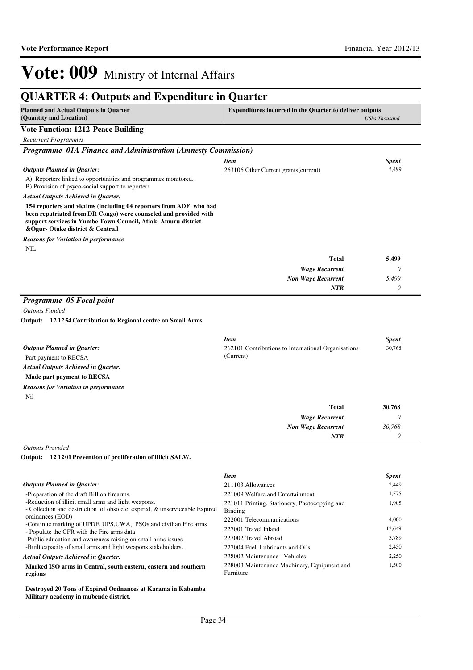| <b>QUARTER 4: Outputs and Expenditure in Quarter</b>                                                                                                                                                                                      |                                                                                 |                      |
|-------------------------------------------------------------------------------------------------------------------------------------------------------------------------------------------------------------------------------------------|---------------------------------------------------------------------------------|----------------------|
| <b>Planned and Actual Outputs in Quarter</b><br>(Quantity and Location)                                                                                                                                                                   | <b>Expenditures incurred in the Quarter to deliver outputs</b>                  | <b>UShs Thousand</b> |
| <b>Vote Function: 1212 Peace Building</b>                                                                                                                                                                                                 |                                                                                 |                      |
| <b>Recurrent Programmes</b>                                                                                                                                                                                                               |                                                                                 |                      |
| Programme 01A Finance and Administration (Amnesty Commission)                                                                                                                                                                             |                                                                                 |                      |
|                                                                                                                                                                                                                                           | <b>Item</b>                                                                     | <b>Spent</b>         |
| <b>Outputs Planned in Quarter:</b>                                                                                                                                                                                                        | 263106 Other Current grants (current)                                           | 5,499                |
| A) Reporters linked to opportunities and programmes monitored.                                                                                                                                                                            |                                                                                 |                      |
| B) Provision of psyco-social support to reporters                                                                                                                                                                                         |                                                                                 |                      |
| <b>Actual Outputs Achieved in Quarter:</b>                                                                                                                                                                                                |                                                                                 |                      |
| 154 reporters and victims (including 04 reporters from ADF who had<br>been repatriated from DR Congo) were counseled and provided with<br>support services in Yumbe Town Council, Atiak-Amuru district<br>&Ogur-Otuke district & Centra.l |                                                                                 |                      |
| Reasons for Variation in performance                                                                                                                                                                                                      |                                                                                 |                      |
| NIL                                                                                                                                                                                                                                       |                                                                                 |                      |
|                                                                                                                                                                                                                                           | <b>Total</b>                                                                    | 5,499                |
|                                                                                                                                                                                                                                           | <b>Wage Recurrent</b>                                                           | 0                    |
|                                                                                                                                                                                                                                           | <b>Non Wage Recurrent</b>                                                       | 5,499                |
|                                                                                                                                                                                                                                           | NTR                                                                             | 0                    |
| Programme 05 Focal point<br><b>Outputs Funded</b><br>Output: 12 12 54 Contribution to Regional centre on Small Arms                                                                                                                       |                                                                                 |                      |
| <b>Outputs Planned in Quarter:</b><br>Part payment to RECSA<br><b>Actual Outputs Achieved in Quarter:</b>                                                                                                                                 | <b>Item</b><br>262101 Contributions to International Organisations<br>(Current) | Spent<br>30,768      |
| Made part payment to RECSA                                                                                                                                                                                                                |                                                                                 |                      |
| <b>Reasons for Variation in performance</b>                                                                                                                                                                                               |                                                                                 |                      |
| Nil                                                                                                                                                                                                                                       |                                                                                 |                      |
|                                                                                                                                                                                                                                           | <b>Total</b>                                                                    | 30,768               |
|                                                                                                                                                                                                                                           | <b>Wage Recurrent</b>                                                           | $\theta$             |
|                                                                                                                                                                                                                                           | <b>Non Wage Recurrent</b>                                                       | 30,768               |
|                                                                                                                                                                                                                                           | NTR                                                                             | $\theta$             |
| <b>Outputs Provided</b>                                                                                                                                                                                                                   |                                                                                 |                      |
| Output: 12 1201 Prevention of proliferation of illicit SALW.                                                                                                                                                                              |                                                                                 |                      |
|                                                                                                                                                                                                                                           | <b>Item</b>                                                                     | Spent                |
| <b>Outputs Planned in Quarter:</b>                                                                                                                                                                                                        | 211103 Allowances                                                               | 2,449                |
| -Preparation of the draft Bill on firearms.                                                                                                                                                                                               | 221009 Welfare and Entertainment                                                | 1,575                |
| -Reduction of illicit small arms and light weapons.<br>- Collection and destruction of obsolete, expired, & unserviceable Expired<br>ordinances (EOD)                                                                                     | 221011 Printing, Stationery, Photocopying and<br>Binding                        | 1,905                |
| -Continue marking of UPDF, UPS, UWA, PSOs and civilian Fire arms                                                                                                                                                                          | 222001 Telecommunications                                                       | 4,000                |
| - Populate the CFR with the Fire arms data                                                                                                                                                                                                | 227001 Travel Inland                                                            | 13,649               |
| -Public education and awareness raising on small arms issues<br>-Built capacity of small arms and light weapons stakeholders.                                                                                                             | 227002 Travel Abroad                                                            | 3,789                |
|                                                                                                                                                                                                                                           | 227004 Fuel, Lubricants and Oils<br>228002 Maintenance - Vehicles               | 2,450<br>2,250       |
| <b>Actual Outputs Achieved in Quarter:</b><br>Marked ISO arms in Central, south eastern, eastern and southern                                                                                                                             | 228003 Maintenance Machinery, Equipment and                                     | 1,500                |
|                                                                                                                                                                                                                                           |                                                                                 |                      |

**Marked ISO arms in Central, south eastern, eastern and southern regions**

**Destroyed 20 Tons of Expired Ordnances at Karama in Kabamba Military academy in mubende district.**

Furniture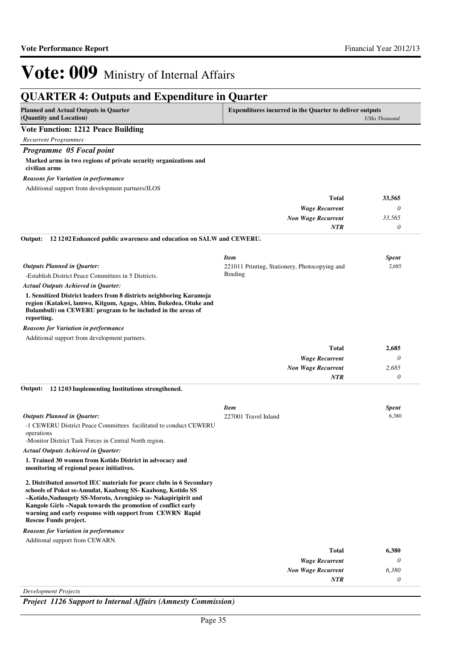| <b>QUARTER 4: Outputs and Expenditure in Quarter</b>                                                                                                                                                                                                                                                                                                    |                                                                |                      |
|---------------------------------------------------------------------------------------------------------------------------------------------------------------------------------------------------------------------------------------------------------------------------------------------------------------------------------------------------------|----------------------------------------------------------------|----------------------|
| <b>Planned and Actual Outputs in Quarter</b><br>(Quantity and Location)                                                                                                                                                                                                                                                                                 | <b>Expenditures incurred in the Quarter to deliver outputs</b> | <b>UShs Thousand</b> |
| <b>Vote Function: 1212 Peace Building</b>                                                                                                                                                                                                                                                                                                               |                                                                |                      |
| <b>Recurrent Programmes</b>                                                                                                                                                                                                                                                                                                                             |                                                                |                      |
| Programme 05 Focal point                                                                                                                                                                                                                                                                                                                                |                                                                |                      |
| Marked arms in two regions of private security organizations and<br>civilian arms                                                                                                                                                                                                                                                                       |                                                                |                      |
| <b>Reasons for Variation in performance</b>                                                                                                                                                                                                                                                                                                             |                                                                |                      |
| Additional support from development partners/JLOS                                                                                                                                                                                                                                                                                                       |                                                                |                      |
|                                                                                                                                                                                                                                                                                                                                                         | <b>Total</b>                                                   | 33,565               |
|                                                                                                                                                                                                                                                                                                                                                         | <b>Wage Recurrent</b>                                          | 0                    |
|                                                                                                                                                                                                                                                                                                                                                         | <b>Non Wage Recurrent</b>                                      | 33,565               |
|                                                                                                                                                                                                                                                                                                                                                         | <b>NTR</b>                                                     | 0                    |
| 12 1202 Enhanced public awareness and education on SALW and CEWERU.<br>Output:                                                                                                                                                                                                                                                                          |                                                                |                      |
|                                                                                                                                                                                                                                                                                                                                                         | <b>Item</b>                                                    | <b>Spent</b>         |
| <b>Outputs Planned in Quarter:</b>                                                                                                                                                                                                                                                                                                                      | 221011 Printing, Stationery, Photocopying and                  | 2,685                |
| -Establish District Peace Committees in 5 Districts.                                                                                                                                                                                                                                                                                                    | Binding                                                        |                      |
| <b>Actual Outputs Achieved in Quarter:</b>                                                                                                                                                                                                                                                                                                              |                                                                |                      |
| 1. Sensitized District leaders from 8 districts neighboring Karamoja<br>region (Katakwi, lamwo, Kitgum, Agago, Abim, Bukedea, Otuke and<br>Bulambuli) on CEWERU program to be included in the areas of<br>reporting.                                                                                                                                    |                                                                |                      |
| <b>Reasons for Variation in performance</b>                                                                                                                                                                                                                                                                                                             |                                                                |                      |
| Additional support from development partners.                                                                                                                                                                                                                                                                                                           |                                                                |                      |
|                                                                                                                                                                                                                                                                                                                                                         | <b>Total</b>                                                   | 2,685                |
|                                                                                                                                                                                                                                                                                                                                                         | <b>Wage Recurrent</b>                                          | 0                    |
|                                                                                                                                                                                                                                                                                                                                                         | <b>Non Wage Recurrent</b>                                      | 2,685                |
|                                                                                                                                                                                                                                                                                                                                                         | NTR                                                            | 0                    |
| 12 1203 Implementing Institutions strengthened.<br>Output:                                                                                                                                                                                                                                                                                              |                                                                |                      |
|                                                                                                                                                                                                                                                                                                                                                         | <b>Item</b>                                                    | <b>Spent</b>         |
| <b>Outputs Planned in Ouarter:</b>                                                                                                                                                                                                                                                                                                                      | 227001 Travel Inland                                           | 6,380                |
| -1 CEWERU District Peace Committees facilitated to conduct CEWERU                                                                                                                                                                                                                                                                                       |                                                                |                      |
| operations<br>-Monitor District Task Forces in Central North region.                                                                                                                                                                                                                                                                                    |                                                                |                      |
| <b>Actual Outputs Achieved in Quarter:</b>                                                                                                                                                                                                                                                                                                              |                                                                |                      |
| 1. Trained 30 women from Kotido District in advocacy and<br>monitoring of regional peace initiatives.                                                                                                                                                                                                                                                   |                                                                |                      |
| 2. Distributed assorted IEC materials for peace clubs in 6 Secondary<br>schools of Pokot ss-Amudat, Kaabong SS- Kaabong, Kotido SS<br>-Kotido, Nadungety SS-Moroto, Arengisiep ss-Nakapiripirit and<br>Kangole Girls-Napak towards the promotion of conflict early<br>warning and early response with support from CEWRN Rapid<br>Rescue Funds project. |                                                                |                      |
| <b>Reasons for Variation in performance</b>                                                                                                                                                                                                                                                                                                             |                                                                |                      |
| Additonal support from CEWARN.                                                                                                                                                                                                                                                                                                                          |                                                                |                      |
|                                                                                                                                                                                                                                                                                                                                                         | <b>Total</b>                                                   | 6,380                |
|                                                                                                                                                                                                                                                                                                                                                         | <b>Wage Recurrent</b>                                          | 0                    |
|                                                                                                                                                                                                                                                                                                                                                         | <b>Non Wage Recurrent</b>                                      | 6,380                |
|                                                                                                                                                                                                                                                                                                                                                         | NTR                                                            | $\theta$             |

*Development Projects*

*Project 1126 Support to Internal Affairs (Amnesty Commission)*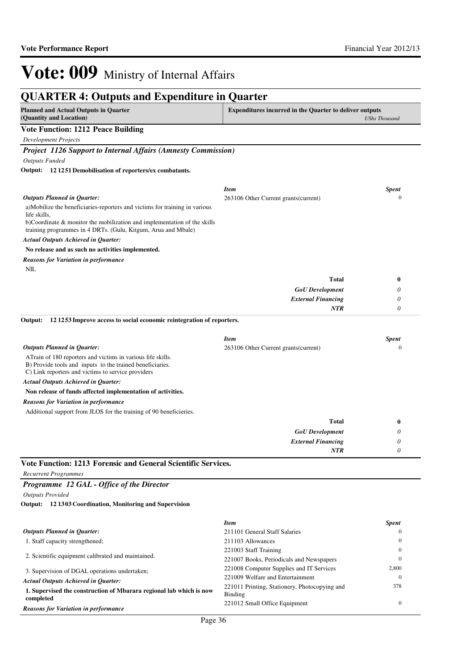| <b>Planned and Actual Outputs in Quarter</b><br>(Quantity and Location)                                                                                                        | <b>Expenditures incurred in the Quarter to deliver outputs</b> | <b>UShs Thousand</b>         |
|--------------------------------------------------------------------------------------------------------------------------------------------------------------------------------|----------------------------------------------------------------|------------------------------|
| <b>Vote Function: 1212 Peace Building</b>                                                                                                                                      |                                                                |                              |
| <b>Development Projects</b>                                                                                                                                                    |                                                                |                              |
| <b>Project 1126 Support to Internal Affairs (Amnesty Commission)</b>                                                                                                           |                                                                |                              |
| <b>Outputs Funded</b>                                                                                                                                                          |                                                                |                              |
| Output: 12 1251 Demobilisation of reporters/ex combatants.                                                                                                                     |                                                                |                              |
|                                                                                                                                                                                |                                                                |                              |
| Outputs Planned in Quarter:                                                                                                                                                    | <b>Item</b><br>263106 Other Current grants (current)           | <b>Spent</b><br>$\mathbf{0}$ |
| a)Mobilize the beneficiaries-reporters and victims for training in various<br>life skills,                                                                                     |                                                                |                              |
| b)Coordinate $\&$ monitor the mobilization and implementation of the skills<br>training programmes in 4 DRTs. (Gulu, Kitgum, Arua and Mbale)                                   |                                                                |                              |
| <b>Actual Outputs Achieved in Quarter:</b>                                                                                                                                     |                                                                |                              |
| No release and as such no activities implemented.                                                                                                                              |                                                                |                              |
| <b>Reasons for Variation in performance</b>                                                                                                                                    |                                                                |                              |
| NIL                                                                                                                                                                            |                                                                |                              |
|                                                                                                                                                                                | <b>Total</b>                                                   | 0                            |
|                                                                                                                                                                                | <b>GoU</b> Development                                         | 0                            |
|                                                                                                                                                                                | <b>External Financing</b>                                      | 0                            |
|                                                                                                                                                                                | <b>NTR</b>                                                     | 0                            |
| 121253 Improve access to social economic reintegration of reporters.<br>Output:                                                                                                |                                                                |                              |
|                                                                                                                                                                                | <b>Item</b>                                                    | <b>Spent</b>                 |
| <b>Outputs Planned in Quarter:</b>                                                                                                                                             | 263106 Other Current grants (current)                          | $\mathbf{0}$                 |
| ATrain of 180 reporters and victims in various life skills.<br>B) Provide tools and inputs to the trained beneficiaries.<br>C) Link reporters and victims to service providers |                                                                |                              |
| <b>Actual Outputs Achieved in Quarter:</b>                                                                                                                                     |                                                                |                              |
| Non release of funds affected implementation of activities.                                                                                                                    |                                                                |                              |
| <b>Reasons for Variation in performance</b>                                                                                                                                    |                                                                |                              |
| Additional support from JLOS for the training of 90 beneficieries.                                                                                                             |                                                                |                              |
|                                                                                                                                                                                | <b>Total</b>                                                   | 0                            |
|                                                                                                                                                                                | <b>GoU</b> Development                                         | 0                            |
|                                                                                                                                                                                | <b>External Financing</b>                                      | 0                            |
|                                                                                                                                                                                | <b>NTR</b>                                                     | 0                            |

*Outputs Provided*

**12 1303 Coordination, Monitoring and Supervision Output:**

|                                                                                  | <b>Item</b>                                              | <b>Spent</b> |
|----------------------------------------------------------------------------------|----------------------------------------------------------|--------------|
| <b>Outputs Planned in Ouarter:</b>                                               | 211101 General Staff Salaries                            | $\Omega$     |
| 1. Staff capacity strengthened;                                                  | 211103 Allowances                                        | $\Omega$     |
|                                                                                  | 221003 Staff Training                                    | $\Omega$     |
| 2. Scientific equipment calibrated and maintained.                               | 221007 Books, Periodicals and Newspapers                 | $\Omega$     |
| 3. Supervision of DGAL operations undertaken;                                    | 221008 Computer Supplies and IT Services                 | 2,800        |
| <b>Actual Outputs Achieved in Ouarter:</b>                                       | 221009 Welfare and Entertainment                         | $\Omega$     |
| 1. Supervised the construction of Mbarara regional lab which is now<br>completed | 221011 Printing, Stationery, Photocopying and<br>Binding | 378          |
| <b>Reasons for Variation in performance</b>                                      | 221012 Small Office Equipment                            | $\Omega$     |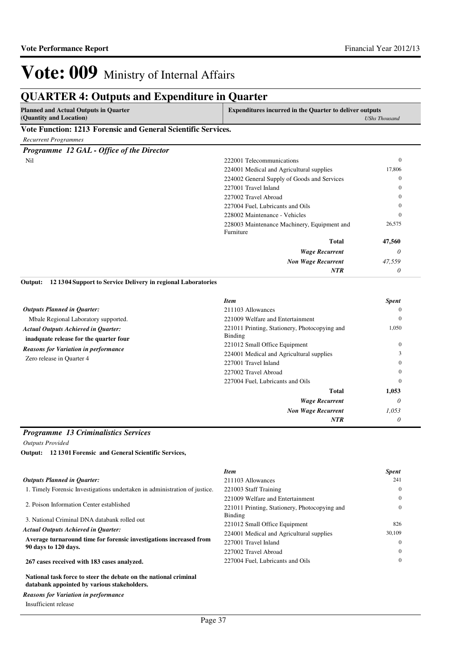## **QUARTER 4: Outputs and Expenditure in Quarter**

| Planned and Actual Outputs in Quarter                                      |  | <b>Expenditures incurred in the Quarter to deliver outputs</b> |
|----------------------------------------------------------------------------|--|----------------------------------------------------------------|
| (Quantity and Location)                                                    |  | <b>UShs Thousand</b>                                           |
| <b>TT</b> (T)<br>$\bullet \bullet \bullet \bullet \bullet \bullet \bullet$ |  |                                                                |

### **Vote Function: 1213 Forensic and General Scientific Services.**

### *Recurrent Programmes*

*Programme 12 GAL - Office of the Director*

| Nil | 222001 Telecommunications     |                                             | $\mathbf{0}$ |
|-----|-------------------------------|---------------------------------------------|--------------|
|     |                               | 224001 Medical and Agricultural supplies    | 17,806       |
|     |                               | 224002 General Supply of Goods and Services | $\mathbf{0}$ |
|     | 227001 Travel Inland          |                                             | $\Omega$     |
|     | 227002 Travel Abroad          |                                             | $\Omega$     |
|     |                               | 227004 Fuel, Lubricants and Oils            | $\Omega$     |
|     | 228002 Maintenance - Vehicles |                                             | $\mathbf{0}$ |
|     | Furniture                     | 228003 Maintenance Machinery, Equipment and | 26,575       |
|     |                               | <b>Total</b>                                | 47,560       |
|     |                               | <b>Wage Recurrent</b>                       | 0            |
|     |                               | <b>Non Wage Recurrent</b>                   | 47,559       |
|     |                               | <b>NTR</b>                                  | $\theta$     |
|     |                               |                                             |              |

**12 1304 Support to Service Delivery in regional Laboratories Output:**

|                                                                                      | <b>Item</b>                                              | <b>Spent</b> |
|--------------------------------------------------------------------------------------|----------------------------------------------------------|--------------|
| <b>Outputs Planned in Quarter:</b>                                                   | 211103 Allowances                                        | $\Omega$     |
| Mbale Regional Laboratory supported.                                                 | 221009 Welfare and Entertainment                         | $\mathbf{0}$ |
| <b>Actual Outputs Achieved in Quarter:</b><br>inadquate release for the quarter four | 221011 Printing, Stationery, Photocopying and<br>Binding | 1,050        |
| <b>Reasons for Variation in performance</b>                                          | 221012 Small Office Equipment                            | $\mathbf{0}$ |
| Zero release in Quarter 4                                                            | 224001 Medical and Agricultural supplies                 |              |
|                                                                                      | 227001 Travel Inland                                     | $\theta$     |
|                                                                                      | 227002 Travel Abroad                                     | $\theta$     |
|                                                                                      | 227004 Fuel, Lubricants and Oils                         | $\theta$     |
|                                                                                      | <b>Total</b>                                             | 1,053        |
|                                                                                      | <b>Wage Recurrent</b>                                    | 0            |
|                                                                                      | <b>Non Wage Recurrent</b>                                | 1,053        |
|                                                                                      | <b>NTR</b>                                               | 0            |

### *Programme 13 Criminalistics Services*

*Outputs Provided*

|  |  | Output: 12 1301 Forensic and General Scientific Services, |
|--|--|-----------------------------------------------------------|
|--|--|-----------------------------------------------------------|

|                                                                                                                 | <b>Item</b>                                   | <b>Spent</b> |
|-----------------------------------------------------------------------------------------------------------------|-----------------------------------------------|--------------|
| <b>Outputs Planned in Ouarter:</b>                                                                              | 211103 Allowances                             | 241          |
| 1. Timely Forensic Investigations undertaken in administration of justice.                                      | 221003 Staff Training                         | $\Omega$     |
|                                                                                                                 | 221009 Welfare and Entertainment              | $\Omega$     |
| 2. Poison Information Center established                                                                        | 221011 Printing, Stationery, Photocopying and | $\theta$     |
| 3. National Criminal DNA databank rolled out                                                                    | <b>Binding</b>                                |              |
|                                                                                                                 | 221012 Small Office Equipment                 | 826          |
| <b>Actual Outputs Achieved in Ouarter:</b>                                                                      | 224001 Medical and Agricultural supplies      | 30,109       |
| Average turnaround time for forensic investigations increased from<br>90 days to 120 days.                      | 227001 Travel Inland                          | $\Omega$     |
|                                                                                                                 | 227002 Travel Abroad                          | $\theta$     |
| 267 cases received with 183 cases analyzed.                                                                     | 227004 Fuel, Lubricants and Oils              | $\theta$     |
| National task force to steer the debate on the national criminal<br>databank appointed by various stakeholders. |                                               |              |

### *Reasons for Variation in performance*

Insufficient release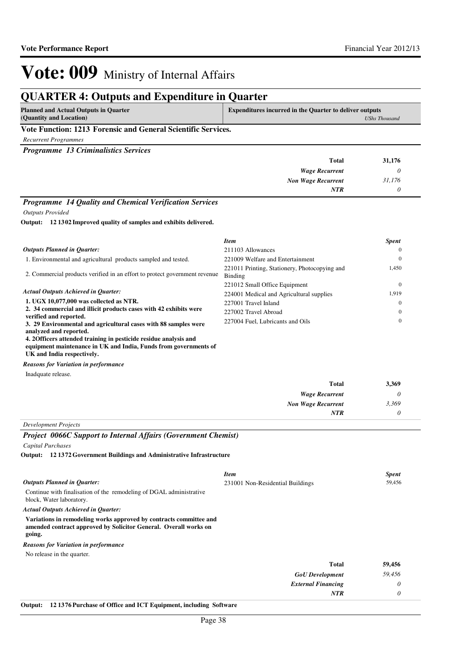## **QUARTER 4: Outputs and Expenditure in Quarter**

| <b>Planned and Actual Outputs in Quarter</b>                | <b>Expenditures incurred in the Quarter to deliver outputs</b> |
|-------------------------------------------------------------|----------------------------------------------------------------|
| (Quantity and Location)                                     | <b>UShs Thousand</b>                                           |
| Vete Experience 1912. Femands and Consul Colombilly Courtes |                                                                |

### **Vote Function: 1213 Forensic and General Scientific Services.**

*Recurrent Programmes*

*Programme 13 Criminalistics Services*

| 31,176<br>Total                     |  |
|-------------------------------------|--|
| <b>Wage Recurrent</b>               |  |
| 31,176<br><b>Non Wage Recurrent</b> |  |
| <b>NTR</b>                          |  |
|                                     |  |

### *Programme 14 Quality and Chemical Verification Services*

*Outputs Provided*

**12 1302 Improved quality of samples and exhibits delivered. Output:**

|                                                                                                                     | <b>Item</b>                                              | <b>Spent</b> |
|---------------------------------------------------------------------------------------------------------------------|----------------------------------------------------------|--------------|
| <b>Outputs Planned in Ouarter:</b>                                                                                  | 211103 Allowances                                        | $\Omega$     |
| 1. Environmental and agricultural products sampled and tested.                                                      | 221009 Welfare and Entertainment                         | $\Omega$     |
| 2. Commercial products verified in an effort to protect government revenue                                          | 221011 Printing, Stationery, Photocopying and<br>Binding | 1,450        |
|                                                                                                                     | 221012 Small Office Equipment                            | $\Omega$     |
| <b>Actual Outputs Achieved in Ouarter:</b>                                                                          | 224001 Medical and Agricultural supplies                 | 1.919        |
| 1. UGX 10,077,000 was collected as NTR.                                                                             | 227001 Travel Inland                                     | $\Omega$     |
| 2. 34 commercial and illicit products cases with 42 exhibits were                                                   | 227002 Travel Abroad                                     | $\Omega$     |
| verified and reported.<br>3. 29 Environmental and agricultural cases with 88 samples were<br>analyzed and reported. | 227004 Fuel, Lubricants and Oils                         | $\Omega$     |

**4. 2Officers attended training in pesticide residue analysis and equipment maintenance in UK and India, Funds from governments of UK and India respectively.**

*Reasons for Variation in performance*

Inadquate release.

| 3,369 | <b>Total</b>              |
|-------|---------------------------|
|       | <b>Wage Recurrent</b>     |
| 3,369 | <b>Non Wage Recurrent</b> |
|       | NTR                       |
|       |                           |

*Development Projects*

### *Project 0066C Support to Internal Affairs (Government Chemist)*

*Capital Purchases*

**12 1372 Government Buildings and Administrative Infrastructure Output:**

|                                                                                                                                                  | <b>Item</b>                      | <b>Spent</b> |
|--------------------------------------------------------------------------------------------------------------------------------------------------|----------------------------------|--------------|
| <b>Outputs Planned in Quarter:</b>                                                                                                               | 231001 Non-Residential Buildings | 59,456       |
| Continue with finalisation of the remodeling of DGAL administrative<br>block, Water laboratory.                                                  |                                  |              |
| <b>Actual Outputs Achieved in Ouarter:</b>                                                                                                       |                                  |              |
| Variations in remodeling works approved by contracts committee and<br>amended contract approved by Solicitor General. Overall works on<br>going. |                                  |              |
| <b>Reasons for Variation in performance</b>                                                                                                      |                                  |              |
| No release in the quarter.                                                                                                                       |                                  |              |
|                                                                                                                                                  | <b>Total</b>                     | 59,456       |
|                                                                                                                                                  | <b>GoU</b> Development           | 59,456       |
|                                                                                                                                                  | <b>External Financing</b>        | 0            |
|                                                                                                                                                  | <b>NTR</b>                       | 0            |

**Output: 12 1376 Purchase of Office and ICT Equipment, including Software**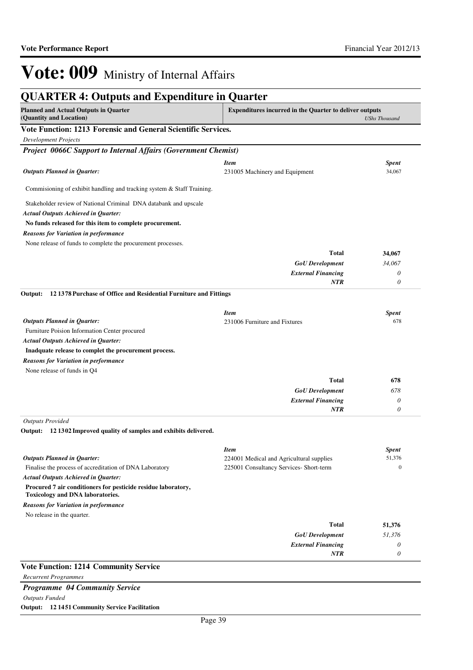| <b>QUARTER 4: Outputs and Expenditure in Quarter</b><br><b>Planned and Actual Outputs in Quarter</b>  | Expenditures incurred in the Quarter to deliver outputs |                            |
|-------------------------------------------------------------------------------------------------------|---------------------------------------------------------|----------------------------|
| (Quantity and Location)                                                                               |                                                         | <b>UShs Thousand</b>       |
| Vote Function: 1213 Forensic and General Scientific Services.                                         |                                                         |                            |
| <b>Development Projects</b>                                                                           |                                                         |                            |
| <b>Project 0066C Support to Internal Affairs (Government Chemist)</b>                                 |                                                         |                            |
|                                                                                                       | <b>Item</b>                                             | <b>Spent</b>               |
| <b>Outputs Planned in Quarter:</b>                                                                    | 231005 Machinery and Equipment                          | 34,067                     |
|                                                                                                       |                                                         |                            |
| Commisioning of exhibit handling and tracking system & Staff Training.                                |                                                         |                            |
| Stakeholder review of National Criminal DNA databank and upscale                                      |                                                         |                            |
| <b>Actual Outputs Achieved in Quarter:</b>                                                            |                                                         |                            |
| No funds released for this item to complete procurement.                                              |                                                         |                            |
| <b>Reasons for Variation in performance</b>                                                           |                                                         |                            |
| None release of funds to complete the procurement processes.                                          |                                                         |                            |
|                                                                                                       | <b>Total</b>                                            | 34,067                     |
|                                                                                                       | <b>GoU</b> Development                                  | 34,067                     |
|                                                                                                       | <b>External Financing</b>                               | 0                          |
|                                                                                                       | <b>NTR</b>                                              | 0                          |
| Output:<br>12 1378 Purchase of Office and Residential Furniture and Fittings                          |                                                         |                            |
|                                                                                                       |                                                         |                            |
|                                                                                                       | <b>Item</b>                                             | <b>Spent</b>               |
| <b>Outputs Planned in Quarter:</b>                                                                    | 231006 Furniture and Fixtures                           | 678                        |
| Furniture Poision Information Center procured                                                         |                                                         |                            |
| <b>Actual Outputs Achieved in Quarter:</b><br>Inadquate release to complet the procurement process.   |                                                         |                            |
|                                                                                                       |                                                         |                            |
| <b>Reasons for Variation in performance</b><br>None release of funds in Q4                            |                                                         |                            |
|                                                                                                       | <b>Total</b>                                            | 678                        |
|                                                                                                       | <b>GoU</b> Development                                  | 678                        |
|                                                                                                       | <b>External Financing</b>                               | 0                          |
|                                                                                                       | NTR                                                     | 0                          |
| <b>Outputs Provided</b>                                                                               |                                                         |                            |
| 12 1302 Improved quality of samples and exhibits delivered.<br>Output:                                |                                                         |                            |
|                                                                                                       |                                                         |                            |
|                                                                                                       | <i>Item</i>                                             | <b>Spent</b>               |
| <b>Outputs Planned in Quarter:</b>                                                                    | 224001 Medical and Agricultural supplies                | 51,376<br>$\boldsymbol{0}$ |
| Finalise the process of accreditation of DNA Laboratory<br><b>Actual Outputs Achieved in Quarter:</b> | 225001 Consultancy Services- Short-term                 |                            |
| Procured 7 air conditioners for pesticide residue laboratory,                                         |                                                         |                            |
| Toxicology and DNA laboratories.                                                                      |                                                         |                            |
| <b>Reasons for Variation in performance</b>                                                           |                                                         |                            |
| No release in the quarter.                                                                            |                                                         |                            |
|                                                                                                       | <b>Total</b>                                            | 51,376                     |
|                                                                                                       | <b>GoU</b> Development                                  | 51,376                     |
|                                                                                                       | <b>External Financing</b>                               | 0                          |
|                                                                                                       | NTR                                                     | 0                          |
| <b>Vote Function: 1214 Community Service</b>                                                          |                                                         |                            |
| <b>Recurrent Programmes</b>                                                                           |                                                         |                            |
| Programme 04 Community Service                                                                        |                                                         |                            |
| <b>Outputs Funded</b>                                                                                 |                                                         |                            |
| Output: 12 1451 Community Service Facilitation                                                        |                                                         |                            |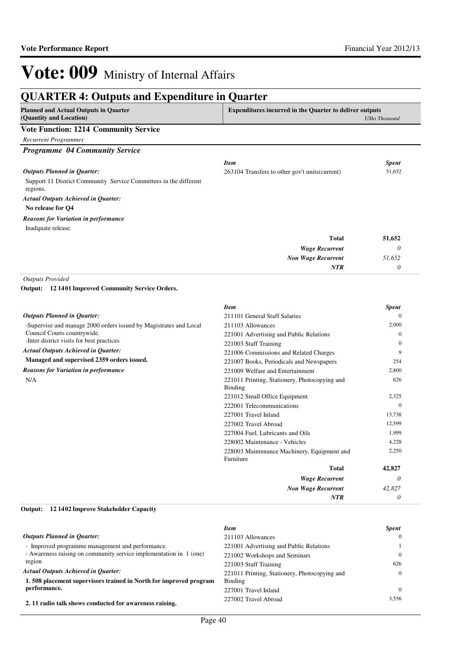#### **QUARTER 4: Outputs and Expenditure in Quarter Planned and Actual Outputs in Quarter (Quantity and Location) Expenditures incurred in the Quarter to deliver outputs**  *UShs Thousand* **Vote Function: 1214 Community Service** *Recurrent Programmes Programme 04 Community Service* Support 11 District Community Service Committees in the different regions. **No release for Q4** *Wage Recurrent Non Wage Recurrent* **Total** *0 51,652 0* **51,652** *Actual Outputs Achieved in Quarter: Outputs Planned in Quarter: NTR* Inadquate release. *Reasons for Variation in performance Item Spent* 263104 Transfers to other gov't units(current) 51,652 *Outputs Provided* -Supervise and manage 2000 orders issued by Magistrates and Local Council Courts countrywide. -Inter district visits for best practices **Managed and supervised 2359 orders issued. 12 1401 Improved Community Service Orders. Output:** *Actual Outputs Achieved in Quarter: Outputs Planned in Quarter: Reasons for Variation in performance Item Spent* 211101 General Staff Salaries 0 211103 Allowances 2,000 221001 Advertising and Public Relations 0 221003 Staff Training 0 221006 Commissions and Related Charges 9 221007 Books, Periodicals and Newspapers 254 221009 Welfare and Entertainment 2,800 221011 Printing, Stationery, Photocopying and 626

Binding

Furniture

N/A

#### **12 1402 Improve Stakeholder Capacity Output:**

|                                                                    | <b>Item</b>                                   | <b>Spent</b> |
|--------------------------------------------------------------------|-----------------------------------------------|--------------|
| <b>Outputs Planned in Ouarter:</b>                                 | 211103 Allowances                             |              |
| - Improved programme management and performance.                   | 221001 Advertising and Public Relations       |              |
| - Awareness raising on community service implementation in 1 (one) | 221002 Workshops and Seminars                 |              |
| region                                                             | 221003 Staff Training                         | 626          |
| <b>Actual Outputs Achieved in Ouarter:</b>                         | 221011 Printing, Stationery, Photocopying and |              |
| 1.508 placement supervisors trained in North for improved program  | Binding                                       |              |
| performance.                                                       | 227001 Travel Inland                          |              |
| 2. 11 radio talk shows conducted for awareness raising.            | 227002 Travel Abroad                          | 3.556        |

*Wage Recurrent Non Wage Recurrent*

221012 Small Office Equipment 2,325 222001 Telecommunications 0 227001 Travel Inland 13,738 227002 Travel Abroad 12,599 227004 Fuel, Lubricants and Oils 1,999 228002 Maintenance - Vehicles 4,228

228003 Maintenance Machinery, Equipment and

**Total**

*NTR*

*0 42,827 0*

**42,827**

2,250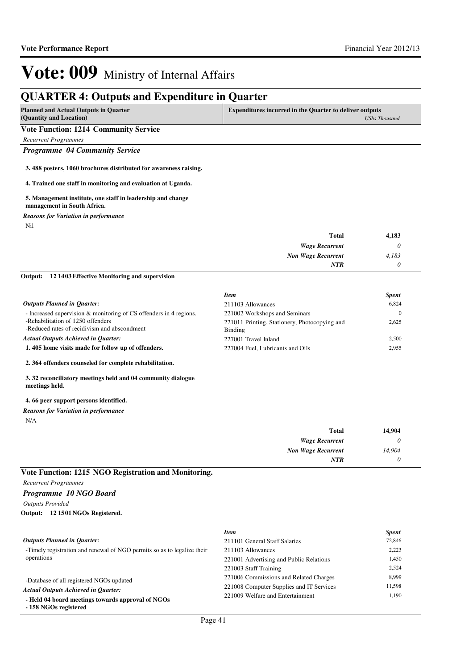## **QUARTER 4: Outputs and Expenditure in Quarter**

| <b>Planned and Actual Outputs in Quarter</b><br>(Quantity and Location) | Expenditures incurred in the Quarter to deliver outputs<br>UShs Thousand |
|-------------------------------------------------------------------------|--------------------------------------------------------------------------|
| <b>Vote Function: 1214 Community Service</b>                            |                                                                          |
| Recurrent Programmes                                                    |                                                                          |

*Programme 04 Community Service*

**3. 488 posters, 1060 brochures distributed for awareness raising.**

### **4. Trained one staff in monitoring and evaluation at Uganda.**

#### **5. Management institute, one staff in leadership and change management in South Africa.**

*Reasons for Variation in performance*

Nil

| 4,183 | <b>Total</b>              |
|-------|---------------------------|
|       | <b>Wage Recurrent</b>     |
| 4,183 | <b>Non Wage Recurrent</b> |
|       | <b>NTR</b>                |

#### **12 1403 Effective Monitoring and supervision Output:**

|                                                                                   | <b>Item</b>                                              | <b>Spent</b> |  |
|-----------------------------------------------------------------------------------|----------------------------------------------------------|--------------|--|
| <b>Outputs Planned in Ouarter:</b>                                                | 211103 Allowances                                        | 6.824        |  |
| - Increased supervision & monitoring of CS offenders in 4 regions.                | 221002 Workshops and Seminars                            | $\Omega$     |  |
| -Rehabilitation of 1250 offenders<br>-Reduced rates of recidivism and abscondment | 221011 Printing, Stationery, Photocopying and<br>Binding | 2.625        |  |
| <b>Actual Outputs Achieved in Ouarter:</b>                                        | 227001 Travel Inland                                     | 2.500        |  |
| 1.405 home visits made for follow up of offenders.                                | 227004 Fuel, Lubricants and Oils                         | 2.955        |  |

**2. 364 offenders counseled for complete rehabilitation.**

**3. 32 reconciliatory meetings held and 04 community dialogue meetings held.**

### **4. 66 peer support persons identified.**

### N/A *Reasons for Variation in performance*

| 14,904 | <b>Total</b>                |
|--------|-----------------------------|
|        | <b>Wage Recurrent</b>       |
| 14,904 | <b>Non Wage Recurrent</b>   |
|        | <b>NTR</b>                  |
|        | ______<br><b>Commercial</b> |

## **Vote Function: 1215 NGO Registration and Monitoring.**

*Recurrent Programmes*

### *Programme 10 NGO Board*

*Outputs Provided*

#### **12 1501 NGOs Registered. Output:**

|                                                                            | <b>Item</b>                              | <b>Spent</b> |
|----------------------------------------------------------------------------|------------------------------------------|--------------|
| <b>Outputs Planned in Ouarter:</b>                                         | 211101 General Staff Salaries            | 72,846       |
| -Timely registration and renewal of NGO permits so as to legalize their    | 211103 Allowances                        | 2.223        |
| operations                                                                 | 221001 Advertising and Public Relations  | 1.450        |
|                                                                            | 221003 Staff Training                    | 2,524        |
| -Database of all registered NGOs updated                                   | 221006 Commissions and Related Charges   | 8.999        |
| <b>Actual Outputs Achieved in Ouarter:</b>                                 | 221008 Computer Supplies and IT Services | 11.598       |
| - Held 04 board meetings towards approval of NGOs<br>- 158 NGOs registered | 221009 Welfare and Entertainment         | 1.190        |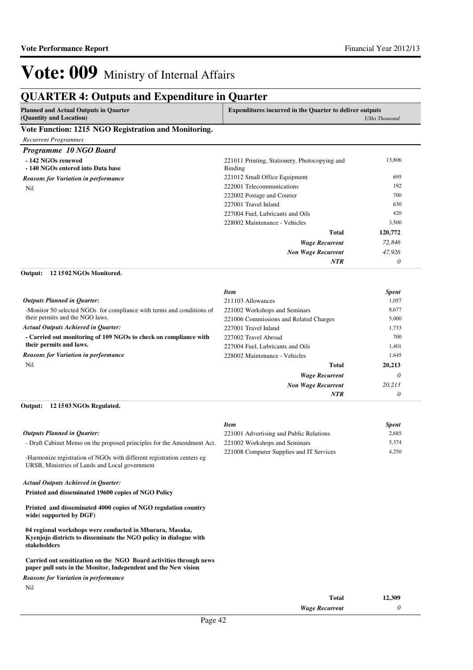## **QUARTER 4: Outputs and Expenditure in Quarter**

| POINTING IN OUTPURS AND EXPERIENCE IN                                                                                                         | Yuur ver                                                                  |                      |
|-----------------------------------------------------------------------------------------------------------------------------------------------|---------------------------------------------------------------------------|----------------------|
| <b>Planned and Actual Outputs in Quarter</b><br>(Quantity and Location)                                                                       | <b>Expenditures incurred in the Quarter to deliver outputs</b>            | <b>UShs Thousand</b> |
| Vote Function: 1215 NGO Registration and Monitoring.                                                                                          |                                                                           |                      |
| <b>Recurrent Programmes</b>                                                                                                                   |                                                                           |                      |
| Programme 10 NGO Board                                                                                                                        |                                                                           |                      |
| - 142 NGOs renewed                                                                                                                            | 221011 Printing, Stationery, Photocopying and                             | 13,806               |
| -140 NGOs entered into Data base                                                                                                              | <b>Binding</b>                                                            |                      |
| <b>Reasons for Variation in performance</b>                                                                                                   | 221012 Small Office Equipment                                             | 695                  |
| Nil                                                                                                                                           | 222001 Telecommunications                                                 | 192                  |
|                                                                                                                                               | 222002 Postage and Courier                                                | 700                  |
|                                                                                                                                               | 227001 Travel Inland                                                      | 630                  |
|                                                                                                                                               | 227004 Fuel, Lubricants and Oils                                          | 420                  |
|                                                                                                                                               | 228002 Maintenance - Vehicles                                             | 3,500                |
|                                                                                                                                               | <b>Total</b>                                                              | 120,772              |
|                                                                                                                                               | <b>Wage Recurrent</b>                                                     | 72,846               |
|                                                                                                                                               | Non Wage Recurrent                                                        | 47,926               |
|                                                                                                                                               | <b>NTR</b>                                                                | 0                    |
| 121502 NGOs Monitored.<br>Output:                                                                                                             |                                                                           |                      |
|                                                                                                                                               |                                                                           |                      |
|                                                                                                                                               | <b>Item</b>                                                               | <b>Spent</b>         |
| <b>Outputs Planned in Quarter:</b>                                                                                                            | 211103 Allowances                                                         | 1,057                |
| -Monitor 50 selected NGOs for compliance with terms and conditions of                                                                         | 221002 Workshops and Seminars                                             | 8,677                |
| their permits and the NGO laws.                                                                                                               | 221006 Commissions and Related Charges                                    | 5,000                |
| <b>Actual Outputs Achieved in Quarter:</b>                                                                                                    | 227001 Travel Inland                                                      | 1,733                |
| - Carried out monitoring of 109 NGOs to check on compliance with                                                                              | 227002 Travel Abroad                                                      | 700                  |
| their permits and laws.                                                                                                                       | 227004 Fuel, Lubricants and Oils                                          | 1,401                |
| <b>Reasons for Variation in performance</b>                                                                                                   | 228002 Maintenance - Vehicles                                             | 1,645                |
| Nil                                                                                                                                           | <b>Total</b>                                                              | 20,213               |
|                                                                                                                                               | <b>Wage Recurrent</b>                                                     | 0                    |
|                                                                                                                                               | <b>Non Wage Recurrent</b>                                                 | 20,213               |
|                                                                                                                                               | <b>NTR</b>                                                                | 0                    |
| Output:<br>12 1503 NGOs Regulated.                                                                                                            |                                                                           |                      |
|                                                                                                                                               |                                                                           |                      |
| <b>Outputs Planned in Quarter:</b>                                                                                                            | <b>Item</b>                                                               | <b>Spent</b>         |
|                                                                                                                                               | 221001 Advertising and Public Relations                                   | 2,685                |
| - Draft Cabinet Memo on the proposed principles for the Amendment Act.                                                                        | 221002 Workshops and Seminars<br>221008 Computer Supplies and IT Services | 5,374<br>4,250       |
| -Harmonize registration of NGOs with different registration centers eg<br>URSB, Ministries of Lands and Local government                      |                                                                           |                      |
| <b>Actual Outputs Achieved in Quarter:</b>                                                                                                    |                                                                           |                      |
| Printed and disseminated 19600 copies of NGO Policy                                                                                           |                                                                           |                      |
| Printed and disseminated 4000 copies of NGO regulation country<br>wide(supported by DGF)                                                      |                                                                           |                      |
| 04 regional workshops were conducted in Mbarara, Masaka,<br>Kyenjojo districts to disseminate the NGO policy in dialogue with<br>stakeholders |                                                                           |                      |
| Carried out sensitization on the NGO Board activities through news<br>paper pull outs in the Monitor, Independent and the New vision          |                                                                           |                      |
| <b>Reasons for Variation in performance</b><br>Nil                                                                                            |                                                                           |                      |

| Total                 | 12,309 |
|-----------------------|--------|
| <b>Wage Recurrent</b> |        |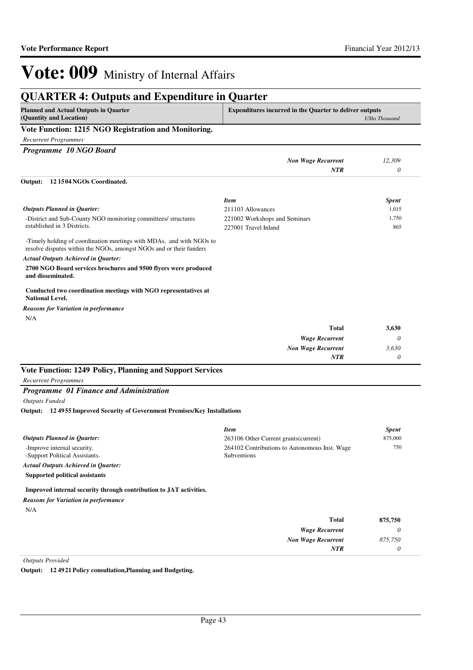| <b>Planned and Actual Outputs in Quarter</b><br>(Quantity and Location)                                                                     | <b>Expenditures incurred in the Quarter to deliver outputs</b> | <b>UShs Thousand</b> |
|---------------------------------------------------------------------------------------------------------------------------------------------|----------------------------------------------------------------|----------------------|
| Vote Function: 1215 NGO Registration and Monitoring.                                                                                        |                                                                |                      |
| <b>Recurrent Programmes</b>                                                                                                                 |                                                                |                      |
| Programme 10 NGO Board                                                                                                                      |                                                                |                      |
|                                                                                                                                             | <b>Non Wage Recurrent</b>                                      | 12,309               |
|                                                                                                                                             | <b>NTR</b>                                                     | 0                    |
| 121504NGOs Coordinated.<br>Output:                                                                                                          |                                                                |                      |
|                                                                                                                                             | <b>Item</b>                                                    | <b>Spent</b>         |
| <b>Outputs Planned in Quarter:</b>                                                                                                          | 211103 Allowances                                              | 1,015                |
| -District and Sub-County NGO monitoring committees/ structures<br>established in 3 Districts.                                               | 221002 Workshops and Seminars<br>227001 Travel Inland          | 1,750<br>865         |
| -Timely holding of coordination meetings with MDAs, and with NGOs to<br>resolve disputes within the NGOs, amongst NGOs and or their funders |                                                                |                      |
| <b>Actual Outputs Achieved in Quarter:</b>                                                                                                  |                                                                |                      |
| 2700 NGO Board services brochures and 9500 flyers were produced<br>and disseminated.                                                        |                                                                |                      |
| Conducted two coordination meetings with NGO representatives at<br><b>National Level.</b>                                                   |                                                                |                      |
| <b>Reasons for Variation in performance</b>                                                                                                 |                                                                |                      |
| N/A                                                                                                                                         |                                                                |                      |
|                                                                                                                                             | <b>Total</b>                                                   | 3,630                |
|                                                                                                                                             | <b>Wage Recurrent</b>                                          | $\theta$             |
|                                                                                                                                             | <b>Non Wage Recurrent</b>                                      | 3,630                |
|                                                                                                                                             | <b>NTR</b>                                                     | $\theta$             |
| Vote Function: 1249 Policy, Planning and Support Services                                                                                   |                                                                |                      |
| <b>Recurrent Programmes</b>                                                                                                                 |                                                                |                      |
| <b>Programme</b> 01 Finance and Administration                                                                                              |                                                                |                      |
| <b>Outputs Funded</b>                                                                                                                       |                                                                |                      |
| Output: 124955 Improved Security of Government Premises/Key Installations                                                                   |                                                                |                      |
|                                                                                                                                             | <b>Item</b>                                                    | <b>Spent</b>         |
| <b>Outputs Planned in Quarter:</b>                                                                                                          | 263106 Other Current grants (current)                          | 875,000              |
| -Improve internal security.<br>-Support Political Assistants.                                                                               | 264102 Contributions to Autonomous Inst. Wage<br>Subventions   | 750                  |
| <b>Actual Outputs Achieved in Quarter:</b>                                                                                                  |                                                                |                      |
| <b>Supported political assistants</b>                                                                                                       |                                                                |                      |
| Improved internal security through contribution to JAT activities.                                                                          |                                                                |                      |
| $\mathbf{r}$ and $\mathbf{r}$ and $\mathbf{r}$ and $\mathbf{r}$                                                                             |                                                                |                      |

N/A *Reasons for Variation in performance*

| 875,750 | <b>Total</b>              |
|---------|---------------------------|
|         | <b>Wage Recurrent</b>     |
| 875,750 | <b>Non Wage Recurrent</b> |
|         | <b>NTR</b>                |

*Outputs Provided*

**Output: 12 4921 Policy consultation,Planning and Budgeting.**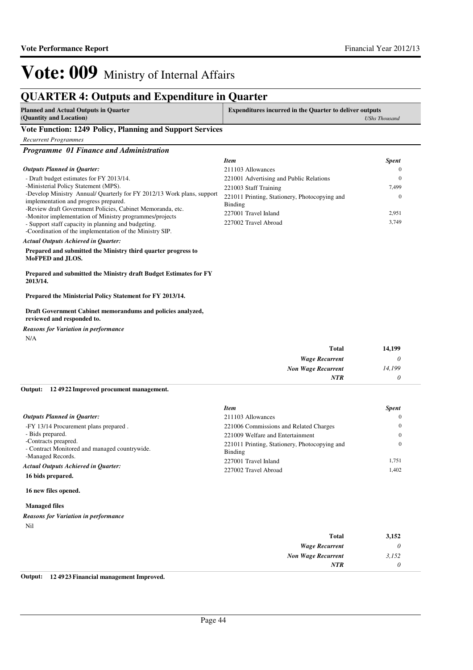## **QUARTER 4: Outputs and Expenditure in Quarter**

| <b>Planned and Actual Outputs in Quarter</b> | <b>Expenditures incurred in the Quarter to deliver outputs</b> |
|----------------------------------------------|----------------------------------------------------------------|
| (Quantity and Location)                      | <b>UShs Thousand</b>                                           |

### **Vote Function: 1249 Policy, Planning and Support Services**

*Recurrent Programmes*

*Programme 01 Finance and Administration*

|                                                                                                                                                                                                                                                                                                                              | <b>Item</b>                                                                                                                                          | <b>Spent</b>                                   |
|------------------------------------------------------------------------------------------------------------------------------------------------------------------------------------------------------------------------------------------------------------------------------------------------------------------------------|------------------------------------------------------------------------------------------------------------------------------------------------------|------------------------------------------------|
| <b>Outputs Planned in Quarter:</b>                                                                                                                                                                                                                                                                                           | 211103 Allowances                                                                                                                                    | $\Omega$                                       |
| - Draft budget estimates for FY 2013/14.<br>-Ministerial Policy Statement (MPS).<br>-Develop Ministry Annual/ Quarterly for FY 2012/13 Work plans, support<br>implementation and progress prepared.<br>-Review draft Government Policies, Cabinet Memoranda, etc.<br>-Monitor implementation of Ministry programmes/projects | 221001 Advertising and Public Relations<br>221003 Staff Training<br>221011 Printing, Stationery, Photocopying and<br>Binding<br>227001 Travel Inland | $\mathbf{0}$<br>7.499<br>$\mathbf{0}$<br>2,951 |
| - Support staff capacity in planning and budgeting.<br>-Coordination of the implementation of the Ministry SIP.<br><b>Actual Outputs Achieved in Ouarter:</b>                                                                                                                                                                | 227002 Travel Abroad                                                                                                                                 | 3,749                                          |
| Prepared and submitted the Ministry third quarter progress to<br>MoFPED and JLOS.                                                                                                                                                                                                                                            |                                                                                                                                                      |                                                |
| Prepared and submitted the Ministry draft Budget Estimates for FY<br>2013/14.                                                                                                                                                                                                                                                |                                                                                                                                                      |                                                |

**Prepared the Ministerial Policy Statement for FY 2013/14.**

**Draft Government Cabinet memorandums and policies analyzed, reviewed and responded to.**

*Reasons for Variation in performance*

N/A

| <b>Total</b>              | 14,199   |
|---------------------------|----------|
| <b>Wage Recurrent</b>     | $\theta$ |
| <b>Non Wage Recurrent</b> | 14,199   |
| <b>NTR</b>                |          |

#### **12 4922 Improved procument management. Output:**

| <b>Item</b>                                              | <b>Spent</b> |
|----------------------------------------------------------|--------------|
| 211103 Allowances                                        | $\Omega$     |
| 221006 Commissions and Related Charges                   | $\Omega$     |
| 221009 Welfare and Entertainment                         | $\Omega$     |
| 221011 Printing, Stationery, Photocopying and<br>Binding | $\Omega$     |
| 227001 Travel Inland                                     | 1.751        |
| 227002 Travel Abroad                                     | 1.402        |
|                                                          |              |

### **16 new files opened.**

### **Managed files**

| <b>Reasons for Variation in performance</b> |  |  |
|---------------------------------------------|--|--|
| Nil.                                        |  |  |

| 3,152 | Total                     |
|-------|---------------------------|
|       | <b>Wage Recurrent</b>     |
| 3,152 | <b>Non Wage Recurrent</b> |
|       | <b>NTR</b>                |
|       |                           |

**Output: 12 4923 Financial management Improved.**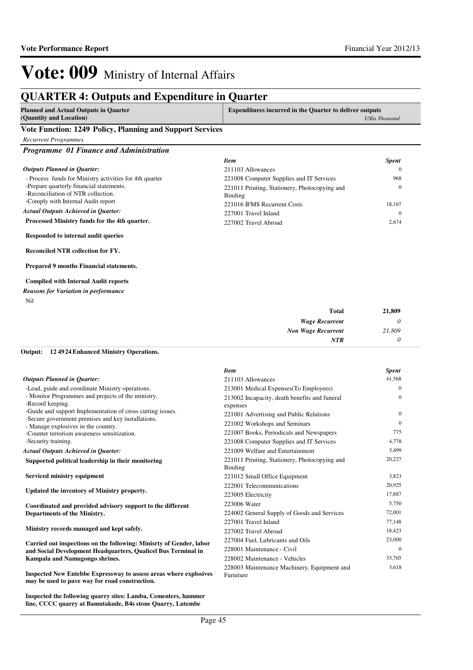## **QUARTER 4: Outputs and Expenditure in Quarter**

| <b>Planned and Actual Outputs in Quarter</b> | <b>Expenditures incurred in the Quarter to deliver outputs</b> |
|----------------------------------------------|----------------------------------------------------------------|
| (Quantity and Location)                      | <b>UShs Thousand</b>                                           |

### **Vote Function: 1249 Policy, Planning and Support Services**

*Recurrent Programmes*

*Programme 01 Finance and Administration*

|                                                                                  | <b>Item</b>                                              | <b>Spent</b> |
|----------------------------------------------------------------------------------|----------------------------------------------------------|--------------|
| <b>Outputs Planned in Quarter:</b>                                               | 211103 Allowances                                        |              |
| - Process funds for Ministry activities for 4th quarter                          | 221008 Computer Supplies and IT Services                 | 968          |
| -Prepare quarterly financial statements.<br>-Reconciliation of NTR collection.   | 221011 Printing, Stationery, Photocopying and<br>Binding |              |
| -Comply with Internal Audit report<br><b>Actual Outputs Achieved in Ouarter:</b> | 221016 IFMS Recurrent Costs<br>227001 Travel Inland      | 18.167       |
| Processed Ministry funds for the 4th quarter.                                    | 227002 Travel Abroad                                     | 2,674        |

**Responded to internal audit queries**

**Reconciled NTR collection for FY.**

**Prepared 9 months Financial statements.**

### **Complied with Internal Audit reports**

|     |  | <b>Reasons for Variation in performance</b> |
|-----|--|---------------------------------------------|
| Nil |  |                                             |

| <b>Total</b>              | 21,809                |
|---------------------------|-----------------------|
| <b>Wage Recurrent</b>     | $\boldsymbol{\theta}$ |
| <b>Non Wage Recurrent</b> | 21,809                |
| <b>NTR</b>                | 0                     |

### **12 4924 Enhanced Ministry Operations. Output:**

|                                                                                                                                                         | <b>Item</b>                                                              | <b>Spent</b>         |
|---------------------------------------------------------------------------------------------------------------------------------------------------------|--------------------------------------------------------------------------|----------------------|
| <b>Outputs Planned in Quarter:</b>                                                                                                                      | 211103 Allowances                                                        | 41,568               |
| -Lead, guide and coordinate Ministry operations.                                                                                                        | 213001 Medical Expenses(To Employees)                                    | $\mathbf{0}$         |
| - Monitor Programmes and projects of the ministry.<br>-Record keeping.                                                                                  | 213002 Incapacity, death benefits and funeral<br>expenses                | $\mathbf{0}$         |
| -Guide and support Implementation of cross cutting issues.<br>-Secure government premises and key installations.<br>- Manage explosives in the country. | 221001 Advertising and Public Relations<br>221002 Workshops and Seminars | $\Omega$<br>$\Omega$ |
| -Counter terrorism awareness sensitization.                                                                                                             | 221007 Books, Periodicals and Newspapers                                 | 775                  |
| -Security training.                                                                                                                                     | 221008 Computer Supplies and IT Services                                 | 4,778                |
| <b>Actual Outputs Achieved in Ouarter:</b>                                                                                                              | 221009 Welfare and Entertainment                                         | 3,499                |
| Supported political leadership in their monitoring                                                                                                      | 221011 Printing, Stationery, Photocopying and<br>Binding                 | 20,227               |
| Serviced ministry equipment                                                                                                                             | 221012 Small Office Equipment                                            | 3,823                |
|                                                                                                                                                         | 222001 Telecommunications                                                | 20,925               |
| Updated the inventory of Ministry property.                                                                                                             | 223005 Electricity                                                       | 17.887               |
| Coordinated and provided advisory support to the different                                                                                              | 223006 Water                                                             | 5,750                |
| Departments of the Ministry.                                                                                                                            | 224002 General Supply of Goods and Services                              | 72,001               |
|                                                                                                                                                         | 227001 Travel Inland                                                     | 77.148               |
| Ministry records managed and kept safely.                                                                                                               | 227002 Travel Abroad                                                     | 18,423               |
| Carried out inspections on the following: Minisrty of Gender, labor                                                                                     | 227004 Fuel, Lubricants and Oils                                         | 23,000               |
| and Social Development Headquarters, Qualicel Bus Terminal in                                                                                           | 228001 Maintenance - Civil                                               | $\Omega$             |
| Kampala and Namugongo shrines.                                                                                                                          | 228002 Maintenance - Vehicles                                            | 33,765               |
| Inspected New Entebbe Expressway to assess areas where explosives<br>may be used to pave way for road construction.                                     | 228003 Maintenance Machinery, Equipment and<br>Furniture                 | 3,618                |

**Inspected the following quarry sites: Lamba, Cementers, hammer line, CCCC quarry at Bamutakude, B4s stone Quarry, Lutembe**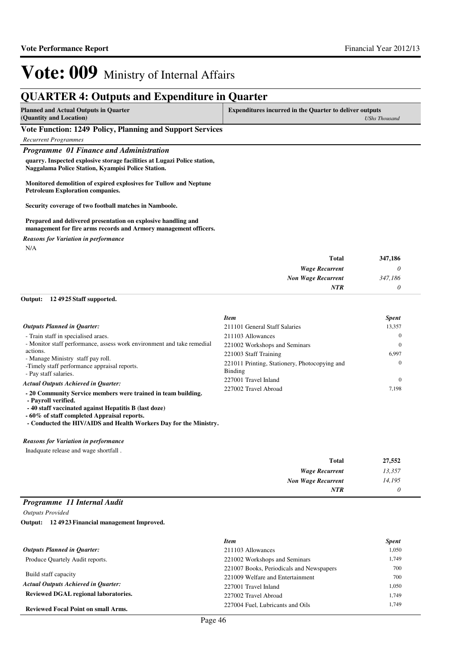## **QUARTER 4: Outputs and Expenditure in Quarter**

| (Quantity and Location) | <b>UShs Thousand</b> |
|-------------------------|----------------------|

### **Vote Function: 1249 Policy, Planning and Support Services**

*Recurrent Programmes*

### *Programme 01 Finance and Administration*

**quarry. Inspected explosive storage facilities at Lugazi Police station, Naggalama Police Station, Kyampisi Police Station.**

**Monitored demolition of expired explosives for Tullow and Neptune Petroleum Exploration companies.**

**Security coverage of two football matches in Namboole.**

#### **Prepared and delivered presentation on explosive handling and management for fire arms records and Armory management officers.**

*Reasons for Variation in performance*

N/A

| <b>Total</b>              | 347,186 |
|---------------------------|---------|
| <b>Wage Recurrent</b>     | υ       |
| <b>Non Wage Recurrent</b> | 347,186 |
| <b>NTR</b>                |         |

# **12 4925 Staff supported. Output:**

|                                                                                      | <b>Item</b>                                                     | <b>Spent</b> |
|--------------------------------------------------------------------------------------|-----------------------------------------------------------------|--------------|
| <b>Outputs Planned in Quarter:</b>                                                   | 211101 General Staff Salaries                                   | 13,357       |
| - Train staff in specialised araes.                                                  | 211103 Allowances                                               | $\theta$     |
| - Monitor staff performance, assess work environment and take remedial               | 221002 Workshops and Seminars                                   | $\Omega$     |
| actions.<br>- Manage Ministry staff pay roll.                                        | 221003 Staff Training                                           | 6.997        |
| -Timely staff performance appraisal reports.<br>- Pay staff salaries.                | 221011 Printing, Stationery, Photocopying and<br><b>Binding</b> | $\theta$     |
| <b>Actual Outputs Achieved in Ouarter:</b>                                           | 227001 Travel Inland                                            | $\Omega$     |
| - 20 Community Service members were trained in team building.<br>- Payroll verified. | 227002 Travel Abroad                                            | 7.198        |

 **- 40 staff vaccinated against Hepatitis B (last doze)** 

**- 60% of staff completed Appraisal reports.** 

 **- Conducted the HIV/AIDS and Health Workers Day for the Ministry.**

#### *Reasons for Variation in performance*

Inadquate release and wage shortfall .

| 27,552 | <b>Total</b>              |
|--------|---------------------------|
| 13,357 | <b>Wage Recurrent</b>     |
| 14,195 | <b>Non Wage Recurrent</b> |
|        | NTR                       |

### *Programme 11 Internal Audit*

*Outputs Provided*

**12 4923 Financial management Improved. Output:**

|                                            | <b>Item</b>                              | <b>Spent</b> |
|--------------------------------------------|------------------------------------------|--------------|
| <b>Outputs Planned in Quarter:</b>         | 211103 Allowances                        | 1,050        |
| Produce Quartely Audit reports.            | 221002 Workshops and Seminars            | 1.749        |
|                                            | 221007 Books, Periodicals and Newspapers | 700          |
| Build staff capacity                       | 221009 Welfare and Entertainment         | 700          |
| <b>Actual Outputs Achieved in Ouarter:</b> | 227001 Travel Inland                     | 1,050        |
| Reviewed DGAL regional laboratories.       | 227002 Travel Abroad                     | 1.749        |
| <b>Reviewed Focal Point on small Arms.</b> | 227004 Fuel. Lubricants and Oils         | 1.749        |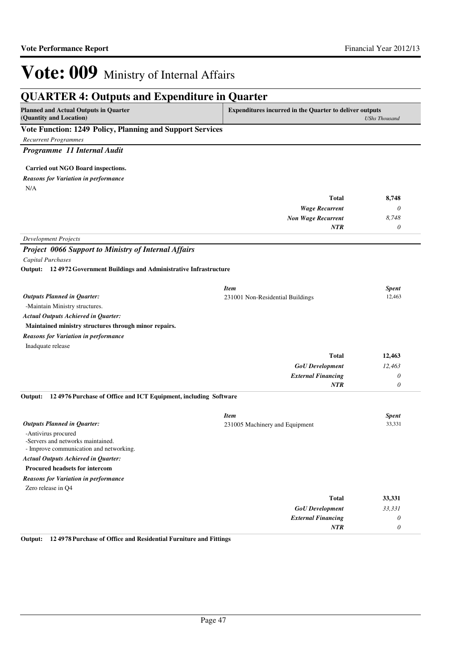| <b>QUARTER 4: Outputs and Expenditure in Quarter</b>                        |                                                         |                       |
|-----------------------------------------------------------------------------|---------------------------------------------------------|-----------------------|
| <b>Planned and Actual Outputs in Quarter</b><br>(Quantity and Location)     | Expenditures incurred in the Quarter to deliver outputs | <b>UShs Thousand</b>  |
| Vote Function: 1249 Policy, Planning and Support Services                   |                                                         |                       |
| <b>Recurrent Programmes</b>                                                 |                                                         |                       |
| Programme 11 Internal Audit                                                 |                                                         |                       |
|                                                                             |                                                         |                       |
| Carried out NGO Board inspections.                                          |                                                         |                       |
| <b>Reasons for Variation in performance</b>                                 |                                                         |                       |
| N/A                                                                         |                                                         |                       |
|                                                                             | <b>Total</b>                                            | 8,748                 |
|                                                                             | <b>Wage Recurrent</b>                                   | $\theta$              |
|                                                                             | <b>Non Wage Recurrent</b>                               | 8,748                 |
|                                                                             | NTR                                                     | $\theta$              |
| <b>Development Projects</b>                                                 |                                                         |                       |
| <b>Project 0066 Support to Ministry of Internal Affairs</b>                 |                                                         |                       |
| Capital Purchases                                                           |                                                         |                       |
| Output: 124972 Government Buildings and Administrative Infrastructure       |                                                         |                       |
|                                                                             |                                                         |                       |
|                                                                             | <b>Item</b>                                             | <b>Spent</b>          |
| <b>Outputs Planned in Quarter:</b>                                          | 231001 Non-Residential Buildings                        | 12,463                |
| -Maintain Ministry structures.                                              |                                                         |                       |
| <b>Actual Outputs Achieved in Quarter:</b>                                  |                                                         |                       |
| Maintained ministry structures through minor repairs.                       |                                                         |                       |
| <b>Reasons for Variation in performance</b>                                 |                                                         |                       |
| Inadquate release                                                           | <b>Total</b>                                            |                       |
|                                                                             |                                                         | 12,463                |
|                                                                             | <b>GoU</b> Development<br><b>External Financing</b>     | 12,463<br>0           |
|                                                                             | <b>NTR</b>                                              | $\theta$              |
|                                                                             |                                                         |                       |
| 12 4976 Purchase of Office and ICT Equipment, including Software<br>Output: |                                                         |                       |
|                                                                             | <b>Item</b>                                             | <b>Spent</b>          |
| <b>Outputs Planned in Quarter:</b>                                          | 231005 Machinery and Equipment                          | 33,331                |
| -Antivirus procured                                                         |                                                         |                       |
| -Servers and networks maintained.                                           |                                                         |                       |
| - Improve communication and networking.                                     |                                                         |                       |
| <b>Actual Outputs Achieved in Quarter:</b>                                  |                                                         |                       |
| <b>Procured headsets for intercom</b>                                       |                                                         |                       |
| <b>Reasons for Variation in performance</b>                                 |                                                         |                       |
| Zero release in Q4                                                          |                                                         |                       |
|                                                                             | <b>Total</b>                                            | 33,331                |
|                                                                             | <b>GoU</b> Development                                  | 33,331                |
|                                                                             | <b>External Financing</b>                               | $\theta$              |
|                                                                             | <b>NTR</b>                                              | $\boldsymbol{\theta}$ |

**Output: 12 4978 Purchase of Office and Residential Furniture and Fittings**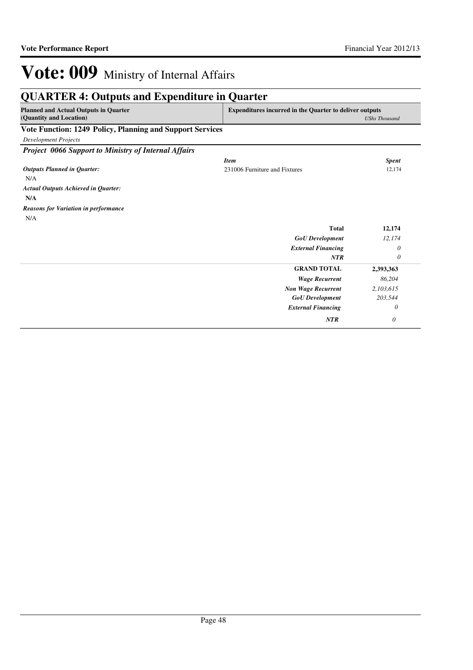| <b>Planned and Actual Outputs in Ouarter</b><br>(Quantity and Location) | <b>Expenditures incurred in the Quarter to deliver outputs</b> | <b>UShs Thousand</b> |
|-------------------------------------------------------------------------|----------------------------------------------------------------|----------------------|
| Vote Function: 1249 Policy, Planning and Support Services               |                                                                |                      |
| <b>Development Projects</b>                                             |                                                                |                      |
| <b>Project 0066 Support to Ministry of Internal Affairs</b>             |                                                                |                      |
|                                                                         | <b>Item</b>                                                    | <b>Spent</b>         |
| <b>Outputs Planned in Quarter:</b>                                      | 231006 Furniture and Fixtures                                  | 12,174               |
| N/A                                                                     |                                                                |                      |
| <b>Actual Outputs Achieved in Quarter:</b>                              |                                                                |                      |
| N/A                                                                     |                                                                |                      |
| <b>Reasons for Variation in performance</b>                             |                                                                |                      |
| N/A                                                                     |                                                                |                      |
|                                                                         | <b>Total</b>                                                   | 12,174               |
|                                                                         | <b>GoU</b> Development                                         | 12,174               |
|                                                                         | <b>External Financing</b>                                      | $\theta$             |
|                                                                         | NTR                                                            | 0                    |
|                                                                         | <b>GRAND TOTAL</b>                                             | 2,393,363            |
|                                                                         | <b>Wage Recurrent</b>                                          | 86,204               |
|                                                                         | <b>Non Wage Recurrent</b>                                      | 2,103,615            |
|                                                                         | <b>GoU</b> Development                                         | 203,544              |
|                                                                         | <b>External Financing</b>                                      | 0                    |
|                                                                         |                                                                |                      |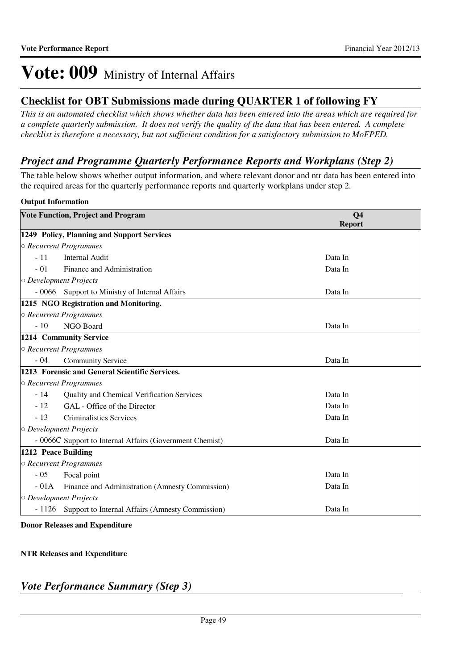## **Checklist for OBT Submissions made during QUARTER 1 of following FY**

*This is an automated checklist which shows whether data has been entered into the areas which are required for a complete quarterly submission. It does not verify the quality of the data that has been entered. A complete checklist is therefore a necessary, but not sufficient condition for a satisfactory submission to MoFPED.*

## *Project and Programme Quarterly Performance Reports and Workplans (Step 2)*

The table below shows whether output information, and where relevant donor and ntr data has been entered into the required areas for the quarterly performance reports and quarterly workplans under step 2.

### **Output Information**

| <b>Vote Function, Project and Program</b> |                                                          | Q <sub>4</sub><br><b>Report</b> |
|-------------------------------------------|----------------------------------------------------------|---------------------------------|
|                                           | 1249 Policy, Planning and Support Services               |                                 |
|                                           | ○ Recurrent Programmes                                   |                                 |
| $-11$                                     | <b>Internal Audit</b>                                    | Data In                         |
| $-01$                                     | Finance and Administration                               | Data In                         |
| $\circ$ Development Projects              |                                                          |                                 |
| - 0066                                    | Support to Ministry of Internal Affairs                  | Data In                         |
|                                           | 1215 NGO Registration and Monitoring.                    |                                 |
|                                           | ○ Recurrent Programmes                                   |                                 |
| $-10$                                     | NGO Board                                                | Data In                         |
|                                           | 1214 Community Service                                   |                                 |
|                                           | $\circ$ Recurrent Programmes                             |                                 |
| $-04$                                     | <b>Community Service</b>                                 | Data In                         |
|                                           | 1213 Forensic and General Scientific Services.           |                                 |
|                                           | ○ Recurrent Programmes                                   |                                 |
| $-14$                                     | Quality and Chemical Verification Services               | Data In                         |
| $-12$                                     | GAL - Office of the Director                             | Data In                         |
| $-13$                                     | <b>Criminalistics Services</b>                           | Data In                         |
| $\circ$ Development Projects              |                                                          |                                 |
|                                           | - 0066C Support to Internal Affairs (Government Chemist) | Data In                         |
| 1212 Peace Building                       |                                                          |                                 |
|                                           | ○ Recurrent Programmes                                   |                                 |
| $-05$                                     | Focal point                                              | Data In                         |
| $-01A$                                    | Finance and Administration (Amnesty Commission)          | Data In                         |
| O Development Projects                    |                                                          |                                 |
| $-1126$                                   | Support to Internal Affairs (Amnesty Commission)         | Data In                         |

**Donor Releases and Expenditure**

## **NTR Releases and Expenditure**

## *Vote Performance Summary (Step 3)*